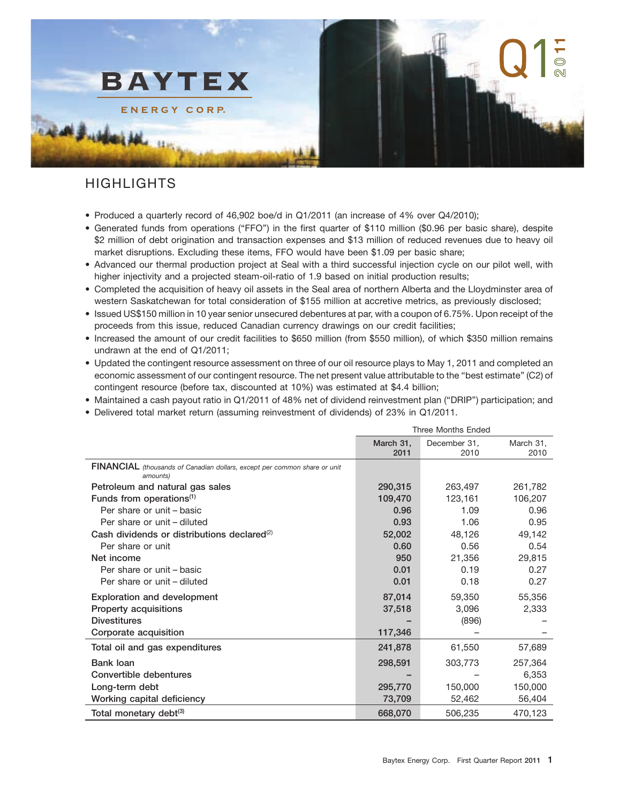

# HIGHLIGHTS

- Produced a quarterly record of 46,902 boe/d in Q1/2011 (an increase of 4% over Q4/2010);
- Generated funds from operations (''FFO'') in the first quarter of \$110 million (\$0.96 per basic share), despite \$2 million of debt origination and transaction expenses and \$13 million of reduced revenues due to heavy oil market disruptions. Excluding these items, FFO would have been \$1.09 per basic share;
- Advanced our thermal production project at Seal with a third successful injection cycle on our pilot well, with higher injectivity and a projected steam-oil-ratio of 1.9 based on initial production results;
- Completed the acquisition of heavy oil assets in the Seal area of northern Alberta and the Lloydminster area of western Saskatchewan for total consideration of \$155 million at accretive metrics, as previously disclosed;
- Issued US\$150 million in 10 year senior unsecured debentures at par, with a coupon of 6.75%. Upon receipt of the proceeds from this issue, reduced Canadian currency drawings on our credit facilities;
- Increased the amount of our credit facilities to \$650 million (from \$550 million), of which \$350 million remains undrawn at the end of Q1/2011;
- Updated the contingent resource assessment on three of our oil resource plays to May 1, 2011 and completed an economic assessment of our contingent resource. The net present value attributable to the ''best estimate'' (C2) of contingent resource (before tax, discounted at 10%) was estimated at \$4.4 billion;
- Maintained a cash payout ratio in Q1/2011 of 48% net of dividend reinvestment plan (''DRIP'') participation; and
- Delivered total market return (assuming reinvestment of dividends) of 23% in Q1/2011.

|                                                                                       | <b>Three Months Ended</b> |              |           |  |
|---------------------------------------------------------------------------------------|---------------------------|--------------|-----------|--|
|                                                                                       | March 31,                 | December 31, | March 31, |  |
|                                                                                       | 2011                      | 2010         | 2010      |  |
| FINANCIAL (thousands of Canadian dollars, except per common share or unit<br>amounts) |                           |              |           |  |
| Petroleum and natural gas sales                                                       | 290,315                   | 263,497      | 261,782   |  |
| Funds from operations <sup>(1)</sup>                                                  | 109,470                   | 123,161      | 106,207   |  |
| Per share or unit - basic                                                             | 0.96                      | 1.09         | 0.96      |  |
| Per share or unit - diluted                                                           | 0.93                      | 1.06         | 0.95      |  |
| Cash dividends or distributions declared <sup>(2)</sup>                               | 52,002                    | 48,126       | 49,142    |  |
| Per share or unit                                                                     | 0.60                      | 0.56         | 0.54      |  |
| Net income                                                                            | 950                       | 21,356       | 29,815    |  |
| Per share or unit - basic                                                             | 0.01                      | 0.19         | 0.27      |  |
| Per share or unit - diluted                                                           | 0.01                      | 0.18         | 0.27      |  |
| <b>Exploration and development</b>                                                    | 87,014                    | 59,350       | 55,356    |  |
| <b>Property acquisitions</b>                                                          | 37,518                    | 3,096        | 2,333     |  |
| <b>Divestitures</b>                                                                   |                           | (896)        |           |  |
| Corporate acquisition                                                                 | 117,346                   |              |           |  |
| Total oil and gas expenditures                                                        | 241,878                   | 61,550       | 57,689    |  |
| Bank loan                                                                             | 298,591                   | 303,773      | 257,364   |  |
| Convertible debentures                                                                |                           |              | 6,353     |  |
| Long-term debt                                                                        | 295,770                   | 150,000      | 150,000   |  |
| Working capital deficiency                                                            | 73,709                    | 52,462       | 56,404    |  |
| Total monetary debt <sup>(3)</sup>                                                    | 668,070                   | 506,235      | 470,123   |  |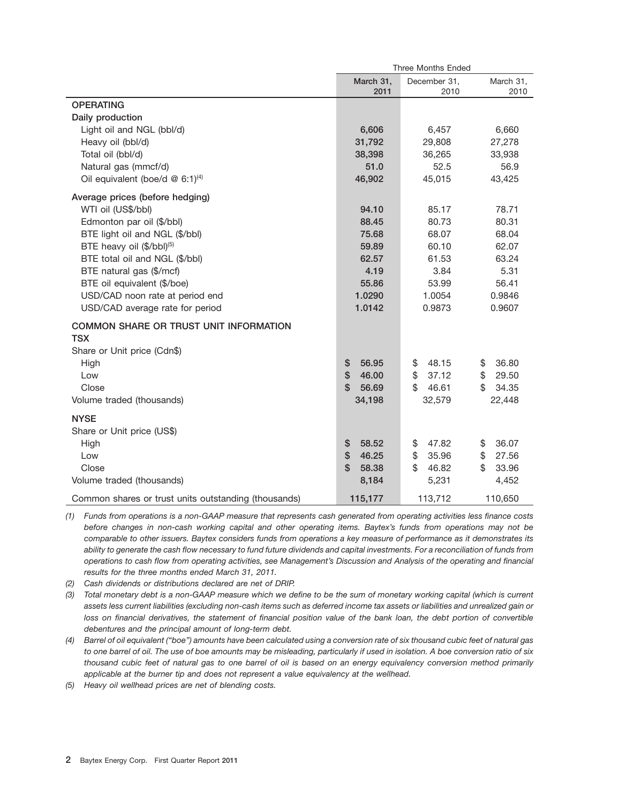|                                                             | <b>Three Months Ended</b> |                      |                   |  |
|-------------------------------------------------------------|---------------------------|----------------------|-------------------|--|
|                                                             | March 31,<br>2011         | December 31.<br>2010 | March 31,<br>2010 |  |
| <b>OPERATING</b>                                            |                           |                      |                   |  |
| Daily production                                            |                           |                      |                   |  |
| Light oil and NGL (bbl/d)                                   | 6,606                     | 6,457                | 6,660             |  |
| Heavy oil (bbl/d)                                           | 31,792                    | 29,808               | 27,278            |  |
| Total oil (bbl/d)                                           | 38,398                    | 36,265               | 33,938            |  |
| Natural gas (mmcf/d)                                        | 51.0                      | 52.5                 | 56.9              |  |
| Oil equivalent (boe/d @ 6:1) <sup>(4)</sup>                 | 46,902                    | 45,015               | 43,425            |  |
| Average prices (before hedging)                             |                           |                      |                   |  |
| WTI oil (US\$/bbl)                                          | 94.10                     | 85.17                | 78.71             |  |
| Edmonton par oil (\$/bbl)                                   | 88.45                     | 80.73                | 80.31             |  |
| BTE light oil and NGL (\$/bbl)                              | 75.68                     | 68.07                | 68.04             |  |
| BTE heavy oil (\$/bbl)(5)                                   | 59.89                     | 60.10                | 62.07             |  |
| BTE total oil and NGL (\$/bbl)                              | 62.57                     | 61.53                | 63.24             |  |
| BTE natural gas (\$/mcf)                                    | 4.19                      | 3.84                 | 5.31              |  |
| BTE oil equivalent (\$/boe)                                 | 55.86                     | 53.99                | 56.41             |  |
| USD/CAD noon rate at period end                             | 1.0290                    | 1.0054               | 0.9846            |  |
| USD/CAD average rate for period                             | 1.0142                    | 0.9873               | 0.9607            |  |
| <b>COMMON SHARE OR TRUST UNIT INFORMATION</b><br><b>TSX</b> |                           |                      |                   |  |
| Share or Unit price (Cdn\$)                                 |                           |                      |                   |  |
| High                                                        | 56.95<br>\$               | 48.15<br>\$          | 36.80<br>\$       |  |
| Low                                                         | $\mathbf{\$}$<br>46.00    | 37.12<br>\$          | \$<br>29.50       |  |
| Close                                                       | $\mathfrak{L}$<br>56.69   | \$<br>46.61          | \$.<br>34.35      |  |
| Volume traded (thousands)                                   | 34,198                    | 32,579               | 22,448            |  |
|                                                             |                           |                      |                   |  |
| <b>NYSE</b>                                                 |                           |                      |                   |  |
| Share or Unit price (US\$)                                  |                           |                      |                   |  |
| High                                                        | \$<br>58.52               | 47.82<br>\$          | 36.07<br>\$       |  |
| Low                                                         | \$<br>46.25               | \$<br>35.96          | \$<br>27.56       |  |
| Close                                                       | $\mathfrak{L}$<br>58.38   | \$<br>46.82          | \$<br>33.96       |  |
| Volume traded (thousands)                                   | 8,184                     | 5,231                | 4,452             |  |
| Common shares or trust units outstanding (thousands)        | 115,177                   | 113,712              | 110,650           |  |

*(1) Funds from operations is a non-GAAP measure that represents cash generated from operating activities less finance costs before changes in non-cash working capital and other operating items. Baytex's funds from operations may not be comparable to other issuers. Baytex considers funds from operations a key measure of performance as it demonstrates its ability to generate the cash flow necessary to fund future dividends and capital investments. For a reconciliation of funds from operations to cash flow from operating activities, see Management's Discussion and Analysis of the operating and financial results for the three months ended March 31, 2011.*

*(2) Cash dividends or distributions declared are net of DRIP.*

*(3) Total monetary debt is a non-GAAP measure which we define to be the sum of monetary working capital (which is current assets less current liabilities (excluding non-cash items such as deferred income tax assets or liabilities and unrealized gain or loss on financial derivatives, the statement of financial position value of the bank loan, the debt portion of convertible debentures and the principal amount of long-term debt.*

*(4) Barrel of oil equivalent (''boe'') amounts have been calculated using a conversion rate of six thousand cubic feet of natural gas to one barrel of oil. The use of boe amounts may be misleading, particularly if used in isolation. A boe conversion ratio of six thousand cubic feet of natural gas to one barrel of oil is based on an energy equivalency conversion method primarily applicable at the burner tip and does not represent a value equivalency at the wellhead.*

*(5) Heavy oil wellhead prices are net of blending costs.*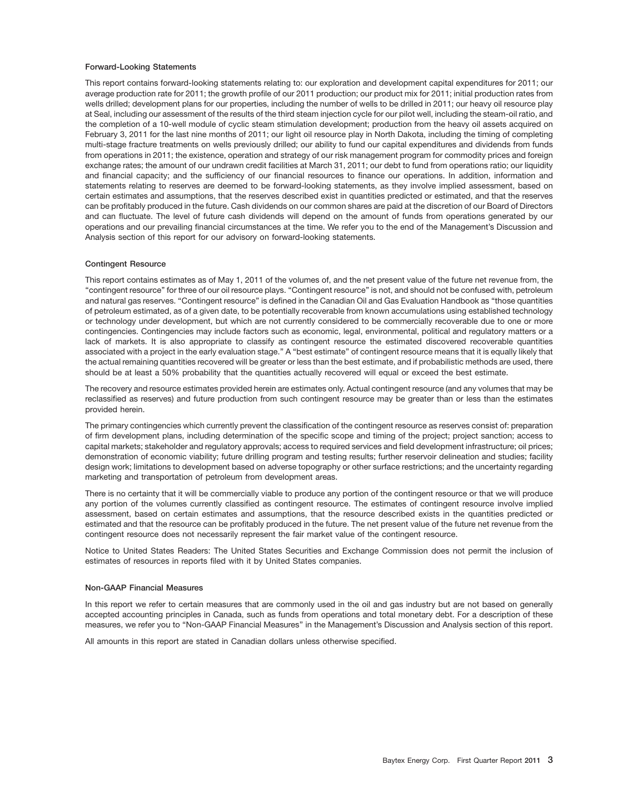#### **Forward-Looking Statements**

This report contains forward-looking statements relating to: our exploration and development capital expenditures for 2011; our average production rate for 2011; the growth profile of our 2011 production; our product mix for 2011; initial production rates from wells drilled; development plans for our properties, including the number of wells to be drilled in 2011; our heavy oil resource play at Seal, including our assessment of the results of the third steam injection cycle for our pilot well, including the steam-oil ratio, and the completion of a 10-well module of cyclic steam stimulation development; production from the heavy oil assets acquired on February 3, 2011 for the last nine months of 2011; our light oil resource play in North Dakota, including the timing of completing multi-stage fracture treatments on wells previously drilled; our ability to fund our capital expenditures and dividends from funds from operations in 2011; the existence, operation and strategy of our risk management program for commodity prices and foreign exchange rates; the amount of our undrawn credit facilities at March 31, 2011; our debt to fund from operations ratio; our liquidity and financial capacity; and the sufficiency of our financial resources to finance our operations. In addition, information and statements relating to reserves are deemed to be forward-looking statements, as they involve implied assessment, based on certain estimates and assumptions, that the reserves described exist in quantities predicted or estimated, and that the reserves can be profitably produced in the future. Cash dividends on our common shares are paid at the discretion of our Board of Directors and can fluctuate. The level of future cash dividends will depend on the amount of funds from operations generated by our operations and our prevailing financial circumstances at the time. We refer you to the end of the Management's Discussion and Analysis section of this report for our advisory on forward-looking statements.

#### **Contingent Resource**

This report contains estimates as of May 1, 2011 of the volumes of, and the net present value of the future net revenue from, the ''contingent resource'' for three of our oil resource plays. ''Contingent resource'' is not, and should not be confused with, petroleum and natural gas reserves. ''Contingent resource'' is defined in the Canadian Oil and Gas Evaluation Handbook as ''those quantities of petroleum estimated, as of a given date, to be potentially recoverable from known accumulations using established technology or technology under development, but which are not currently considered to be commercially recoverable due to one or more contingencies. Contingencies may include factors such as economic, legal, environmental, political and regulatory matters or a lack of markets. It is also appropriate to classify as contingent resource the estimated discovered recoverable quantities associated with a project in the early evaluation stage.'' A ''best estimate'' of contingent resource means that it is equally likely that the actual remaining quantities recovered will be greater or less than the best estimate, and if probabilistic methods are used, there should be at least a 50% probability that the quantities actually recovered will equal or exceed the best estimate.

The recovery and resource estimates provided herein are estimates only. Actual contingent resource (and any volumes that may be reclassified as reserves) and future production from such contingent resource may be greater than or less than the estimates provided herein.

The primary contingencies which currently prevent the classification of the contingent resource as reserves consist of: preparation of firm development plans, including determination of the specific scope and timing of the project; project sanction; access to capital markets; stakeholder and regulatory approvals; access to required services and field development infrastructure; oil prices; demonstration of economic viability; future drilling program and testing results; further reservoir delineation and studies; facility design work; limitations to development based on adverse topography or other surface restrictions; and the uncertainty regarding marketing and transportation of petroleum from development areas.

There is no certainty that it will be commercially viable to produce any portion of the contingent resource or that we will produce any portion of the volumes currently classified as contingent resource. The estimates of contingent resource involve implied assessment, based on certain estimates and assumptions, that the resource described exists in the quantities predicted or estimated and that the resource can be profitably produced in the future. The net present value of the future net revenue from the contingent resource does not necessarily represent the fair market value of the contingent resource.

Notice to United States Readers: The United States Securities and Exchange Commission does not permit the inclusion of estimates of resources in reports filed with it by United States companies.

#### **Non-GAAP Financial Measures**

In this report we refer to certain measures that are commonly used in the oil and gas industry but are not based on generally accepted accounting principles in Canada, such as funds from operations and total monetary debt. For a description of these measures, we refer you to ''Non-GAAP Financial Measures'' in the Management's Discussion and Analysis section of this report.

All amounts in this report are stated in Canadian dollars unless otherwise specified.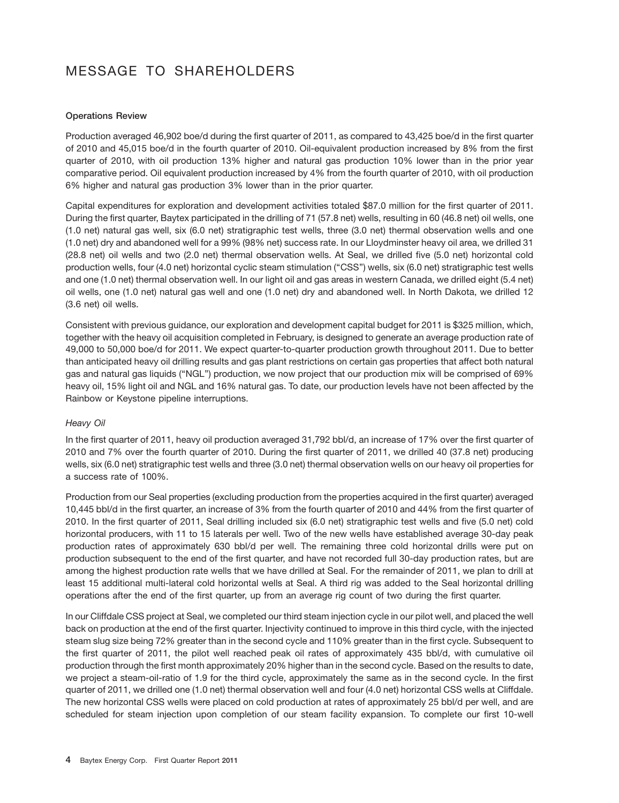# MESSAGE TO SHAREHOLDERS

# **Operations Review**

Production averaged 46,902 boe/d during the first quarter of 2011, as compared to 43,425 boe/d in the first quarter of 2010 and 45,015 boe/d in the fourth quarter of 2010. Oil-equivalent production increased by 8% from the first quarter of 2010, with oil production 13% higher and natural gas production 10% lower than in the prior year comparative period. Oil equivalent production increased by 4% from the fourth quarter of 2010, with oil production 6% higher and natural gas production 3% lower than in the prior quarter.

Capital expenditures for exploration and development activities totaled \$87.0 million for the first quarter of 2011. During the first quarter, Baytex participated in the drilling of 71 (57.8 net) wells, resulting in 60 (46.8 net) oil wells, one (1.0 net) natural gas well, six (6.0 net) stratigraphic test wells, three (3.0 net) thermal observation wells and one (1.0 net) dry and abandoned well for a 99% (98% net) success rate. In our Lloydminster heavy oil area, we drilled 31 (28.8 net) oil wells and two (2.0 net) thermal observation wells. At Seal, we drilled five (5.0 net) horizontal cold production wells, four (4.0 net) horizontal cyclic steam stimulation (''CSS'') wells, six (6.0 net) stratigraphic test wells and one (1.0 net) thermal observation well. In our light oil and gas areas in western Canada, we drilled eight (5.4 net) oil wells, one (1.0 net) natural gas well and one (1.0 net) dry and abandoned well. In North Dakota, we drilled 12 (3.6 net) oil wells.

Consistent with previous guidance, our exploration and development capital budget for 2011 is \$325 million, which, together with the heavy oil acquisition completed in February, is designed to generate an average production rate of 49,000 to 50,000 boe/d for 2011. We expect quarter-to-quarter production growth throughout 2011. Due to better than anticipated heavy oil drilling results and gas plant restrictions on certain gas properties that affect both natural gas and natural gas liquids (''NGL'') production, we now project that our production mix will be comprised of 69% heavy oil, 15% light oil and NGL and 16% natural gas. To date, our production levels have not been affected by the Rainbow or Keystone pipeline interruptions.

# *Heavy Oil*

In the first quarter of 2011, heavy oil production averaged 31,792 bbl/d, an increase of 17% over the first quarter of 2010 and 7% over the fourth quarter of 2010. During the first quarter of 2011, we drilled 40 (37.8 net) producing wells, six (6.0 net) stratigraphic test wells and three (3.0 net) thermal observation wells on our heavy oil properties for a success rate of 100%.

Production from our Seal properties (excluding production from the properties acquired in the first quarter) averaged 10,445 bbl/d in the first quarter, an increase of 3% from the fourth quarter of 2010 and 44% from the first quarter of 2010. In the first quarter of 2011, Seal drilling included six (6.0 net) stratigraphic test wells and five (5.0 net) cold horizontal producers, with 11 to 15 laterals per well. Two of the new wells have established average 30-day peak production rates of approximately 630 bbl/d per well. The remaining three cold horizontal drills were put on production subsequent to the end of the first quarter, and have not recorded full 30-day production rates, but are among the highest production rate wells that we have drilled at Seal. For the remainder of 2011, we plan to drill at least 15 additional multi-lateral cold horizontal wells at Seal. A third rig was added to the Seal horizontal drilling operations after the end of the first quarter, up from an average rig count of two during the first quarter.

In our Cliffdale CSS project at Seal, we completed our third steam injection cycle in our pilot well, and placed the well back on production at the end of the first quarter. Injectivity continued to improve in this third cycle, with the injected steam slug size being 72% greater than in the second cycle and 110% greater than in the first cycle. Subsequent to the first quarter of 2011, the pilot well reached peak oil rates of approximately 435 bbl/d, with cumulative oil production through the first month approximately 20% higher than in the second cycle. Based on the results to date, we project a steam-oil-ratio of 1.9 for the third cycle, approximately the same as in the second cycle. In the first quarter of 2011, we drilled one (1.0 net) thermal observation well and four (4.0 net) horizontal CSS wells at Cliffdale. The new horizontal CSS wells were placed on cold production at rates of approximately 25 bbl/d per well, and are scheduled for steam injection upon completion of our steam facility expansion. To complete our first 10-well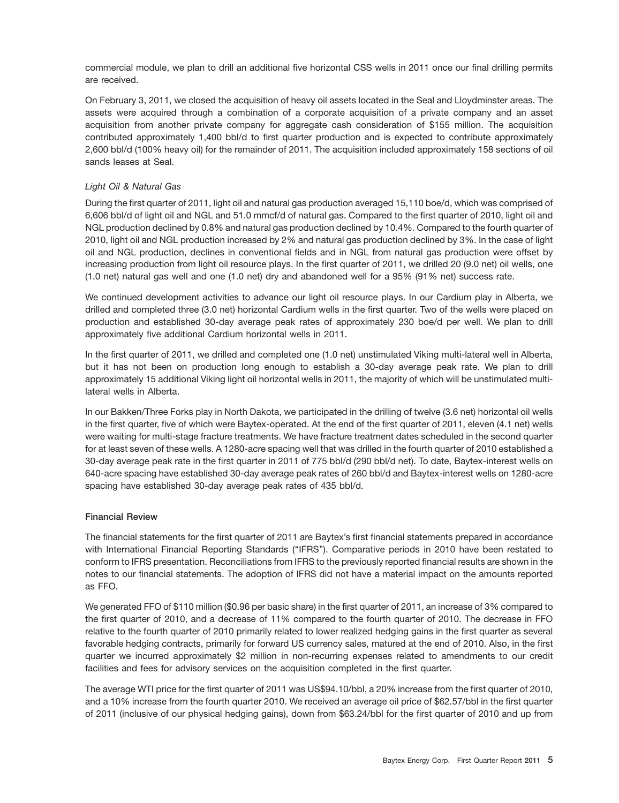commercial module, we plan to drill an additional five horizontal CSS wells in 2011 once our final drilling permits are received.

On February 3, 2011, we closed the acquisition of heavy oil assets located in the Seal and Lloydminster areas. The assets were acquired through a combination of a corporate acquisition of a private company and an asset acquisition from another private company for aggregate cash consideration of \$155 million. The acquisition contributed approximately 1,400 bbl/d to first quarter production and is expected to contribute approximately 2,600 bbl/d (100% heavy oil) for the remainder of 2011. The acquisition included approximately 158 sections of oil sands leases at Seal.

# *Light Oil & Natural Gas*

During the first quarter of 2011, light oil and natural gas production averaged 15,110 boe/d, which was comprised of 6,606 bbl/d of light oil and NGL and 51.0 mmcf/d of natural gas. Compared to the first quarter of 2010, light oil and NGL production declined by 0.8% and natural gas production declined by 10.4%. Compared to the fourth quarter of 2010, light oil and NGL production increased by 2% and natural gas production declined by 3%. In the case of light oil and NGL production, declines in conventional fields and in NGL from natural gas production were offset by increasing production from light oil resource plays. In the first quarter of 2011, we drilled 20 (9.0 net) oil wells, one (1.0 net) natural gas well and one (1.0 net) dry and abandoned well for a 95% (91% net) success rate.

We continued development activities to advance our light oil resource plays. In our Cardium play in Alberta, we drilled and completed three (3.0 net) horizontal Cardium wells in the first quarter. Two of the wells were placed on production and established 30-day average peak rates of approximately 230 boe/d per well. We plan to drill approximately five additional Cardium horizontal wells in 2011.

In the first quarter of 2011, we drilled and completed one (1.0 net) unstimulated Viking multi-lateral well in Alberta, but it has not been on production long enough to establish a 30-day average peak rate. We plan to drill approximately 15 additional Viking light oil horizontal wells in 2011, the majority of which will be unstimulated multilateral wells in Alberta.

In our Bakken/Three Forks play in North Dakota, we participated in the drilling of twelve (3.6 net) horizontal oil wells in the first quarter, five of which were Baytex-operated. At the end of the first quarter of 2011, eleven (4.1 net) wells were waiting for multi-stage fracture treatments. We have fracture treatment dates scheduled in the second quarter for at least seven of these wells. A 1280-acre spacing well that was drilled in the fourth quarter of 2010 established a 30-day average peak rate in the first quarter in 2011 of 775 bbl/d (290 bbl/d net). To date, Baytex-interest wells on 640-acre spacing have established 30-day average peak rates of 260 bbl/d and Baytex-interest wells on 1280-acre spacing have established 30-day average peak rates of 435 bbl/d.

# **Financial Review**

The financial statements for the first quarter of 2011 are Baytex's first financial statements prepared in accordance with International Financial Reporting Standards (''IFRS''). Comparative periods in 2010 have been restated to conform to IFRS presentation. Reconciliations from IFRS to the previously reported financial results are shown in the notes to our financial statements. The adoption of IFRS did not have a material impact on the amounts reported as FFO.

We generated FFO of \$110 million (\$0.96 per basic share) in the first quarter of 2011, an increase of 3% compared to the first quarter of 2010, and a decrease of 11% compared to the fourth quarter of 2010. The decrease in FFO relative to the fourth quarter of 2010 primarily related to lower realized hedging gains in the first quarter as several favorable hedging contracts, primarily for forward US currency sales, matured at the end of 2010. Also, in the first quarter we incurred approximately \$2 million in non-recurring expenses related to amendments to our credit facilities and fees for advisory services on the acquisition completed in the first quarter.

The average WTI price for the first quarter of 2011 was US\$94.10/bbl, a 20% increase from the first quarter of 2010, and a 10% increase from the fourth quarter 2010. We received an average oil price of \$62.57/bbl in the first quarter of 2011 (inclusive of our physical hedging gains), down from \$63.24/bbl for the first quarter of 2010 and up from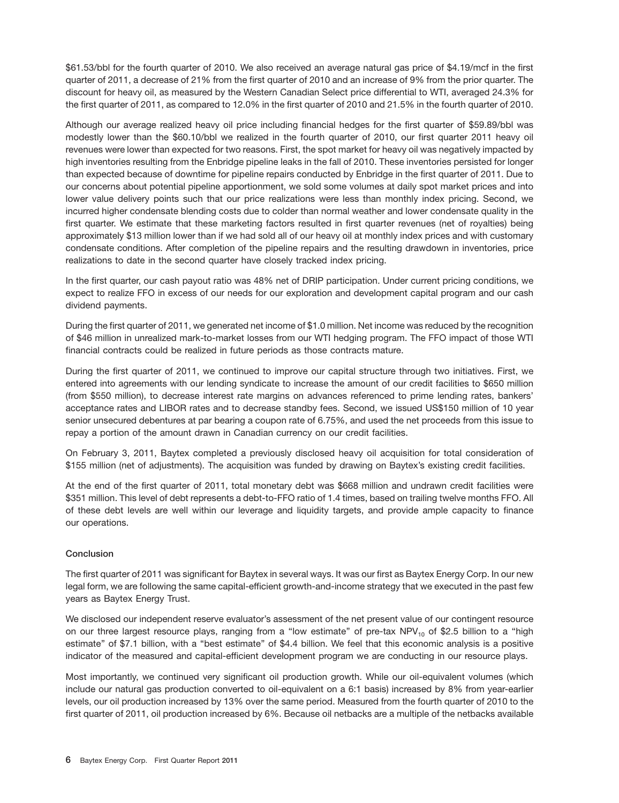\$61.53/bbl for the fourth quarter of 2010. We also received an average natural gas price of \$4.19/mcf in the first quarter of 2011, a decrease of 21% from the first quarter of 2010 and an increase of 9% from the prior quarter. The discount for heavy oil, as measured by the Western Canadian Select price differential to WTI, averaged 24.3% for the first quarter of 2011, as compared to 12.0% in the first quarter of 2010 and 21.5% in the fourth quarter of 2010.

Although our average realized heavy oil price including financial hedges for the first quarter of \$59.89/bbl was modestly lower than the \$60.10/bbl we realized in the fourth quarter of 2010, our first quarter 2011 heavy oil revenues were lower than expected for two reasons. First, the spot market for heavy oil was negatively impacted by high inventories resulting from the Enbridge pipeline leaks in the fall of 2010. These inventories persisted for longer than expected because of downtime for pipeline repairs conducted by Enbridge in the first quarter of 2011. Due to our concerns about potential pipeline apportionment, we sold some volumes at daily spot market prices and into lower value delivery points such that our price realizations were less than monthly index pricing. Second, we incurred higher condensate blending costs due to colder than normal weather and lower condensate quality in the first quarter. We estimate that these marketing factors resulted in first quarter revenues (net of royalties) being approximately \$13 million lower than if we had sold all of our heavy oil at monthly index prices and with customary condensate conditions. After completion of the pipeline repairs and the resulting drawdown in inventories, price realizations to date in the second quarter have closely tracked index pricing.

In the first quarter, our cash payout ratio was 48% net of DRIP participation. Under current pricing conditions, we expect to realize FFO in excess of our needs for our exploration and development capital program and our cash dividend payments.

During the first quarter of 2011, we generated net income of \$1.0 million. Net income was reduced by the recognition of \$46 million in unrealized mark-to-market losses from our WTI hedging program. The FFO impact of those WTI financial contracts could be realized in future periods as those contracts mature.

During the first quarter of 2011, we continued to improve our capital structure through two initiatives. First, we entered into agreements with our lending syndicate to increase the amount of our credit facilities to \$650 million (from \$550 million), to decrease interest rate margins on advances referenced to prime lending rates, bankers' acceptance rates and LIBOR rates and to decrease standby fees. Second, we issued US\$150 million of 10 year senior unsecured debentures at par bearing a coupon rate of 6.75%, and used the net proceeds from this issue to repay a portion of the amount drawn in Canadian currency on our credit facilities.

On February 3, 2011, Baytex completed a previously disclosed heavy oil acquisition for total consideration of \$155 million (net of adjustments). The acquisition was funded by drawing on Baytex's existing credit facilities.

At the end of the first quarter of 2011, total monetary debt was \$668 million and undrawn credit facilities were \$351 million. This level of debt represents a debt-to-FFO ratio of 1.4 times, based on trailing twelve months FFO. All of these debt levels are well within our leverage and liquidity targets, and provide ample capacity to finance our operations.

# **Conclusion**

The first quarter of 2011 was significant for Baytex in several ways. It was our first as Baytex Energy Corp. In our new legal form, we are following the same capital-efficient growth-and-income strategy that we executed in the past few years as Baytex Energy Trust.

We disclosed our independent reserve evaluator's assessment of the net present value of our contingent resource on our three largest resource plays, ranging from a "low estimate" of pre-tax NPV<sub>10</sub> of \$2.5 billion to a "high estimate'' of \$7.1 billion, with a ''best estimate'' of \$4.4 billion. We feel that this economic analysis is a positive indicator of the measured and capital-efficient development program we are conducting in our resource plays.

Most importantly, we continued very significant oil production growth. While our oil-equivalent volumes (which include our natural gas production converted to oil-equivalent on a 6:1 basis) increased by 8% from year-earlier levels, our oil production increased by 13% over the same period. Measured from the fourth quarter of 2010 to the first quarter of 2011, oil production increased by 6%. Because oil netbacks are a multiple of the netbacks available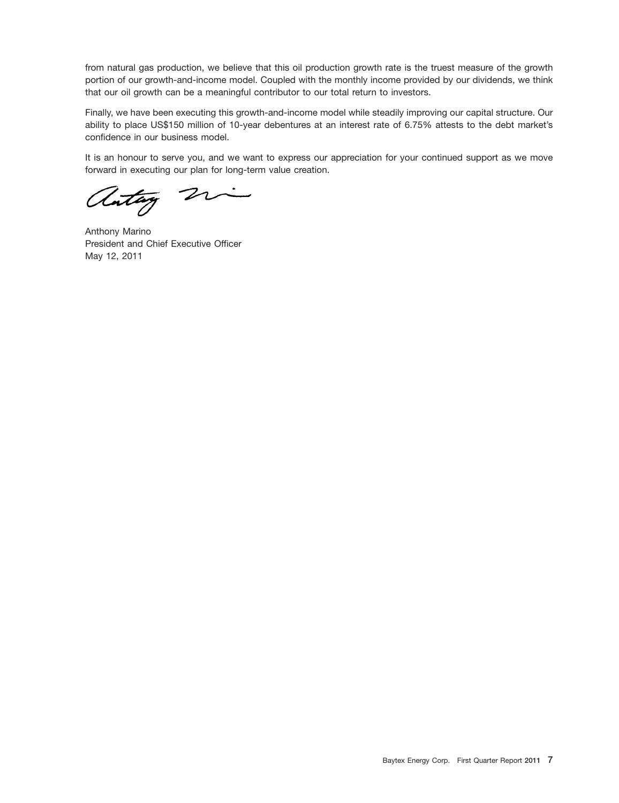from natural gas production, we believe that this oil production growth rate is the truest measure of the growth portion of our growth-and-income model. Coupled with the monthly income provided by our dividends, we think that our oil growth can be a meaningful contributor to our total return to investors.

Finally, we have been executing this growth-and-income model while steadily improving our capital structure. Our ability to place US\$150 million of 10-year debentures at an interest rate of 6.75% attests to the debt market's confidence in our business model.

It is an honour to serve you, and we want to express our appreciation for your continued support as we move forward in executing our plan for long-term value creation.

autay 2

Anthony Marino President and Chief Executive Officer May 12, 2011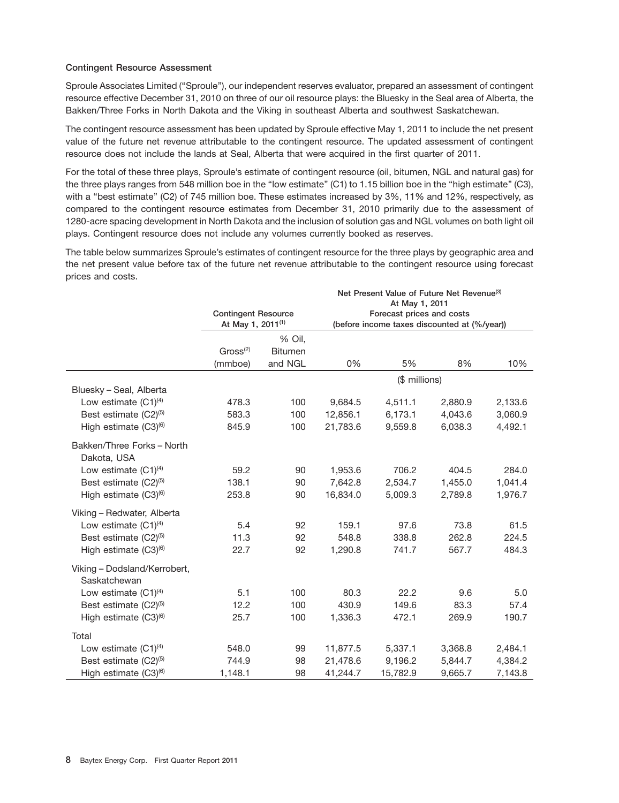# **Contingent Resource Assessment**

Sproule Associates Limited (''Sproule''), our independent reserves evaluator, prepared an assessment of contingent resource effective December 31, 2010 on three of our oil resource plays: the Bluesky in the Seal area of Alberta, the Bakken/Three Forks in North Dakota and the Viking in southeast Alberta and southwest Saskatchewan.

The contingent resource assessment has been updated by Sproule effective May 1, 2011 to include the net present value of the future net revenue attributable to the contingent resource. The updated assessment of contingent resource does not include the lands at Seal, Alberta that were acquired in the first quarter of 2011.

For the total of these three plays, Sproule's estimate of contingent resource (oil, bitumen, NGL and natural gas) for the three plays ranges from 548 million boe in the "low estimate" (C1) to 1.15 billion boe in the "high estimate" (C3), with a "best estimate" (C2) of 745 million boe. These estimates increased by 3%, 11% and 12%, respectively, as compared to the contingent resource estimates from December 31, 2010 primarily due to the assessment of 1280-acre spacing development in North Dakota and the inclusion of solution gas and NGL volumes on both light oil plays. Contingent resource does not include any volumes currently booked as reserves.

The table below summarizes Sproule's estimates of contingent resource for the three plays by geographic area and the net present value before tax of the future net revenue attributable to the contingent resource using forecast prices and costs.

|                                   |                               |                | Net Present Value of Future Net Revenue <sup>(3)</sup><br>At May 1, 2011 |                                              |         |         |  |
|-----------------------------------|-------------------------------|----------------|--------------------------------------------------------------------------|----------------------------------------------|---------|---------|--|
|                                   | <b>Contingent Resource</b>    |                | Forecast prices and costs                                                |                                              |         |         |  |
|                                   | At May 1, 2011 <sup>(1)</sup> |                |                                                                          | (before income taxes discounted at (%/year)) |         |         |  |
|                                   |                               | % Oil,         |                                                                          |                                              |         |         |  |
|                                   | $Gross^{(2)}$                 | <b>Bitumen</b> |                                                                          |                                              |         |         |  |
|                                   | (mmboe)                       | and NGL        | 0%                                                                       | 5%                                           | 8%      | 10%     |  |
|                                   |                               |                |                                                                          | (\$ millions)                                |         |         |  |
| Bluesky - Seal, Alberta           |                               |                |                                                                          |                                              |         |         |  |
| Low estimate $(C1)^{(4)}$         | 478.3                         | 100            | 9,684.5                                                                  | 4,511.1                                      | 2,880.9 | 2,133.6 |  |
| Best estimate (C2) <sup>(5)</sup> | 583.3                         | 100            | 12,856.1                                                                 | 6,173.1                                      | 4,043.6 | 3,060.9 |  |
| High estimate $(C3)^{(6)}$        | 845.9                         | 100            | 21,783.6                                                                 | 9,559.8                                      | 6,038.3 | 4,492.1 |  |
| Bakken/Three Forks - North        |                               |                |                                                                          |                                              |         |         |  |
| Dakota, USA                       |                               |                |                                                                          |                                              |         |         |  |
| Low estimate $(C1)^{(4)}$         | 59.2                          | 90             | 1,953.6                                                                  | 706.2                                        | 404.5   | 284.0   |  |
| Best estimate (C2) <sup>(5)</sup> | 138.1                         | 90             | 7,642.8                                                                  | 2,534.7                                      | 1,455.0 | 1,041.4 |  |
| High estimate $(C3)^{(6)}$        | 253.8                         | 90             | 16,834.0                                                                 | 5,009.3                                      | 2,789.8 | 1,976.7 |  |
| Viking - Redwater, Alberta        |                               |                |                                                                          |                                              |         |         |  |
| Low estimate $(C1)^{(4)}$         | 5.4                           | 92             | 159.1                                                                    | 97.6                                         | 73.8    | 61.5    |  |
| Best estimate (C2) <sup>(5)</sup> | 11.3                          | 92             | 548.8                                                                    | 338.8                                        | 262.8   | 224.5   |  |
| High estimate (C3) <sup>(6)</sup> | 22.7                          | 92             | 1,290.8                                                                  | 741.7                                        | 567.7   | 484.3   |  |
| Viking - Dodsland/Kerrobert,      |                               |                |                                                                          |                                              |         |         |  |
| Saskatchewan                      |                               |                |                                                                          |                                              |         |         |  |
| Low estimate $(C1)^{(4)}$         | 5.1                           | 100            | 80.3                                                                     | 22.2                                         | 9.6     | 5.0     |  |
| Best estimate (C2) <sup>(5)</sup> | 12.2                          | 100            | 430.9                                                                    | 149.6                                        | 83.3    | 57.4    |  |
| High estimate (C3) <sup>(6)</sup> | 25.7                          | 100            | 1,336.3                                                                  | 472.1                                        | 269.9   | 190.7   |  |
| Total                             |                               |                |                                                                          |                                              |         |         |  |
| Low estimate $(C1)^{(4)}$         | 548.0                         | 99             | 11,877.5                                                                 | 5,337.1                                      | 3,368.8 | 2,484.1 |  |
| Best estimate (C2) <sup>(5)</sup> | 744.9                         | 98             | 21,478.6                                                                 | 9,196.2                                      | 5,844.7 | 4,384.2 |  |
| High estimate (C3) <sup>(6)</sup> | 1,148.1                       | 98             | 41,244.7                                                                 | 15,782.9                                     | 9,665.7 | 7,143.8 |  |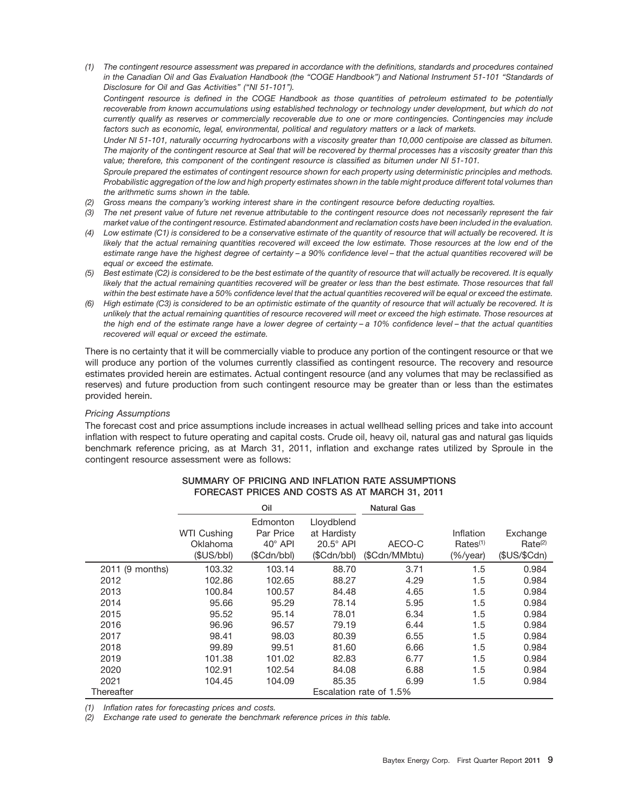*(1) The contingent resource assessment was prepared in accordance with the definitions, standards and procedures contained in the Canadian Oil and Gas Evaluation Handbook (the ''COGE Handbook'') and National Instrument 51-101 ''Standards of Disclosure for Oil and Gas Activities'' (''NI 51-101'').*

*Contingent resource is defined in the COGE Handbook as those quantities of petroleum estimated to be potentially recoverable from known accumulations using established technology or technology under development, but which do not currently qualify as reserves or commercially recoverable due to one or more contingencies. Contingencies may include factors such as economic, legal, environmental, political and regulatory matters or a lack of markets.*

*Under NI 51-101, naturally occurring hydrocarbons with a viscosity greater than 10,000 centipoise are classed as bitumen. The majority of the contingent resource at Seal that will be recovered by thermal processes has a viscosity greater than this value; therefore, this component of the contingent resource is classified as bitumen under NI 51-101.*

*Sproule prepared the estimates of contingent resource shown for each property using deterministic principles and methods. Probabilistic aggregation of the low and high property estimates shown in the table might produce different total volumes than the arithmetic sums shown in the table.*

- *(2) Gross means the company's working interest share in the contingent resource before deducting royalties.*
- *(3) The net present value of future net revenue attributable to the contingent resource does not necessarily represent the fair market value of the contingent resource. Estimated abandonment and reclamation costs have been included in the evaluation.*
- *(4) Low estimate (C1) is considered to be a conservative estimate of the quantity of resource that will actually be recovered. It is likely that the actual remaining quantities recovered will exceed the low estimate. Those resources at the low end of the estimate range have the highest degree of certainty – a 90% confidence level – that the actual quantities recovered will be equal or exceed the estimate.*
- *(5) Best estimate (C2) is considered to be the best estimate of the quantity of resource that will actually be recovered. It is equally likely that the actual remaining quantities recovered will be greater or less than the best estimate. Those resources that fall within the best estimate have a 50% confidence level that the actual quantities recovered will be equal or exceed the estimate.*
- *(6) High estimate (C3) is considered to be an optimistic estimate of the quantity of resource that will actually be recovered. It is unlikely that the actual remaining quantities of resource recovered will meet or exceed the high estimate. Those resources at the high end of the estimate range have a lower degree of certainty – a 10% confidence level – that the actual quantities recovered will equal or exceed the estimate.*

There is no certainty that it will be commercially viable to produce any portion of the contingent resource or that we will produce any portion of the volumes currently classified as contingent resource. The recovery and resource estimates provided herein are estimates. Actual contingent resource (and any volumes that may be reclassified as reserves) and future production from such contingent resource may be greater than or less than the estimates provided herein.

# *Pricing Assumptions*

The forecast cost and price assumptions include increases in actual wellhead selling prices and take into account inflation with respect to future operating and capital costs. Crude oil, heavy oil, natural gas and natural gas liquids benchmark reference pricing, as at March 31, 2011, inflation and exchange rates utilized by Sproule in the contingent resource assessment were as follows:

|                 |                    | Oil            |                  | <b>Natural Gas</b>      |                         |                     |
|-----------------|--------------------|----------------|------------------|-------------------------|-------------------------|---------------------|
|                 |                    | Edmonton       | Lloydblend       |                         |                         |                     |
|                 | <b>WTI Cushing</b> | Par Price      | at Hardisty      |                         | Inflation               | Exchange            |
|                 | Oklahoma           | $40^\circ$ API | $20.5^\circ$ API | AECO-C                  | $Rates^{(1)}$           | Rate <sup>(2)</sup> |
|                 | (SUS/bbl)          | (SCdn/bbl)     | (SCdn/bbl)       | (\$Cdn/MMbtu)           | $(\frac{6}{y}$ (%/year) | (\$US/\$Cdn)        |
| 2011 (9 months) | 103.32             | 103.14         | 88.70            | 3.71                    | 1.5                     | 0.984               |
| 2012            | 102.86             | 102.65         | 88.27            | 4.29                    | 1.5                     | 0.984               |
| 2013            | 100.84             | 100.57         | 84.48            | 4.65                    | 1.5                     | 0.984               |
| 2014            | 95.66              | 95.29          | 78.14            | 5.95                    | 1.5                     | 0.984               |
| 2015            | 95.52              | 95.14          | 78.01            | 6.34                    | 1.5                     | 0.984               |
| 2016            | 96.96              | 96.57          | 79.19            | 6.44                    | 1.5                     | 0.984               |
| 2017            | 98.41              | 98.03          | 80.39            | 6.55                    | 1.5                     | 0.984               |
| 2018            | 99.89              | 99.51          | 81.60            | 6.66                    | 1.5                     | 0.984               |
| 2019            | 101.38             | 101.02         | 82.83            | 6.77                    | 1.5                     | 0.984               |
| 2020            | 102.91             | 102.54         | 84.08            | 6.88                    | 1.5                     | 0.984               |
| 2021            | 104.45             | 104.09         | 85.35            | 6.99                    | 1.5                     | 0.984               |
| Thereafter      |                    |                |                  | Escalation rate of 1.5% |                         |                     |

# **SUMMARY OF PRICING AND INFLATION RATE ASSUMPTIONS FORECAST PRICES AND COSTS AS AT MARCH 31, 2011**

*(1) Inflation rates for forecasting prices and costs.*

*(2) Exchange rate used to generate the benchmark reference prices in this table.*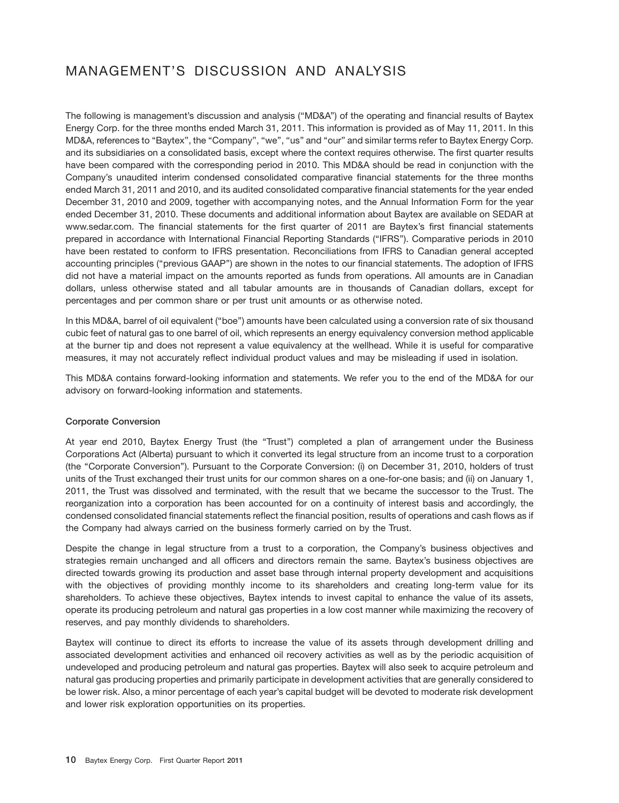# MANAGEMENT'S DISCUSSION AND ANALYSIS

The following is management's discussion and analysis (''MD&A'') of the operating and financial results of Baytex Energy Corp. for the three months ended March 31, 2011. This information is provided as of May 11, 2011. In this MD&A, references to ''Baytex'', the ''Company'', ''we'', ''us'' and ''our'' and similar terms refer to Baytex Energy Corp. and its subsidiaries on a consolidated basis, except where the context requires otherwise. The first quarter results have been compared with the corresponding period in 2010. This MD&A should be read in conjunction with the Company's unaudited interim condensed consolidated comparative financial statements for the three months ended March 31, 2011 and 2010, and its audited consolidated comparative financial statements for the year ended December 31, 2010 and 2009, together with accompanying notes, and the Annual Information Form for the year ended December 31, 2010. These documents and additional information about Baytex are available on SEDAR at www.sedar.com. The financial statements for the first quarter of 2011 are Baytex's first financial statements prepared in accordance with International Financial Reporting Standards (''IFRS''). Comparative periods in 2010 have been restated to conform to IFRS presentation. Reconciliations from IFRS to Canadian general accepted accounting principles (''previous GAAP'') are shown in the notes to our financial statements. The adoption of IFRS did not have a material impact on the amounts reported as funds from operations. All amounts are in Canadian dollars, unless otherwise stated and all tabular amounts are in thousands of Canadian dollars, except for percentages and per common share or per trust unit amounts or as otherwise noted.

In this MD&A, barrel of oil equivalent (''boe'') amounts have been calculated using a conversion rate of six thousand cubic feet of natural gas to one barrel of oil, which represents an energy equivalency conversion method applicable at the burner tip and does not represent a value equivalency at the wellhead. While it is useful for comparative measures, it may not accurately reflect individual product values and may be misleading if used in isolation.

This MD&A contains forward-looking information and statements. We refer you to the end of the MD&A for our advisory on forward-looking information and statements.

# **Corporate Conversion**

At year end 2010, Baytex Energy Trust (the ''Trust'') completed a plan of arrangement under the Business Corporations Act (Alberta) pursuant to which it converted its legal structure from an income trust to a corporation (the ''Corporate Conversion''). Pursuant to the Corporate Conversion: (i) on December 31, 2010, holders of trust units of the Trust exchanged their trust units for our common shares on a one-for-one basis; and (ii) on January 1, 2011, the Trust was dissolved and terminated, with the result that we became the successor to the Trust. The reorganization into a corporation has been accounted for on a continuity of interest basis and accordingly, the condensed consolidated financial statements reflect the financial position, results of operations and cash flows as if the Company had always carried on the business formerly carried on by the Trust.

Despite the change in legal structure from a trust to a corporation, the Company's business objectives and strategies remain unchanged and all officers and directors remain the same. Baytex's business objectives are directed towards growing its production and asset base through internal property development and acquisitions with the objectives of providing monthly income to its shareholders and creating long-term value for its shareholders. To achieve these objectives, Baytex intends to invest capital to enhance the value of its assets, operate its producing petroleum and natural gas properties in a low cost manner while maximizing the recovery of reserves, and pay monthly dividends to shareholders.

Baytex will continue to direct its efforts to increase the value of its assets through development drilling and associated development activities and enhanced oil recovery activities as well as by the periodic acquisition of undeveloped and producing petroleum and natural gas properties. Baytex will also seek to acquire petroleum and natural gas producing properties and primarily participate in development activities that are generally considered to be lower risk. Also, a minor percentage of each year's capital budget will be devoted to moderate risk development and lower risk exploration opportunities on its properties.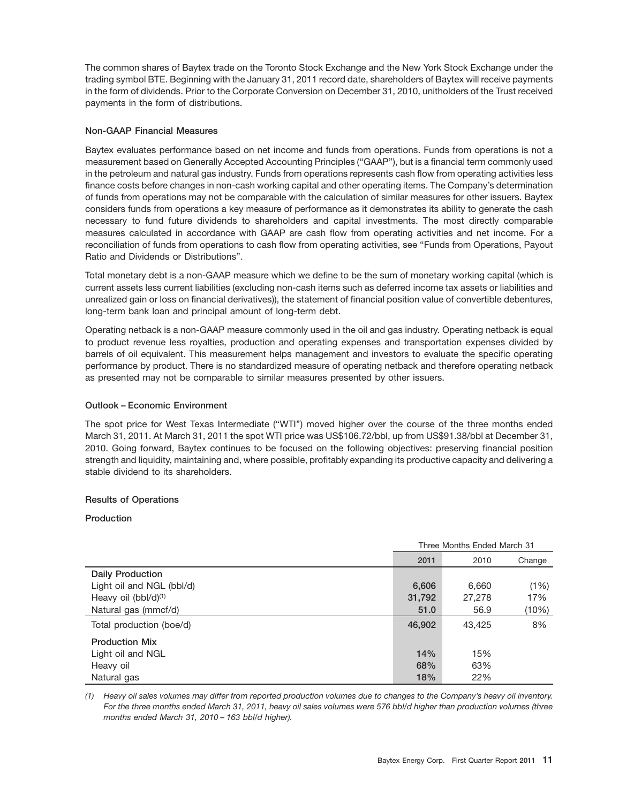The common shares of Baytex trade on the Toronto Stock Exchange and the New York Stock Exchange under the trading symbol BTE. Beginning with the January 31, 2011 record date, shareholders of Baytex will receive payments in the form of dividends. Prior to the Corporate Conversion on December 31, 2010, unitholders of the Trust received payments in the form of distributions.

# **Non-GAAP Financial Measures**

Baytex evaluates performance based on net income and funds from operations. Funds from operations is not a measurement based on Generally Accepted Accounting Principles (''GAAP''), but is a financial term commonly used in the petroleum and natural gas industry. Funds from operations represents cash flow from operating activities less finance costs before changes in non-cash working capital and other operating items. The Company's determination of funds from operations may not be comparable with the calculation of similar measures for other issuers. Baytex considers funds from operations a key measure of performance as it demonstrates its ability to generate the cash necessary to fund future dividends to shareholders and capital investments. The most directly comparable measures calculated in accordance with GAAP are cash flow from operating activities and net income. For a reconciliation of funds from operations to cash flow from operating activities, see "Funds from Operations, Payout Ratio and Dividends or Distributions''.

Total monetary debt is a non-GAAP measure which we define to be the sum of monetary working capital (which is current assets less current liabilities (excluding non-cash items such as deferred income tax assets or liabilities and unrealized gain or loss on financial derivatives)), the statement of financial position value of convertible debentures, long-term bank loan and principal amount of long-term debt.

Operating netback is a non-GAAP measure commonly used in the oil and gas industry. Operating netback is equal to product revenue less royalties, production and operating expenses and transportation expenses divided by barrels of oil equivalent. This measurement helps management and investors to evaluate the specific operating performance by product. There is no standardized measure of operating netback and therefore operating netback as presented may not be comparable to similar measures presented by other issuers.

# **Outlook – Economic Environment**

The spot price for West Texas Intermediate (''WTI'') moved higher over the course of the three months ended March 31, 2011. At March 31, 2011 the spot WTI price was US\$106.72/bbl, up from US\$91.38/bbl at December 31, 2010. Going forward, Baytex continues to be focused on the following objectives: preserving financial position strength and liquidity, maintaining and, where possible, profitably expanding its productive capacity and delivering a stable dividend to its shareholders.

# **Results of Operations**

# **Production**

|                                  | Three Months Ended March 31 |        |        |  |
|----------------------------------|-----------------------------|--------|--------|--|
|                                  | 2011                        | 2010   | Change |  |
| <b>Daily Production</b>          |                             |        |        |  |
| Light oil and NGL (bbl/d)        | 6,606                       | 6.660  | (1%)   |  |
| Heavy oil (bbl/d) <sup>(1)</sup> | 31,792                      | 27,278 | 17%    |  |
| Natural gas (mmcf/d)             | 51.0                        | 56.9   | (10%)  |  |
| Total production (boe/d)         | 46,902                      | 43.425 | 8%     |  |
| <b>Production Mix</b>            |                             |        |        |  |
| Light oil and NGL                | 14%                         | 15%    |        |  |
| Heavy oil                        | 68%                         | 63%    |        |  |
| Natural gas                      | 18%                         | 22%    |        |  |

*(1) Heavy oil sales volumes may differ from reported production volumes due to changes to the Company's heavy oil inventory. For the three months ended March 31, 2011, heavy oil sales volumes were 576 bbl/d higher than production volumes (three months ended March 31, 2010 – 163 bbl/d higher).*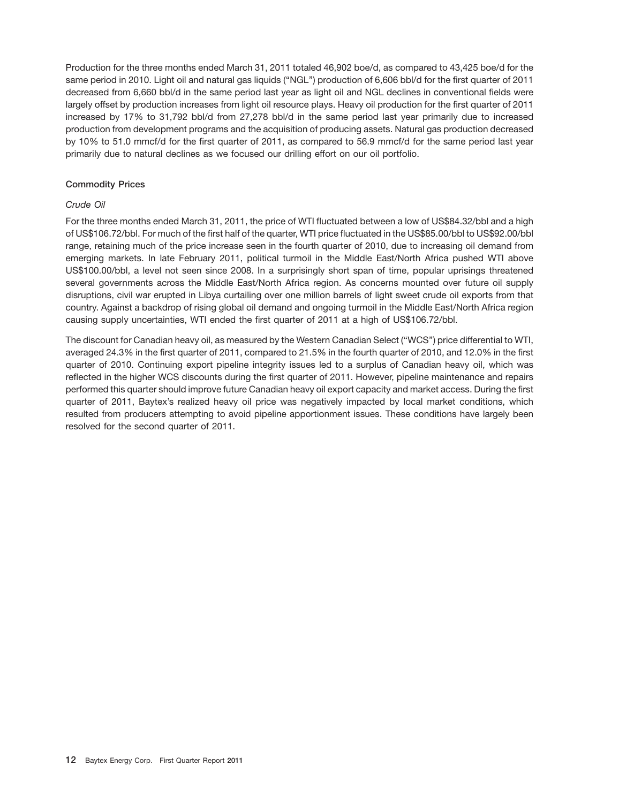Production for the three months ended March 31, 2011 totaled 46,902 boe/d, as compared to 43,425 boe/d for the same period in 2010. Light oil and natural gas liquids (''NGL'') production of 6,606 bbl/d for the first quarter of 2011 decreased from 6,660 bbl/d in the same period last year as light oil and NGL declines in conventional fields were largely offset by production increases from light oil resource plays. Heavy oil production for the first quarter of 2011 increased by 17% to 31,792 bbl/d from 27,278 bbl/d in the same period last year primarily due to increased production from development programs and the acquisition of producing assets. Natural gas production decreased by 10% to 51.0 mmcf/d for the first quarter of 2011, as compared to 56.9 mmcf/d for the same period last year primarily due to natural declines as we focused our drilling effort on our oil portfolio.

# **Commodity Prices**

# *Crude Oil*

For the three months ended March 31, 2011, the price of WTI fluctuated between a low of US\$84.32/bbl and a high of US\$106.72/bbl. For much of the first half of the quarter, WTI price fluctuated in the US\$85.00/bbl to US\$92.00/bbl range, retaining much of the price increase seen in the fourth quarter of 2010, due to increasing oil demand from emerging markets. In late February 2011, political turmoil in the Middle East/North Africa pushed WTI above US\$100.00/bbl, a level not seen since 2008. In a surprisingly short span of time, popular uprisings threatened several governments across the Middle East/North Africa region. As concerns mounted over future oil supply disruptions, civil war erupted in Libya curtailing over one million barrels of light sweet crude oil exports from that country. Against a backdrop of rising global oil demand and ongoing turmoil in the Middle East/North Africa region causing supply uncertainties, WTI ended the first quarter of 2011 at a high of US\$106.72/bbl.

The discount for Canadian heavy oil, as measured by the Western Canadian Select (''WCS'') price differential to WTI, averaged 24.3% in the first quarter of 2011, compared to 21.5% in the fourth quarter of 2010, and 12.0% in the first quarter of 2010. Continuing export pipeline integrity issues led to a surplus of Canadian heavy oil, which was reflected in the higher WCS discounts during the first quarter of 2011. However, pipeline maintenance and repairs performed this quarter should improve future Canadian heavy oil export capacity and market access. During the first quarter of 2011, Baytex's realized heavy oil price was negatively impacted by local market conditions, which resulted from producers attempting to avoid pipeline apportionment issues. These conditions have largely been resolved for the second quarter of 2011.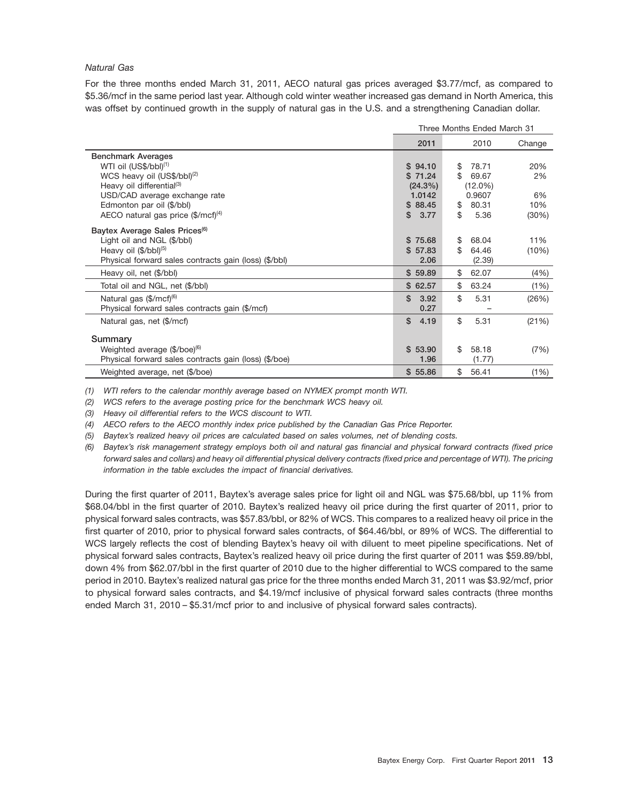# *Natural Gas*

For the three months ended March 31, 2011, AECO natural gas prices averaged \$3.77/mcf, as compared to \$5.36/mcf in the same period last year. Although cold winter weather increased gas demand in North America, this was offset by continued growth in the supply of natural gas in the U.S. and a strengthening Canadian dollar.

|                                                                                                                                                                                                                                                                    | Three Months Ended March 31                                         |                       |                                                         |                                 |  |
|--------------------------------------------------------------------------------------------------------------------------------------------------------------------------------------------------------------------------------------------------------------------|---------------------------------------------------------------------|-----------------------|---------------------------------------------------------|---------------------------------|--|
|                                                                                                                                                                                                                                                                    | 2011                                                                |                       | 2010                                                    | Change                          |  |
| <b>Benchmark Averages</b><br>WTI oil (US\$/bbl) <sup>(1)</sup><br>WCS heavy oil (US\$/bbl) <sup>(2)</sup><br>Heavy oil differential <sup>(3)</sup><br>USD/CAD average exchange rate<br>Edmonton par oil (\$/bbl)<br>AECO natural gas price (\$/mcf) <sup>(4)</sup> | \$94.10<br>\$71.24<br>$(24.3\%)$<br>1.0142<br>\$88.45<br>\$<br>3.77 | \$<br>\$.<br>\$<br>\$ | 78.71<br>69.67<br>$(12.0\%)$<br>0.9607<br>80.31<br>5.36 | 20%<br>2%<br>6%<br>10%<br>(30%) |  |
| Baytex Average Sales Prices <sup>(6)</sup><br>Light oil and NGL (\$/bbl)<br>Heavy oil (\$/bbl) <sup>(5)</sup><br>Physical forward sales contracts gain (loss) (\$/bbl)                                                                                             | S<br>75.68<br>\$57.83<br>2.06                                       | \$<br>\$              | 68.04<br>64.46<br>(2.39)                                | 11%<br>(10%)                    |  |
| Heavy oil, net (\$/bbl)                                                                                                                                                                                                                                            | \$59.89                                                             | \$                    | 62.07                                                   | (4% )                           |  |
| Total oil and NGL, net (\$/bbl)                                                                                                                                                                                                                                    | \$62.57                                                             | \$                    | 63.24                                                   | (1%)                            |  |
| Natural gas $(\frac{6}{m}$ cf) <sup>(6)</sup><br>Physical forward sales contracts gain (\$/mcf)                                                                                                                                                                    | \$<br>3.92<br>0.27                                                  | \$                    | 5.31                                                    | (26%)                           |  |
| Natural gas, net (\$/mcf)                                                                                                                                                                                                                                          | \$<br>4.19                                                          | \$                    | 5.31                                                    | (21%)                           |  |
| Summary<br>Weighted average (\$/boe) <sup>(6)</sup><br>Physical forward sales contracts gain (loss) (\$/boe)                                                                                                                                                       | \$53.90<br>1.96                                                     | \$                    | 58.18<br>(1.77)                                         | (7%)                            |  |
| Weighted average, net (\$/boe)                                                                                                                                                                                                                                     | \$55.86                                                             | \$                    | 56.41                                                   | (1%)                            |  |

*(1) WTI refers to the calendar monthly average based on NYMEX prompt month WTI.*

*(2) WCS refers to the average posting price for the benchmark WCS heavy oil.*

*(3) Heavy oil differential refers to the WCS discount to WTI.*

*(4) AECO refers to the AECO monthly index price published by the Canadian Gas Price Reporter.*

*(5) Baytex's realized heavy oil prices are calculated based on sales volumes, net of blending costs.*

*(6) Baytex's risk management strategy employs both oil and natural gas financial and physical forward contracts (fixed price forward sales and collars) and heavy oil differential physical delivery contracts (fixed price and percentage of WTI). The pricing information in the table excludes the impact of financial derivatives.*

During the first quarter of 2011, Baytex's average sales price for light oil and NGL was \$75.68/bbl, up 11% from \$68.04/bbl in the first quarter of 2010. Baytex's realized heavy oil price during the first quarter of 2011, prior to physical forward sales contracts, was \$57.83/bbl, or 82% of WCS. This compares to a realized heavy oil price in the first quarter of 2010, prior to physical forward sales contracts, of \$64.46/bbl, or 89% of WCS. The differential to WCS largely reflects the cost of blending Baytex's heavy oil with diluent to meet pipeline specifications. Net of physical forward sales contracts, Baytex's realized heavy oil price during the first quarter of 2011 was \$59.89/bbl, down 4% from \$62.07/bbl in the first quarter of 2010 due to the higher differential to WCS compared to the same period in 2010. Baytex's realized natural gas price for the three months ended March 31, 2011 was \$3.92/mcf, prior to physical forward sales contracts, and \$4.19/mcf inclusive of physical forward sales contracts (three months ended March 31, 2010 – \$5.31/mcf prior to and inclusive of physical forward sales contracts).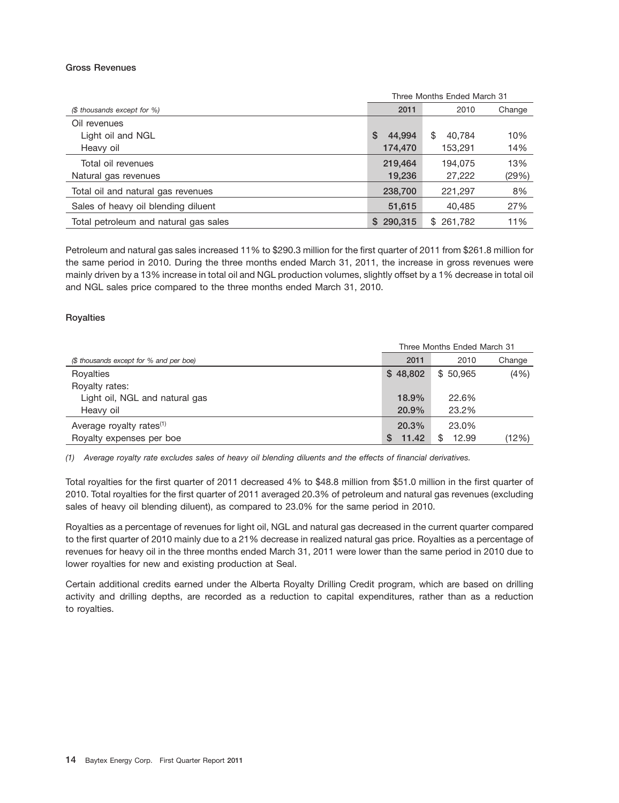#### **Gross Revenues**

|                                       | Three Months Ended March 31 |              |        |  |  |
|---------------------------------------|-----------------------------|--------------|--------|--|--|
| (\$ thousands except for %)           | 2011                        | 2010         | Change |  |  |
| Oil revenues                          |                             |              |        |  |  |
| Light oil and NGL                     | \$<br>44.994                | 40.784<br>\$ | 10%    |  |  |
| Heavy oil                             | 174,470                     | 153,291      | 14%    |  |  |
| Total oil revenues                    | 219,464                     | 194.075      | 13%    |  |  |
| Natural gas revenues                  | 19,236                      | 27,222       | (29%)  |  |  |
| Total oil and natural gas revenues    | 238,700                     | 221,297      | 8%     |  |  |
| Sales of heavy oil blending diluent   | 51,615                      | 40.485       | 27%    |  |  |
| Total petroleum and natural gas sales | 290,315<br>S                | \$261,782    | 11%    |  |  |

Petroleum and natural gas sales increased 11% to \$290.3 million for the first quarter of 2011 from \$261.8 million for the same period in 2010. During the three months ended March 31, 2011, the increase in gross revenues were mainly driven by a 13% increase in total oil and NGL production volumes, slightly offset by a 1% decrease in total oil and NGL sales price compared to the three months ended March 31, 2010.

# **Royalties**

|                                         | Three Months Ended March 31 |            |        |  |  |
|-----------------------------------------|-----------------------------|------------|--------|--|--|
| (\$ thousands except for % and per boe) | 2011                        | 2010       | Change |  |  |
| Royalties                               | \$48,802                    | \$50,965   | (4% )  |  |  |
| Royalty rates:                          |                             |            |        |  |  |
| Light oil, NGL and natural gas          | 18.9%                       | 22.6%      |        |  |  |
| Heavy oil                               | 20.9%                       | 23.2%      |        |  |  |
| Average royalty rates <sup>(1)</sup>    | 20.3%                       | 23.0%      |        |  |  |
| Royalty expenses per boe                | 11.42<br>S                  | 12.99<br>S | (12%)  |  |  |

*(1) Average royalty rate excludes sales of heavy oil blending diluents and the effects of financial derivatives.*

Total royalties for the first quarter of 2011 decreased 4% to \$48.8 million from \$51.0 million in the first quarter of 2010. Total royalties for the first quarter of 2011 averaged 20.3% of petroleum and natural gas revenues (excluding sales of heavy oil blending diluent), as compared to 23.0% for the same period in 2010.

Royalties as a percentage of revenues for light oil, NGL and natural gas decreased in the current quarter compared to the first quarter of 2010 mainly due to a 21% decrease in realized natural gas price. Royalties as a percentage of revenues for heavy oil in the three months ended March 31, 2011 were lower than the same period in 2010 due to lower royalties for new and existing production at Seal.

Certain additional credits earned under the Alberta Royalty Drilling Credit program, which are based on drilling activity and drilling depths, are recorded as a reduction to capital expenditures, rather than as a reduction to royalties.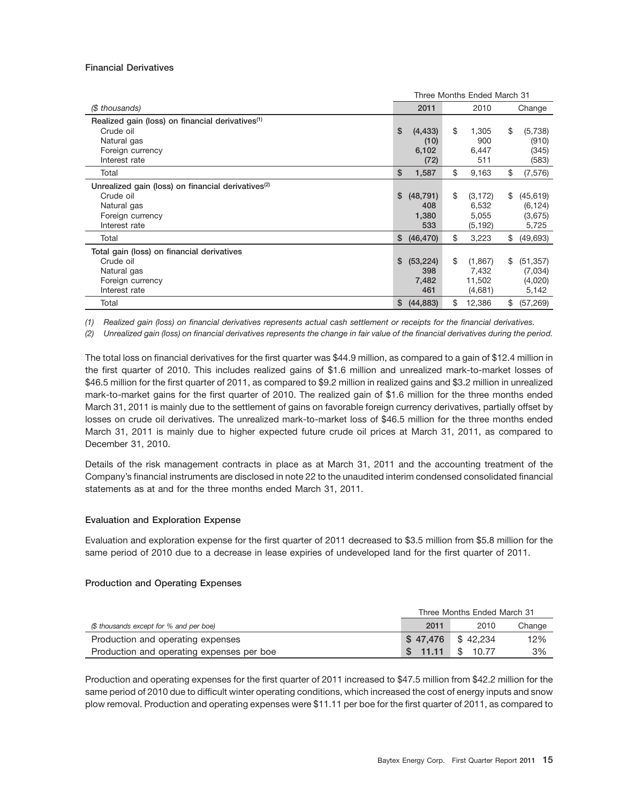#### **Financial Derivatives**

|                                                                | Three Months Ended March 31 |           |    |          |    |           |
|----------------------------------------------------------------|-----------------------------|-----------|----|----------|----|-----------|
| (\$ thousands)                                                 |                             | 2011      |    | 2010     |    | Change    |
| Realized gain (loss) on financial derivatives <sup>(1)</sup>   |                             |           |    |          |    |           |
| Crude oil                                                      | \$                          | (4, 433)  | \$ | 1,305    | \$ | (5,738)   |
| Natural gas                                                    |                             | (10)      |    | 900      |    | (910)     |
| Foreign currency                                               |                             | 6,102     |    | 6,447    |    | (345)     |
| Interest rate                                                  |                             | (72)      |    | 511      |    | (583)     |
| Total                                                          | \$                          | 1,587     | \$ | 9,163    | \$ | (7, 576)  |
| Unrealized gain (loss) on financial derivatives <sup>(2)</sup> |                             |           |    |          |    |           |
| Crude oil                                                      | \$                          | (48, 791) | \$ | (3, 172) | \$ | (45, 619) |
| Natural gas                                                    |                             | 408       |    | 6,532    |    | (6, 124)  |
| Foreign currency                                               |                             | 1,380     |    | 5,055    |    | (3,675)   |
| Interest rate                                                  |                             | 533       |    | (5, 192) |    | 5,725     |
| Total                                                          | \$                          | (46, 470) | \$ | 3,223    | \$ | (49, 693) |
| Total gain (loss) on financial derivatives                     |                             |           |    |          |    |           |
| Crude oil                                                      | \$                          | (53, 224) | \$ | (1,867)  | \$ | (51, 357) |
| Natural gas                                                    |                             | 398       |    | 7,432    |    | (7,034)   |
| Foreign currency                                               |                             | 7,482     |    | 11,502   |    | (4,020)   |
| Interest rate                                                  |                             | 461       |    | (4,681)  |    | 5,142     |
| Total                                                          | \$                          | (44, 883) | \$ | 12,386   | \$ | (57, 269) |

*(1) Realized gain (loss) on financial derivatives represents actual cash settlement or receipts for the financial derivatives.*

*(2) Unrealized gain (loss) on financial derivatives represents the change in fair value of the financial derivatives during the period.*

The total loss on financial derivatives for the first quarter was \$44.9 million, as compared to a gain of \$12.4 million in the first quarter of 2010. This includes realized gains of \$1.6 million and unrealized mark-to-market losses of \$46.5 million for the first quarter of 2011, as compared to \$9.2 million in realized gains and \$3.2 million in unrealized mark-to-market gains for the first quarter of 2010. The realized gain of \$1.6 million for the three months ended March 31, 2011 is mainly due to the settlement of gains on favorable foreign currency derivatives, partially offset by losses on crude oil derivatives. The unrealized mark-to-market loss of \$46.5 million for the three months ended March 31, 2011 is mainly due to higher expected future crude oil prices at March 31, 2011, as compared to December 31, 2010.

Details of the risk management contracts in place as at March 31, 2011 and the accounting treatment of the Company's financial instruments are disclosed in note 22 to the unaudited interim condensed consolidated financial statements as at and for the three months ended March 31, 2011.

# **Evaluation and Exploration Expense**

Evaluation and exploration expense for the first quarter of 2011 decreased to \$3.5 million from \$5.8 million for the same period of 2010 due to a decrease in lease expiries of undeveloped land for the first quarter of 2011.

#### **Production and Operating Expenses**

|                                           | Three Months Ended March 31 |          |        |  |
|-------------------------------------------|-----------------------------|----------|--------|--|
| (\$ thousands except for % and per boe)   | 2011                        | 2010     | Change |  |
| Production and operating expenses         | \$47,476 \$42,234           |          | 12%    |  |
| Production and operating expenses per boe | \$11.11                     | \$ 10.77 | 3%     |  |

Production and operating expenses for the first quarter of 2011 increased to \$47.5 million from \$42.2 million for the same period of 2010 due to difficult winter operating conditions, which increased the cost of energy inputs and snow plow removal. Production and operating expenses were \$11.11 per boe for the first quarter of 2011, as compared to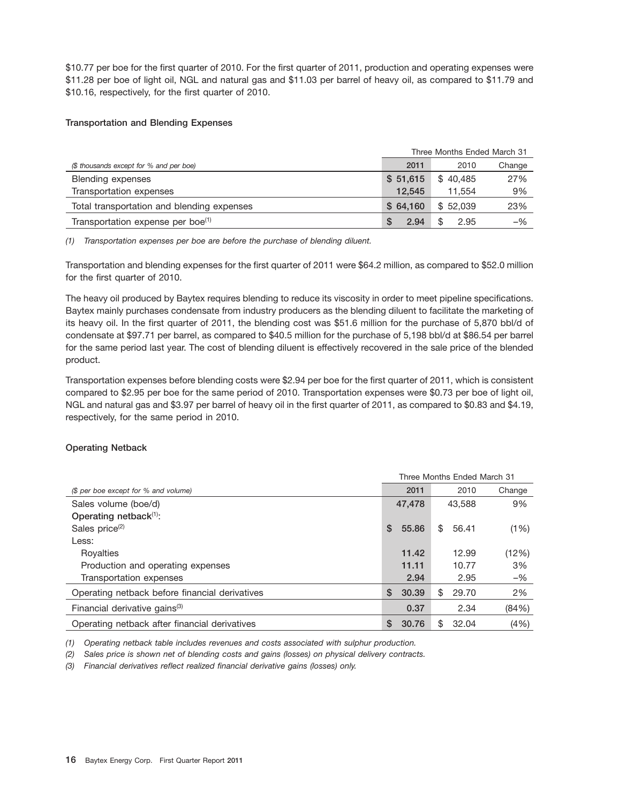\$10.77 per boe for the first quarter of 2010. For the first quarter of 2011, production and operating expenses were \$11.28 per boe of light oil, NGL and natural gas and \$11.03 per barrel of heavy oil, as compared to \$11.79 and \$10.16, respectively, for the first quarter of 2010.

# **Transportation and Blending Expenses**

|                                               | Three Months Ended March 31 |             |        |  |
|-----------------------------------------------|-----------------------------|-------------|--------|--|
| (\$ thousands except for % and per boe)       | 2011                        | 2010        | Change |  |
| <b>Blending expenses</b>                      | \$51,615                    | \$40.485    | 27%    |  |
| Transportation expenses                       | 12.545                      | 11.554      | 9%     |  |
| Total transportation and blending expenses    | \$64.160                    | \$52.039    | 23%    |  |
| Transportation expense per boe <sup>(1)</sup> | 2.94<br>S.                  | \$.<br>2.95 | $-$ %  |  |

*(1) Transportation expenses per boe are before the purchase of blending diluent.*

Transportation and blending expenses for the first quarter of 2011 were \$64.2 million, as compared to \$52.0 million for the first quarter of 2010.

The heavy oil produced by Baytex requires blending to reduce its viscosity in order to meet pipeline specifications. Baytex mainly purchases condensate from industry producers as the blending diluent to facilitate the marketing of its heavy oil. In the first quarter of 2011, the blending cost was \$51.6 million for the purchase of 5,870 bbl/d of condensate at \$97.71 per barrel, as compared to \$40.5 million for the purchase of 5,198 bbl/d at \$86.54 per barrel for the same period last year. The cost of blending diluent is effectively recovered in the sale price of the blended product.

Transportation expenses before blending costs were \$2.94 per boe for the first quarter of 2011, which is consistent compared to \$2.95 per boe for the same period of 2010. Transportation expenses were \$0.73 per boe of light oil, NGL and natural gas and \$3.97 per barrel of heavy oil in the first quarter of 2011, as compared to \$0.83 and \$4.19, respectively, for the same period in 2010.

# **Operating Netback**

|                                                | Three Months Ended March 31 |        |     |        |        |
|------------------------------------------------|-----------------------------|--------|-----|--------|--------|
| (\$ per boe except for % and volume)           |                             | 2011   |     | 2010   | Change |
| Sales volume (boe/d)                           |                             | 47,478 |     | 43.588 | 9%     |
| Operating netback <sup>(1)</sup> :             |                             |        |     |        |        |
| Sales price <sup>(2)</sup>                     | \$                          | 55.86  | \$  | 56.41  | (1%)   |
| Less:                                          |                             |        |     |        |        |
| Royalties                                      |                             | 11.42  |     | 12.99  | (12%)  |
| Production and operating expenses              |                             | 11.11  |     | 10.77  | 3%     |
| Transportation expenses                        |                             | 2.94   |     | 2.95   | $-$ %  |
| Operating netback before financial derivatives | \$                          | 30.39  | S   | 29.70  | 2%     |
| Financial derivative gains <sup>(3)</sup>      |                             | 0.37   |     | 2.34   | (84%)  |
| Operating netback after financial derivatives  | S                           | 30.76  | \$. | 32.04  | (4% )  |

*(1) Operating netback table includes revenues and costs associated with sulphur production.*

*(2) Sales price is shown net of blending costs and gains (losses) on physical delivery contracts.*

*(3) Financial derivatives reflect realized financial derivative gains (losses) only.*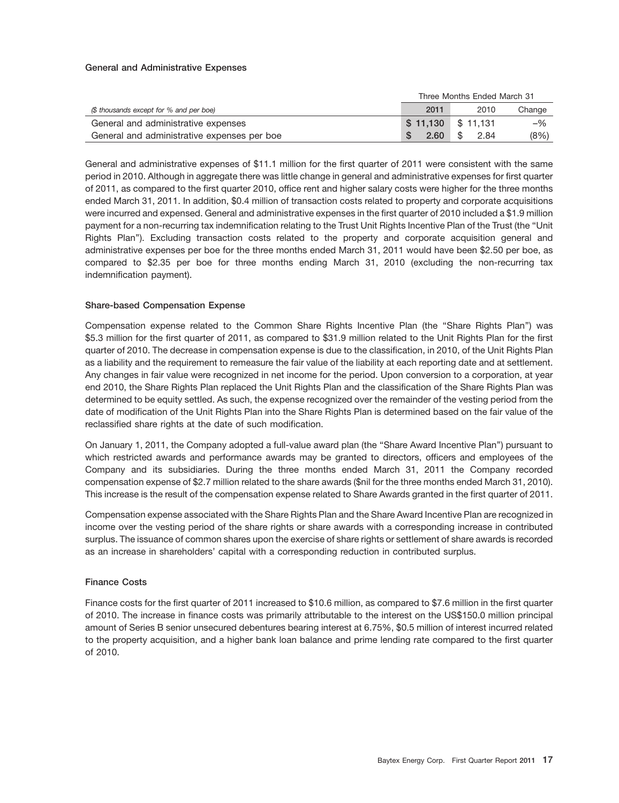#### **General and Administrative Expenses**

|                                             | Three Months Ended March 31 |             |        |  |
|---------------------------------------------|-----------------------------|-------------|--------|--|
| (\$ thousands except for % and per boe)     | 2011                        | 2010        | Change |  |
| General and administrative expenses         | $$11,130$ $$11,131$         |             | $-$ %  |  |
| General and administrative expenses per boe | 2.60                        | -\$<br>2.84 | (8%)   |  |

General and administrative expenses of \$11.1 million for the first quarter of 2011 were consistent with the same period in 2010. Although in aggregate there was little change in general and administrative expenses for first quarter of 2011, as compared to the first quarter 2010, office rent and higher salary costs were higher for the three months ended March 31, 2011. In addition, \$0.4 million of transaction costs related to property and corporate acquisitions were incurred and expensed. General and administrative expenses in the first quarter of 2010 included a \$1.9 million payment for a non-recurring tax indemnification relating to the Trust Unit Rights Incentive Plan of the Trust (the ''Unit Rights Plan''). Excluding transaction costs related to the property and corporate acquisition general and administrative expenses per boe for the three months ended March 31, 2011 would have been \$2.50 per boe, as compared to \$2.35 per boe for three months ending March 31, 2010 (excluding the non-recurring tax indemnification payment).

# **Share-based Compensation Expense**

Compensation expense related to the Common Share Rights Incentive Plan (the ''Share Rights Plan'') was \$5.3 million for the first quarter of 2011, as compared to \$31.9 million related to the Unit Rights Plan for the first quarter of 2010. The decrease in compensation expense is due to the classification, in 2010, of the Unit Rights Plan as a liability and the requirement to remeasure the fair value of the liability at each reporting date and at settlement. Any changes in fair value were recognized in net income for the period. Upon conversion to a corporation, at year end 2010, the Share Rights Plan replaced the Unit Rights Plan and the classification of the Share Rights Plan was determined to be equity settled. As such, the expense recognized over the remainder of the vesting period from the date of modification of the Unit Rights Plan into the Share Rights Plan is determined based on the fair value of the reclassified share rights at the date of such modification.

On January 1, 2011, the Company adopted a full-value award plan (the ''Share Award Incentive Plan'') pursuant to which restricted awards and performance awards may be granted to directors, officers and employees of the Company and its subsidiaries. During the three months ended March 31, 2011 the Company recorded compensation expense of \$2.7 million related to the share awards (\$nil for the three months ended March 31, 2010). This increase is the result of the compensation expense related to Share Awards granted in the first quarter of 2011.

Compensation expense associated with the Share Rights Plan and the Share Award Incentive Plan are recognized in income over the vesting period of the share rights or share awards with a corresponding increase in contributed surplus. The issuance of common shares upon the exercise of share rights or settlement of share awards is recorded as an increase in shareholders' capital with a corresponding reduction in contributed surplus.

# **Finance Costs**

Finance costs for the first quarter of 2011 increased to \$10.6 million, as compared to \$7.6 million in the first quarter of 2010. The increase in finance costs was primarily attributable to the interest on the US\$150.0 million principal amount of Series B senior unsecured debentures bearing interest at 6.75%, \$0.5 million of interest incurred related to the property acquisition, and a higher bank loan balance and prime lending rate compared to the first quarter of 2010.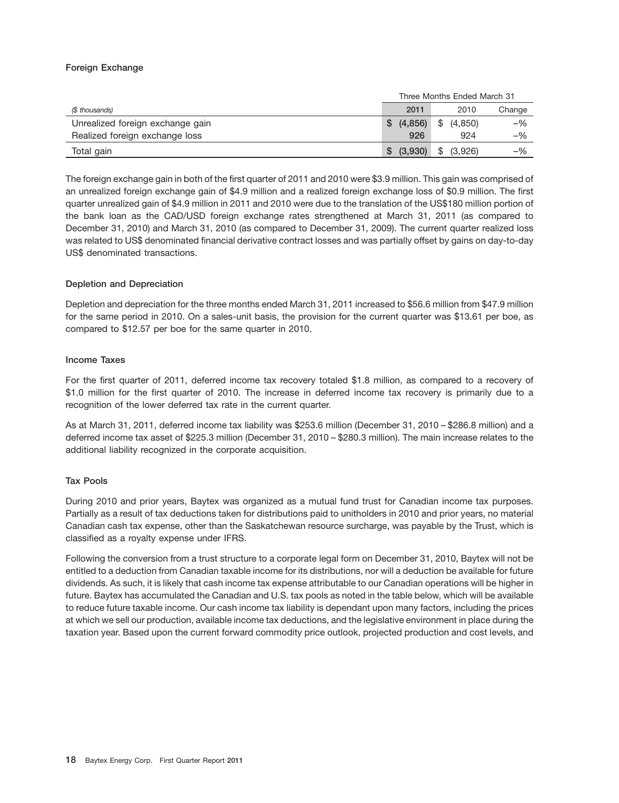# **Foreign Exchange**

|                                  | Three Months Ended March 31 |               |        |  |
|----------------------------------|-----------------------------|---------------|--------|--|
| (\$ thousands)                   | 2011                        | 2010          | Change |  |
| Unrealized foreign exchange gain | \$(4,856)                   | (4,850)<br>\$ | $-$ %  |  |
| Realized foreign exchange loss   | 926                         | 924           | -%     |  |
| Total gain                       | \$ (3,930)                  | \$ (3,926)    | -%     |  |

The foreign exchange gain in both of the first quarter of 2011 and 2010 were \$3.9 million. This gain was comprised of an unrealized foreign exchange gain of \$4.9 million and a realized foreign exchange loss of \$0.9 million. The first quarter unrealized gain of \$4.9 million in 2011 and 2010 were due to the translation of the US\$180 million portion of the bank loan as the CAD/USD foreign exchange rates strengthened at March 31, 2011 (as compared to December 31, 2010) and March 31, 2010 (as compared to December 31, 2009). The current quarter realized loss was related to US\$ denominated financial derivative contract losses and was partially offset by gains on day-to-day US\$ denominated transactions.

# **Depletion and Depreciation**

Depletion and depreciation for the three months ended March 31, 2011 increased to \$56.6 million from \$47.9 million for the same period in 2010. On a sales-unit basis, the provision for the current quarter was \$13.61 per boe, as compared to \$12.57 per boe for the same quarter in 2010.

# **Income Taxes**

For the first quarter of 2011, deferred income tax recovery totaled \$1.8 million, as compared to a recovery of \$1.0 million for the first quarter of 2010. The increase in deferred income tax recovery is primarily due to a recognition of the lower deferred tax rate in the current quarter.

As at March 31, 2011, deferred income tax liability was \$253.6 million (December 31, 2010 – \$286.8 million) and a deferred income tax asset of \$225.3 million (December 31, 2010 – \$280.3 million). The main increase relates to the additional liability recognized in the corporate acquisition.

# **Tax Pools**

During 2010 and prior years, Baytex was organized as a mutual fund trust for Canadian income tax purposes. Partially as a result of tax deductions taken for distributions paid to unitholders in 2010 and prior years, no material Canadian cash tax expense, other than the Saskatchewan resource surcharge, was payable by the Trust, which is classified as a royalty expense under IFRS.

Following the conversion from a trust structure to a corporate legal form on December 31, 2010, Baytex will not be entitled to a deduction from Canadian taxable income for its distributions, nor will a deduction be available for future dividends. As such, it is likely that cash income tax expense attributable to our Canadian operations will be higher in future. Baytex has accumulated the Canadian and U.S. tax pools as noted in the table below, which will be available to reduce future taxable income. Our cash income tax liability is dependant upon many factors, including the prices at which we sell our production, available income tax deductions, and the legislative environment in place during the taxation year. Based upon the current forward commodity price outlook, projected production and cost levels, and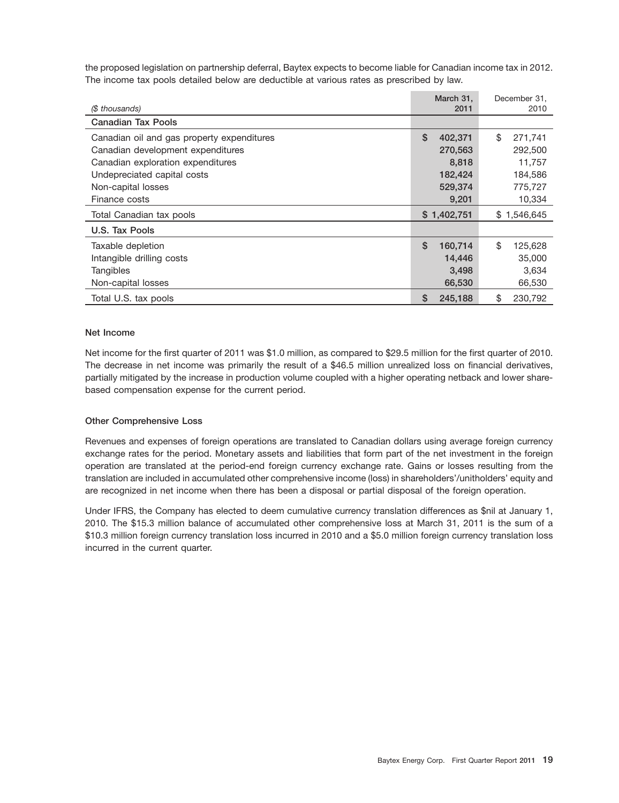the proposed legislation on partnership deferral, Baytex expects to become liable for Canadian income tax in 2012. The income tax pools detailed below are deductible at various rates as prescribed by law.

| (\$ thousands)                                                         | March 31,<br>2011 | December 31,<br>2010 |
|------------------------------------------------------------------------|-------------------|----------------------|
| <b>Canadian Tax Pools</b>                                              |                   |                      |
| Canadian oil and gas property expenditures                             | \$<br>402,371     | \$<br>271,741        |
| Canadian development expenditures<br>Canadian exploration expenditures | 270,563<br>8,818  | 292,500<br>11,757    |
| Undepreciated capital costs                                            | 182,424           | 184,586              |
| Non-capital losses                                                     | 529,374           | 775,727              |
| Finance costs                                                          | 9,201             | 10,334               |
| Total Canadian tax pools                                               | \$1,402,751       | \$1,546,645          |
| U.S. Tax Pools                                                         |                   |                      |
| Taxable depletion                                                      | \$<br>160,714     | \$<br>125,628        |
| Intangible drilling costs                                              | 14,446            | 35,000               |
| Tangibles                                                              | 3,498             | 3,634                |
| Non-capital losses                                                     | 66,530            | 66,530               |
| Total U.S. tax pools                                                   | \$<br>245.188     | \$<br>230.792        |

#### **Net Income**

Net income for the first quarter of 2011 was \$1.0 million, as compared to \$29.5 million for the first quarter of 2010. The decrease in net income was primarily the result of a \$46.5 million unrealized loss on financial derivatives, partially mitigated by the increase in production volume coupled with a higher operating netback and lower sharebased compensation expense for the current period.

# **Other Comprehensive Loss**

Revenues and expenses of foreign operations are translated to Canadian dollars using average foreign currency exchange rates for the period. Monetary assets and liabilities that form part of the net investment in the foreign operation are translated at the period-end foreign currency exchange rate. Gains or losses resulting from the translation are included in accumulated other comprehensive income (loss) in shareholders'/unitholders' equity and are recognized in net income when there has been a disposal or partial disposal of the foreign operation.

Under IFRS, the Company has elected to deem cumulative currency translation differences as \$nil at January 1, 2010. The \$15.3 million balance of accumulated other comprehensive loss at March 31, 2011 is the sum of a \$10.3 million foreign currency translation loss incurred in 2010 and a \$5.0 million foreign currency translation loss incurred in the current quarter.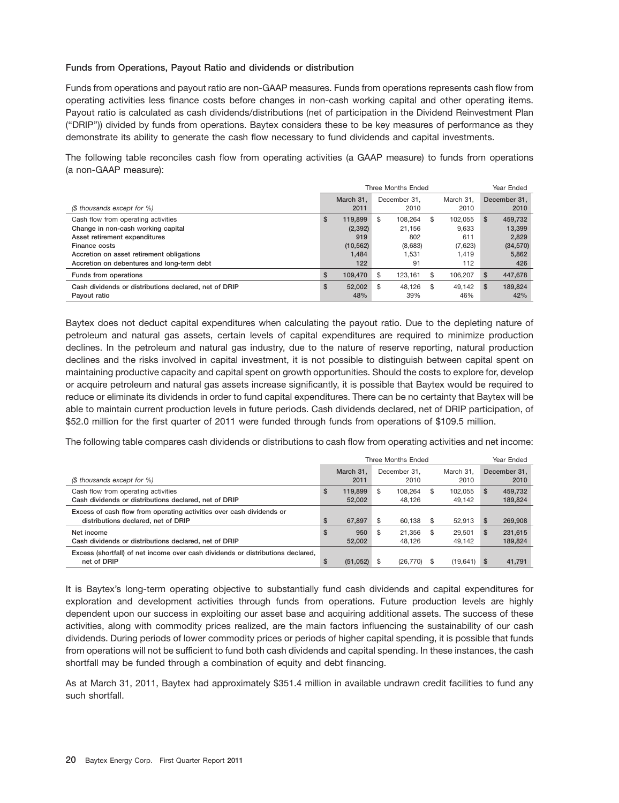# **Funds from Operations, Payout Ratio and dividends or distribution**

Funds from operations and payout ratio are non-GAAP measures. Funds from operations represents cash flow from operating activities less finance costs before changes in non-cash working capital and other operating items. Payout ratio is calculated as cash dividends/distributions (net of participation in the Dividend Reinvestment Plan (''DRIP'')) divided by funds from operations. Baytex considers these to be key measures of performance as they demonstrate its ability to generate the cash flow necessary to fund dividends and capital investments.

The following table reconciles cash flow from operating activities (a GAAP measure) to funds from operations (a non-GAAP measure):

|                                                       | Three Months Ended |           |              |         |      |           | Year Ended   |           |  |
|-------------------------------------------------------|--------------------|-----------|--------------|---------|------|-----------|--------------|-----------|--|
|                                                       |                    | March 31. | December 31. |         |      | March 31. | December 31. |           |  |
| (\$ thousands except for %)                           |                    | 2011      |              | 2010    |      | 2010      |              | 2010      |  |
| Cash flow from operating activities                   | \$                 | 119.899   | \$           | 108.264 | \$.  | 102.055   | S            | 459,732   |  |
| Change in non-cash working capital                    |                    | (2, 392)  |              | 21.156  |      | 9.633     |              | 13.399    |  |
| Asset retirement expenditures                         |                    | 919       |              | 802     |      | 611       |              | 2,829     |  |
| Finance costs                                         |                    | (10, 562) |              | (8,683) |      | (7,623)   |              | (34, 570) |  |
| Accretion on asset retirement obligations             |                    | 1,484     |              | 1.531   |      | 1.419     |              | 5,862     |  |
| Accretion on debentures and long-term debt            |                    | 122       |              | 91      |      | 112       |              | 426       |  |
| Funds from operations                                 | $\mathbf{s}$       | 109.470   | \$           | 123.161 | \$.  | 106.207   | S            | 447,678   |  |
| Cash dividends or distributions declared, net of DRIP | \$                 | 52.002    | \$           | 48.126  | - \$ | 49.142    | S            | 189,824   |  |
| Pavout ratio                                          |                    | 48%       |              | 39%     |      | 46%       |              | 42%       |  |

Baytex does not deduct capital expenditures when calculating the payout ratio. Due to the depleting nature of petroleum and natural gas assets, certain levels of capital expenditures are required to minimize production declines. In the petroleum and natural gas industry, due to the nature of reserve reporting, natural production declines and the risks involved in capital investment, it is not possible to distinguish between capital spent on maintaining productive capacity and capital spent on growth opportunities. Should the costs to explore for, develop or acquire petroleum and natural gas assets increase significantly, it is possible that Baytex would be required to reduce or eliminate its dividends in order to fund capital expenditures. There can be no certainty that Baytex will be able to maintain current production levels in future periods. Cash dividends declared, net of DRIP participation, of \$52.0 million for the first quarter of 2011 were funded through funds from operations of \$109.5 million.

The following table compares cash dividends or distributions to cash flow from operating activities and net income:

|                                                                                 | Three Months Ended |                   |                                           |           |     |                      | Year Ended |         |  |
|---------------------------------------------------------------------------------|--------------------|-------------------|-------------------------------------------|-----------|-----|----------------------|------------|---------|--|
| (\$ thousands except for %)                                                     |                    | March 31.<br>2011 | December 31.<br>March 31.<br>2010<br>2010 |           |     | December 31.<br>2010 |            |         |  |
|                                                                                 |                    |                   |                                           |           |     |                      |            |         |  |
| Cash flow from operating activities                                             | \$                 | 119,899           | \$                                        | 108.264   | \$. | 102.055              | S          | 459,732 |  |
| Cash dividends or distributions declared, net of DRIP                           |                    | 52,002            |                                           | 48.126    |     | 49.142               |            | 189,824 |  |
| Excess of cash flow from operating activities over cash dividends or            |                    |                   |                                           |           |     |                      |            |         |  |
| distributions declared, net of DRIP                                             | \$                 | 67.897            | \$                                        | 60,138    | \$  | 52.913               | <b>S</b>   | 269,908 |  |
| Net income                                                                      | \$                 | 950               | \$                                        | 21.356    | -S  | 29,501               | <b>S</b>   | 231,615 |  |
| Cash dividends or distributions declared, net of DRIP                           |                    | 52,002            |                                           | 48.126    |     | 49.142               |            | 189,824 |  |
| Excess (shortfall) of net income over cash dividends or distributions declared, |                    |                   |                                           |           |     |                      |            |         |  |
| net of DRIP                                                                     | \$.                | (51, 052)         |                                           | (26, 770) | -S  | (19,641)             | -S         | 41,791  |  |

It is Baytex's long-term operating objective to substantially fund cash dividends and capital expenditures for exploration and development activities through funds from operations. Future production levels are highly dependent upon our success in exploiting our asset base and acquiring additional assets. The success of these activities, along with commodity prices realized, are the main factors influencing the sustainability of our cash dividends. During periods of lower commodity prices or periods of higher capital spending, it is possible that funds from operations will not be sufficient to fund both cash dividends and capital spending. In these instances, the cash shortfall may be funded through a combination of equity and debt financing.

As at March 31, 2011, Baytex had approximately \$351.4 million in available undrawn credit facilities to fund any such shortfall.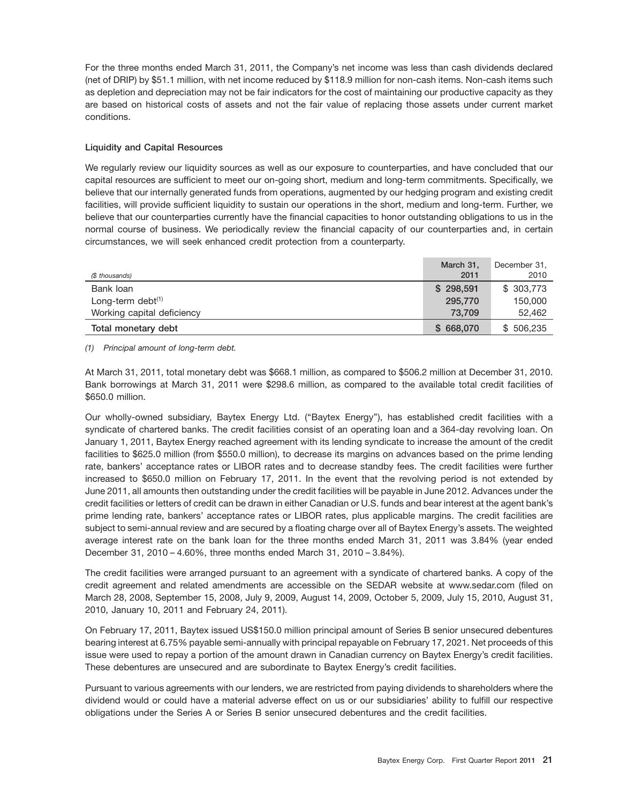For the three months ended March 31, 2011, the Company's net income was less than cash dividends declared (net of DRIP) by \$51.1 million, with net income reduced by \$118.9 million for non-cash items. Non-cash items such as depletion and depreciation may not be fair indicators for the cost of maintaining our productive capacity as they are based on historical costs of assets and not the fair value of replacing those assets under current market conditions.

# **Liquidity and Capital Resources**

We regularly review our liquidity sources as well as our exposure to counterparties, and have concluded that our capital resources are sufficient to meet our on-going short, medium and long-term commitments. Specifically, we believe that our internally generated funds from operations, augmented by our hedging program and existing credit facilities, will provide sufficient liquidity to sustain our operations in the short, medium and long-term. Further, we believe that our counterparties currently have the financial capacities to honor outstanding obligations to us in the normal course of business. We periodically review the financial capacity of our counterparties and, in certain circumstances, we will seek enhanced credit protection from a counterparty.

|                            | March 31, | December 31, |
|----------------------------|-----------|--------------|
| (\$ thousands)             | 2011      | 2010         |
| Bank loan                  | \$298.591 | \$303,773    |
| Long-term debt $(1)$       | 295,770   | 150,000      |
| Working capital deficiency | 73,709    | 52,462       |
| Total monetary debt        | \$668,070 | \$506,235    |

*(1) Principal amount of long-term debt.*

At March 31, 2011, total monetary debt was \$668.1 million, as compared to \$506.2 million at December 31, 2010. Bank borrowings at March 31, 2011 were \$298.6 million, as compared to the available total credit facilities of \$650.0 million.

Our wholly-owned subsidiary, Baytex Energy Ltd. (''Baytex Energy''), has established credit facilities with a syndicate of chartered banks. The credit facilities consist of an operating loan and a 364-day revolving loan. On January 1, 2011, Baytex Energy reached agreement with its lending syndicate to increase the amount of the credit facilities to \$625.0 million (from \$550.0 million), to decrease its margins on advances based on the prime lending rate, bankers' acceptance rates or LIBOR rates and to decrease standby fees. The credit facilities were further increased to \$650.0 million on February 17, 2011. In the event that the revolving period is not extended by June 2011, all amounts then outstanding under the credit facilities will be payable in June 2012. Advances under the credit facilities or letters of credit can be drawn in either Canadian or U.S. funds and bear interest at the agent bank's prime lending rate, bankers' acceptance rates or LIBOR rates, plus applicable margins. The credit facilities are subject to semi-annual review and are secured by a floating charge over all of Baytex Energy's assets. The weighted average interest rate on the bank loan for the three months ended March 31, 2011 was 3.84% (year ended December 31, 2010 – 4.60%, three months ended March 31, 2010 – 3.84%).

The credit facilities were arranged pursuant to an agreement with a syndicate of chartered banks. A copy of the credit agreement and related amendments are accessible on the SEDAR website at www.sedar.com (filed on March 28, 2008, September 15, 2008, July 9, 2009, August 14, 2009, October 5, 2009, July 15, 2010, August 31, 2010, January 10, 2011 and February 24, 2011).

On February 17, 2011, Baytex issued US\$150.0 million principal amount of Series B senior unsecured debentures bearing interest at 6.75% payable semi-annually with principal repayable on February 17, 2021. Net proceeds of this issue were used to repay a portion of the amount drawn in Canadian currency on Baytex Energy's credit facilities. These debentures are unsecured and are subordinate to Baytex Energy's credit facilities.

Pursuant to various agreements with our lenders, we are restricted from paying dividends to shareholders where the dividend would or could have a material adverse effect on us or our subsidiaries' ability to fulfill our respective obligations under the Series A or Series B senior unsecured debentures and the credit facilities.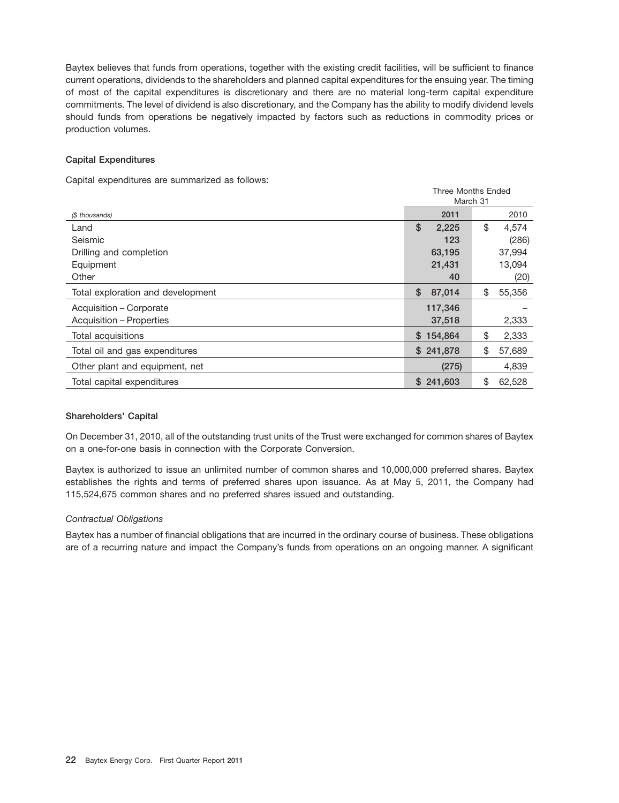Baytex believes that funds from operations, together with the existing credit facilities, will be sufficient to finance current operations, dividends to the shareholders and planned capital expenditures for the ensuing year. The timing of most of the capital expenditures is discretionary and there are no material long-term capital expenditure commitments. The level of dividend is also discretionary, and the Company has the ability to modify dividend levels should funds from operations be negatively impacted by factors such as reductions in commodity prices or production volumes.

# **Capital Expenditures**

Capital expenditures are summarized as follows:

|                                   | Three Months Ended<br>March 31 |              |  |  |
|-----------------------------------|--------------------------------|--------------|--|--|
| (\$ thousands)                    | 2011                           | 2010         |  |  |
| Land                              | \$<br>2,225                    | \$<br>4,574  |  |  |
| Seismic                           | 123                            | (286)        |  |  |
| Drilling and completion           | 63,195                         | 37,994       |  |  |
| Equipment                         | 21,431                         | 13,094       |  |  |
| Other                             | 40                             | (20)         |  |  |
| Total exploration and development | \$<br>87,014                   | \$<br>55,356 |  |  |
| Acquisition - Corporate           | 117,346                        |              |  |  |
| Acquisition – Properties          | 37,518                         | 2,333        |  |  |
| Total acquisitions                | \$154,864                      | \$<br>2,333  |  |  |
| Total oil and gas expenditures    | \$241,878                      | \$<br>57,689 |  |  |
| Other plant and equipment, net    | (275)                          | 4.839        |  |  |
| Total capital expenditures        | \$241,603                      | \$<br>62,528 |  |  |

# **Shareholders' Capital**

On December 31, 2010, all of the outstanding trust units of the Trust were exchanged for common shares of Baytex on a one-for-one basis in connection with the Corporate Conversion.

Baytex is authorized to issue an unlimited number of common shares and 10,000,000 preferred shares. Baytex establishes the rights and terms of preferred shares upon issuance. As at May 5, 2011, the Company had 115,524,675 common shares and no preferred shares issued and outstanding.

# *Contractual Obligations*

Baytex has a number of financial obligations that are incurred in the ordinary course of business. These obligations are of a recurring nature and impact the Company's funds from operations on an ongoing manner. A significant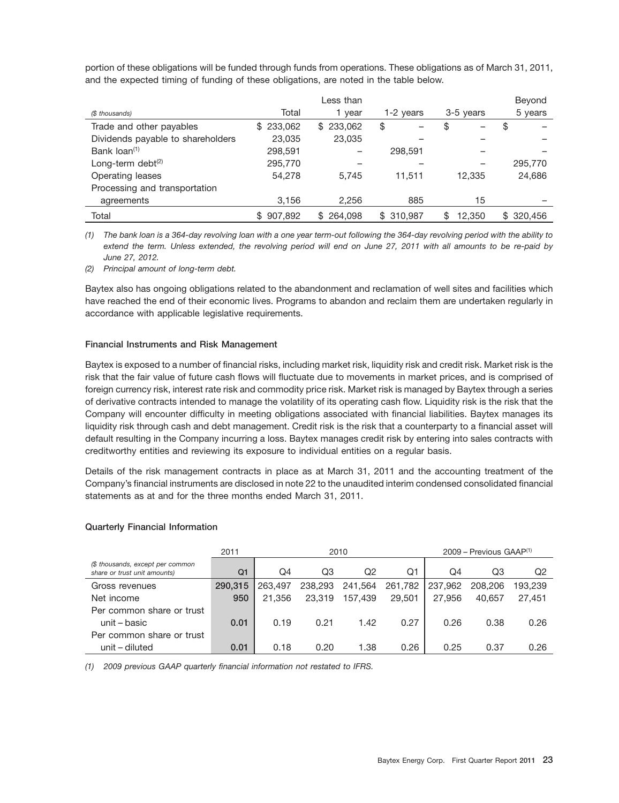portion of these obligations will be funded through funds from operations. These obligations as of March 31, 2011, and the expected timing of funding of these obligations, are noted in the table below.

|                                   |           | Less than      |           |           | Beyond     |
|-----------------------------------|-----------|----------------|-----------|-----------|------------|
| (\$ thousands)                    | Total     | year           | 1-2 years | 3-5 years | 5 years    |
| Trade and other payables          | \$233,062 | 233,062<br>\$  | \$        | \$        | \$         |
| Dividends payable to shareholders | 23,035    | 23,035         |           |           |            |
| Bank $loan(1)$                    | 298,591   |                | 298,591   |           |            |
| Long-term debt $(2)$              | 295.770   |                |           |           | 295,770    |
| Operating leases                  | 54.278    | 5.745          | 11,511    | 12,335    | 24,686     |
| Processing and transportation     |           |                |           |           |            |
| agreements                        | 3,156     | 2,256          | 885       | 15        |            |
| Total                             | \$907,892 | 264.098<br>\$. | \$310,987 | 12.350    | \$ 320,456 |

*(1) The bank loan is a 364-day revolving loan with a one year term-out following the 364-day revolving period with the ability to extend the term. Unless extended, the revolving period will end on June 27, 2011 with all amounts to be re-paid by June 27, 2012.*

*(2) Principal amount of long-term debt.*

Baytex also has ongoing obligations related to the abandonment and reclamation of well sites and facilities which have reached the end of their economic lives. Programs to abandon and reclaim them are undertaken regularly in accordance with applicable legislative requirements.

# **Financial Instruments and Risk Management**

Baytex is exposed to a number of financial risks, including market risk, liquidity risk and credit risk. Market risk is the risk that the fair value of future cash flows will fluctuate due to movements in market prices, and is comprised of foreign currency risk, interest rate risk and commodity price risk. Market risk is managed by Baytex through a series of derivative contracts intended to manage the volatility of its operating cash flow. Liquidity risk is the risk that the Company will encounter difficulty in meeting obligations associated with financial liabilities. Baytex manages its liquidity risk through cash and debt management. Credit risk is the risk that a counterparty to a financial asset will default resulting in the Company incurring a loss. Baytex manages credit risk by entering into sales contracts with creditworthy entities and reviewing its exposure to individual entities on a regular basis.

Details of the risk management contracts in place as at March 31, 2011 and the accounting treatment of the Company's financial instruments are disclosed in note 22 to the unaudited interim condensed consolidated financial statements as at and for the three months ended March 31, 2011.

# **Quarterly Financial Information**

|                                                                  | 2011           |         |         | 2010    |         |         | $2009$ – Previous GAAP <sup>(1)</sup> |         |
|------------------------------------------------------------------|----------------|---------|---------|---------|---------|---------|---------------------------------------|---------|
| (\$ thousands, except per common<br>share or trust unit amounts) | Q <sub>1</sub> | Q4      | Q3      | Q2      | Q1      | Q4      | Q3                                    | Q2      |
| Gross revenues                                                   | 290,315        | 263,497 | 238,293 | 241,564 | 261,782 | 237,962 | 208,206                               | 193.239 |
| Net income                                                       | 950            | 21.356  | 23,319  | 157.439 | 29,501  | 27.956  | 40.657                                | 27.451  |
| Per common share or trust                                        |                |         |         |         |         |         |                                       |         |
| unit – basic                                                     | 0.01           | 0.19    | 0.21    | 1.42    | 0.27    | 0.26    | 0.38                                  | 0.26    |
| Per common share or trust                                        |                |         |         |         |         |         |                                       |         |
| unit – diluted                                                   | 0.01           | 0.18    | 0.20    | 1.38    | 0.26    | 0.25    | 0.37                                  | 0.26    |

*(1) 2009 previous GAAP quarterly financial information not restated to IFRS.*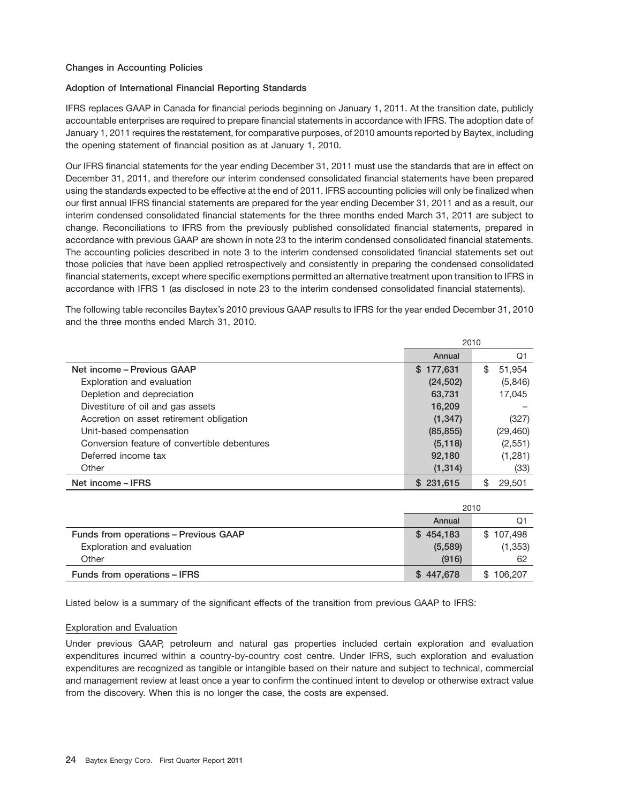# **Changes in Accounting Policies**

# **Adoption of International Financial Reporting Standards**

IFRS replaces GAAP in Canada for financial periods beginning on January 1, 2011. At the transition date, publicly accountable enterprises are required to prepare financial statements in accordance with IFRS. The adoption date of January 1, 2011 requires the restatement, for comparative purposes, of 2010 amounts reported by Baytex, including the opening statement of financial position as at January 1, 2010.

Our IFRS financial statements for the year ending December 31, 2011 must use the standards that are in effect on December 31, 2011, and therefore our interim condensed consolidated financial statements have been prepared using the standards expected to be effective at the end of 2011. IFRS accounting policies will only be finalized when our first annual IFRS financial statements are prepared for the year ending December 31, 2011 and as a result, our interim condensed consolidated financial statements for the three months ended March 31, 2011 are subject to change. Reconciliations to IFRS from the previously published consolidated financial statements, prepared in accordance with previous GAAP are shown in note 23 to the interim condensed consolidated financial statements. The accounting policies described in note 3 to the interim condensed consolidated financial statements set out those policies that have been applied retrospectively and consistently in preparing the condensed consolidated financial statements, except where specific exemptions permitted an alternative treatment upon transition to IFRS in accordance with IFRS 1 (as disclosed in note 23 to the interim condensed consolidated financial statements).

The following table reconciles Baytex's 2010 previous GAAP results to IFRS for the year ended December 31, 2010 and the three months ended March 31, 2010.

|                                              | 2010      |             |  |
|----------------------------------------------|-----------|-------------|--|
|                                              | Annual    | Q1          |  |
| Net income - Previous GAAP                   | \$177,631 | 51.954<br>S |  |
| Exploration and evaluation                   | (24, 502) | (5,846)     |  |
| Depletion and depreciation                   | 63,731    | 17,045      |  |
| Divestiture of oil and gas assets            | 16,209    |             |  |
| Accretion on asset retirement obligation     | (1, 347)  | (327)       |  |
| Unit-based compensation                      | (85, 855) | (29, 460)   |  |
| Conversion feature of convertible debentures | (5, 118)  | (2,551)     |  |
| Deferred income tax                          | 92,180    | (1,281)     |  |
| Other                                        | (1, 314)  | (33)        |  |
| Net income – IFRS                            | \$231,615 | 29,501<br>S |  |

|                                       | 2010      |                |
|---------------------------------------|-----------|----------------|
|                                       | Annual    | Q1             |
| Funds from operations - Previous GAAP | \$454,183 | \$107,498      |
| Exploration and evaluation            | (5,589)   | (1, 353)       |
| Other                                 | (916)     | 62             |
| Funds from operations - IFRS          | \$447,678 | 106.207<br>SS. |

Listed below is a summary of the significant effects of the transition from previous GAAP to IFRS:

# Exploration and Evaluation

Under previous GAAP, petroleum and natural gas properties included certain exploration and evaluation expenditures incurred within a country-by-country cost centre. Under IFRS, such exploration and evaluation expenditures are recognized as tangible or intangible based on their nature and subject to technical, commercial and management review at least once a year to confirm the continued intent to develop or otherwise extract value from the discovery. When this is no longer the case, the costs are expensed.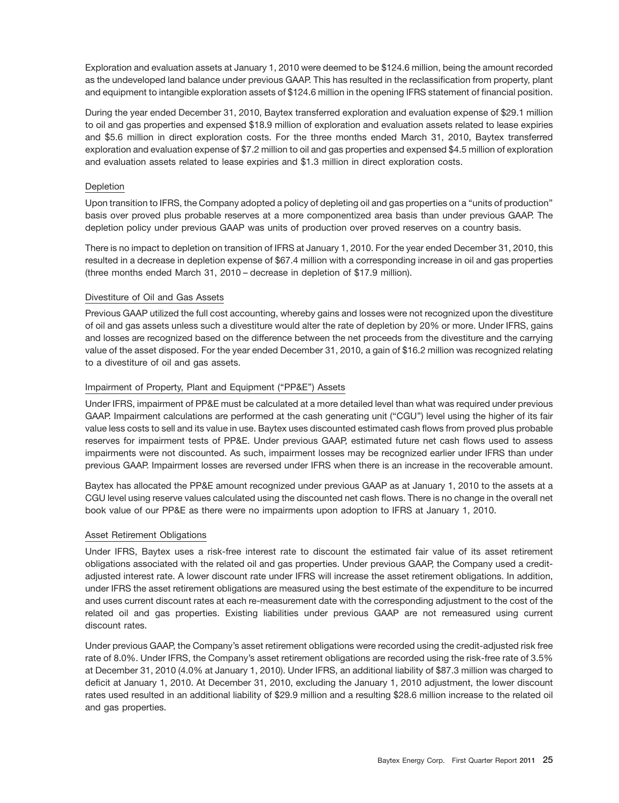Exploration and evaluation assets at January 1, 2010 were deemed to be \$124.6 million, being the amount recorded as the undeveloped land balance under previous GAAP. This has resulted in the reclassification from property, plant and equipment to intangible exploration assets of \$124.6 million in the opening IFRS statement of financial position.

During the year ended December 31, 2010, Baytex transferred exploration and evaluation expense of \$29.1 million to oil and gas properties and expensed \$18.9 million of exploration and evaluation assets related to lease expiries and \$5.6 million in direct exploration costs. For the three months ended March 31, 2010, Baytex transferred exploration and evaluation expense of \$7.2 million to oil and gas properties and expensed \$4.5 million of exploration and evaluation assets related to lease expiries and \$1.3 million in direct exploration costs.

# Depletion

Upon transition to IFRS, the Company adopted a policy of depleting oil and gas properties on a ''units of production'' basis over proved plus probable reserves at a more componentized area basis than under previous GAAP. The depletion policy under previous GAAP was units of production over proved reserves on a country basis.

There is no impact to depletion on transition of IFRS at January 1, 2010. For the year ended December 31, 2010, this resulted in a decrease in depletion expense of \$67.4 million with a corresponding increase in oil and gas properties (three months ended March 31, 2010 – decrease in depletion of \$17.9 million).

# Divestiture of Oil and Gas Assets

Previous GAAP utilized the full cost accounting, whereby gains and losses were not recognized upon the divestiture of oil and gas assets unless such a divestiture would alter the rate of depletion by 20% or more. Under IFRS, gains and losses are recognized based on the difference between the net proceeds from the divestiture and the carrying value of the asset disposed. For the year ended December 31, 2010, a gain of \$16.2 million was recognized relating to a divestiture of oil and gas assets.

# Impairment of Property, Plant and Equipment ("PP&E") Assets

Under IFRS, impairment of PP&E must be calculated at a more detailed level than what was required under previous GAAP. Impairment calculations are performed at the cash generating unit (''CGU'') level using the higher of its fair value less costs to sell and its value in use. Baytex uses discounted estimated cash flows from proved plus probable reserves for impairment tests of PP&E. Under previous GAAP, estimated future net cash flows used to assess impairments were not discounted. As such, impairment losses may be recognized earlier under IFRS than under previous GAAP. Impairment losses are reversed under IFRS when there is an increase in the recoverable amount.

Baytex has allocated the PP&E amount recognized under previous GAAP as at January 1, 2010 to the assets at a CGU level using reserve values calculated using the discounted net cash flows. There is no change in the overall net book value of our PP&E as there were no impairments upon adoption to IFRS at January 1, 2010.

# Asset Retirement Obligations

Under IFRS, Baytex uses a risk-free interest rate to discount the estimated fair value of its asset retirement obligations associated with the related oil and gas properties. Under previous GAAP, the Company used a creditadjusted interest rate. A lower discount rate under IFRS will increase the asset retirement obligations. In addition, under IFRS the asset retirement obligations are measured using the best estimate of the expenditure to be incurred and uses current discount rates at each re-measurement date with the corresponding adjustment to the cost of the related oil and gas properties. Existing liabilities under previous GAAP are not remeasured using current discount rates.

Under previous GAAP, the Company's asset retirement obligations were recorded using the credit-adjusted risk free rate of 8.0%. Under IFRS, the Company's asset retirement obligations are recorded using the risk-free rate of 3.5% at December 31, 2010 (4.0% at January 1, 2010). Under IFRS, an additional liability of \$87.3 million was charged to deficit at January 1, 2010. At December 31, 2010, excluding the January 1, 2010 adjustment, the lower discount rates used resulted in an additional liability of \$29.9 million and a resulting \$28.6 million increase to the related oil and gas properties.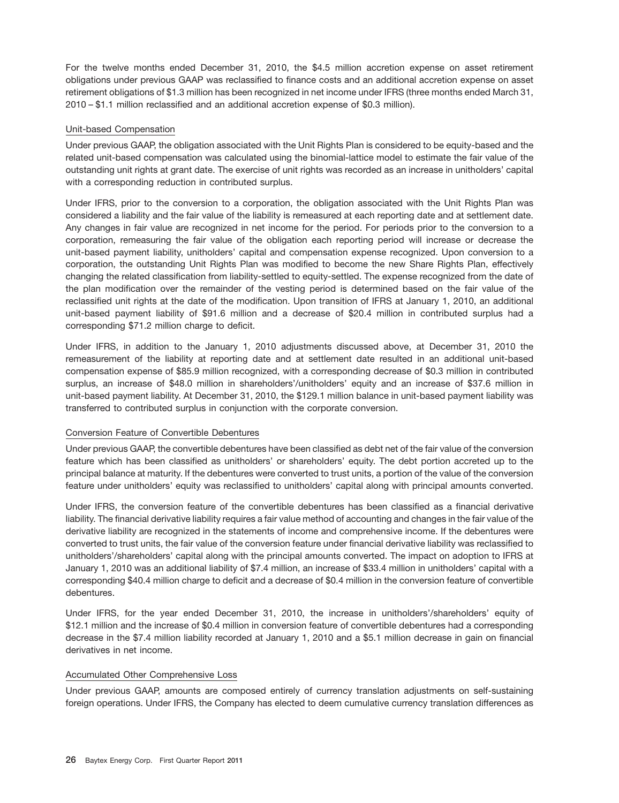For the twelve months ended December 31, 2010, the \$4.5 million accretion expense on asset retirement obligations under previous GAAP was reclassified to finance costs and an additional accretion expense on asset retirement obligations of \$1.3 million has been recognized in net income under IFRS (three months ended March 31, 2010 – \$1.1 million reclassified and an additional accretion expense of \$0.3 million).

# Unit-based Compensation

Under previous GAAP, the obligation associated with the Unit Rights Plan is considered to be equity-based and the related unit-based compensation was calculated using the binomial-lattice model to estimate the fair value of the outstanding unit rights at grant date. The exercise of unit rights was recorded as an increase in unitholders' capital with a corresponding reduction in contributed surplus.

Under IFRS, prior to the conversion to a corporation, the obligation associated with the Unit Rights Plan was considered a liability and the fair value of the liability is remeasured at each reporting date and at settlement date. Any changes in fair value are recognized in net income for the period. For periods prior to the conversion to a corporation, remeasuring the fair value of the obligation each reporting period will increase or decrease the unit-based payment liability, unitholders' capital and compensation expense recognized. Upon conversion to a corporation, the outstanding Unit Rights Plan was modified to become the new Share Rights Plan, effectively changing the related classification from liability-settled to equity-settled. The expense recognized from the date of the plan modification over the remainder of the vesting period is determined based on the fair value of the reclassified unit rights at the date of the modification. Upon transition of IFRS at January 1, 2010, an additional unit-based payment liability of \$91.6 million and a decrease of \$20.4 million in contributed surplus had a corresponding \$71.2 million charge to deficit.

Under IFRS, in addition to the January 1, 2010 adjustments discussed above, at December 31, 2010 the remeasurement of the liability at reporting date and at settlement date resulted in an additional unit-based compensation expense of \$85.9 million recognized, with a corresponding decrease of \$0.3 million in contributed surplus, an increase of \$48.0 million in shareholders'/unitholders' equity and an increase of \$37.6 million in unit-based payment liability. At December 31, 2010, the \$129.1 million balance in unit-based payment liability was transferred to contributed surplus in conjunction with the corporate conversion.

# Conversion Feature of Convertible Debentures

Under previous GAAP, the convertible debentures have been classified as debt net of the fair value of the conversion feature which has been classified as unitholders' or shareholders' equity. The debt portion accreted up to the principal balance at maturity. If the debentures were converted to trust units, a portion of the value of the conversion feature under unitholders' equity was reclassified to unitholders' capital along with principal amounts converted.

Under IFRS, the conversion feature of the convertible debentures has been classified as a financial derivative liability. The financial derivative liability requires a fair value method of accounting and changes in the fair value of the derivative liability are recognized in the statements of income and comprehensive income. If the debentures were converted to trust units, the fair value of the conversion feature under financial derivative liability was reclassified to unitholders'/shareholders' capital along with the principal amounts converted. The impact on adoption to IFRS at January 1, 2010 was an additional liability of \$7.4 million, an increase of \$33.4 million in unitholders' capital with a corresponding \$40.4 million charge to deficit and a decrease of \$0.4 million in the conversion feature of convertible debentures.

Under IFRS, for the year ended December 31, 2010, the increase in unitholders'/shareholders' equity of \$12.1 million and the increase of \$0.4 million in conversion feature of convertible debentures had a corresponding decrease in the \$7.4 million liability recorded at January 1, 2010 and a \$5.1 million decrease in gain on financial derivatives in net income.

# Accumulated Other Comprehensive Loss

Under previous GAAP, amounts are composed entirely of currency translation adjustments on self-sustaining foreign operations. Under IFRS, the Company has elected to deem cumulative currency translation differences as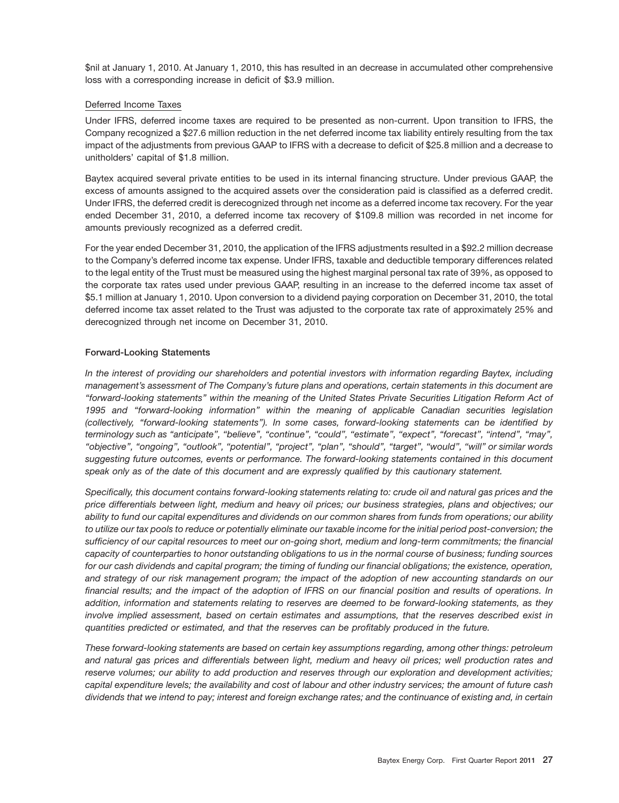\$nil at January 1, 2010. At January 1, 2010, this has resulted in an decrease in accumulated other comprehensive loss with a corresponding increase in deficit of \$3.9 million.

# Deferred Income Taxes

Under IFRS, deferred income taxes are required to be presented as non-current. Upon transition to IFRS, the Company recognized a \$27.6 million reduction in the net deferred income tax liability entirely resulting from the tax impact of the adjustments from previous GAAP to IFRS with a decrease to deficit of \$25.8 million and a decrease to unitholders' capital of \$1.8 million.

Baytex acquired several private entities to be used in its internal financing structure. Under previous GAAP, the excess of amounts assigned to the acquired assets over the consideration paid is classified as a deferred credit. Under IFRS, the deferred credit is derecognized through net income as a deferred income tax recovery. For the year ended December 31, 2010, a deferred income tax recovery of \$109.8 million was recorded in net income for amounts previously recognized as a deferred credit.

For the year ended December 31, 2010, the application of the IFRS adjustments resulted in a \$92.2 million decrease to the Company's deferred income tax expense. Under IFRS, taxable and deductible temporary differences related to the legal entity of the Trust must be measured using the highest marginal personal tax rate of 39%, as opposed to the corporate tax rates used under previous GAAP, resulting in an increase to the deferred income tax asset of \$5.1 million at January 1, 2010. Upon conversion to a dividend paying corporation on December 31, 2010, the total deferred income tax asset related to the Trust was adjusted to the corporate tax rate of approximately 25% and derecognized through net income on December 31, 2010.

# **Forward-Looking Statements**

*In the interest of providing our shareholders and potential investors with information regarding Baytex, including management's assessment of The Company's future plans and operations, certain statements in this document are ''forward-looking statements'' within the meaning of the United States Private Securities Litigation Reform Act of 1995 and ''forward-looking information'' within the meaning of applicable Canadian securities legislation (collectively, ''forward-looking statements''). In some cases, forward-looking statements can be identified by terminology such as ''anticipate'', ''believe'', ''continue'', ''could'', ''estimate'', ''expect'', ''forecast'', ''intend'', ''may'', ''objective'', ''ongoing'', ''outlook'', ''potential'', ''project'', ''plan'', ''should'', ''target'', ''would'', ''will'' or similar words suggesting future outcomes, events or performance. The forward-looking statements contained in this document speak only as of the date of this document and are expressly qualified by this cautionary statement.*

*Specifically, this document contains forward-looking statements relating to: crude oil and natural gas prices and the price differentials between light, medium and heavy oil prices; our business strategies, plans and objectives; our ability to fund our capital expenditures and dividends on our common shares from funds from operations; our ability to utilize our tax pools to reduce or potentially eliminate our taxable income for the initial period post-conversion; the sufficiency of our capital resources to meet our on-going short, medium and long-term commitments; the financial capacity of counterparties to honor outstanding obligations to us in the normal course of business; funding sources for our cash dividends and capital program; the timing of funding our financial obligations; the existence, operation, and strategy of our risk management program; the impact of the adoption of new accounting standards on our financial results; and the impact of the adoption of IFRS on our financial position and results of operations. In addition, information and statements relating to reserves are deemed to be forward-looking statements, as they involve implied assessment, based on certain estimates and assumptions, that the reserves described exist in quantities predicted or estimated, and that the reserves can be profitably produced in the future.*

*These forward-looking statements are based on certain key assumptions regarding, among other things: petroleum and natural gas prices and differentials between light, medium and heavy oil prices; well production rates and reserve volumes; our ability to add production and reserves through our exploration and development activities; capital expenditure levels; the availability and cost of labour and other industry services; the amount of future cash dividends that we intend to pay; interest and foreign exchange rates; and the continuance of existing and, in certain*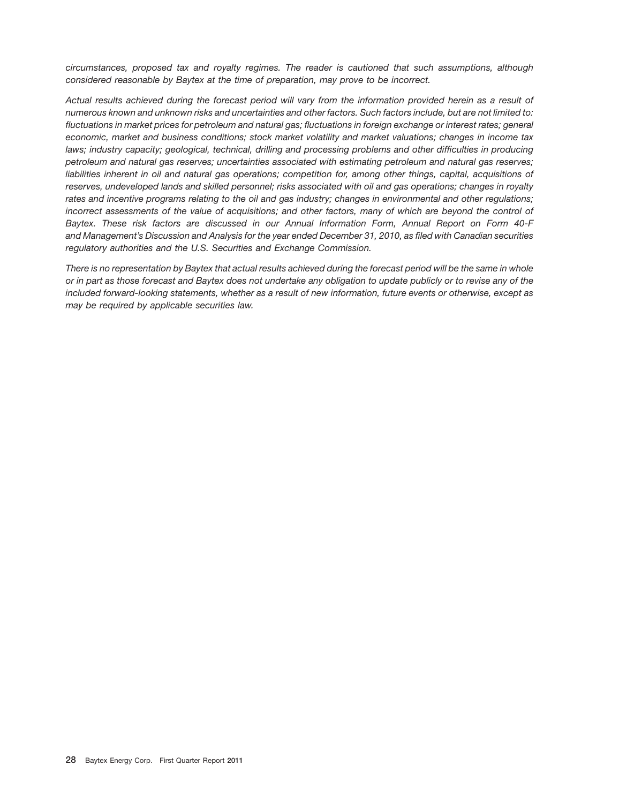*circumstances, proposed tax and royalty regimes. The reader is cautioned that such assumptions, although considered reasonable by Baytex at the time of preparation, may prove to be incorrect.*

*Actual results achieved during the forecast period will vary from the information provided herein as a result of numerous known and unknown risks and uncertainties and other factors. Such factors include, but are not limited to: fluctuations in market prices for petroleum and natural gas; fluctuations in foreign exchange or interest rates; general economic, market and business conditions; stock market volatility and market valuations; changes in income tax laws; industry capacity; geological, technical, drilling and processing problems and other difficulties in producing petroleum and natural gas reserves; uncertainties associated with estimating petroleum and natural gas reserves; liabilities inherent in oil and natural gas operations; competition for, among other things, capital, acquisitions of reserves, undeveloped lands and skilled personnel; risks associated with oil and gas operations; changes in royalty rates and incentive programs relating to the oil and gas industry; changes in environmental and other regulations; incorrect assessments of the value of acquisitions; and other factors, many of which are beyond the control of Baytex. These risk factors are discussed in our Annual Information Form, Annual Report on Form 40-F and Management's Discussion and Analysis for the year ended December 31, 2010, as filed with Canadian securities regulatory authorities and the U.S. Securities and Exchange Commission.*

*There is no representation by Baytex that actual results achieved during the forecast period will be the same in whole or in part as those forecast and Baytex does not undertake any obligation to update publicly or to revise any of the included forward-looking statements, whether as a result of new information, future events or otherwise, except as may be required by applicable securities law.*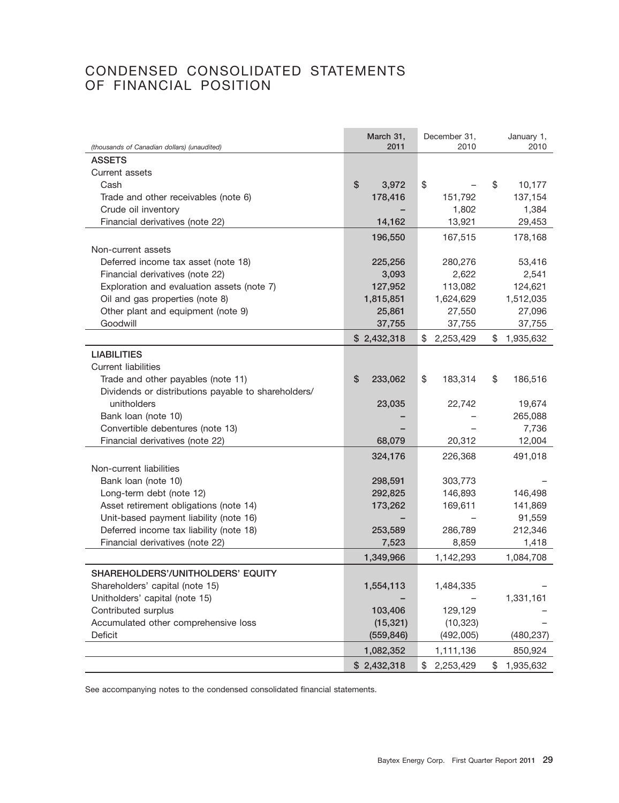# CONDENSED CONSOLIDATED STATEMENTS OF FINANCIAL POSITION

|                                                              | March 31,<br>2011 | December 31.<br>2010 | January 1,<br>2010 |
|--------------------------------------------------------------|-------------------|----------------------|--------------------|
| (thousands of Canadian dollars) (unaudited)<br><b>ASSETS</b> |                   |                      |                    |
| Current assets                                               |                   |                      |                    |
| Cash                                                         | \$<br>3,972       | \$                   | \$<br>10,177       |
|                                                              |                   |                      | 137,154            |
| Trade and other receivables (note 6)                         | 178,416           | 151,792              |                    |
| Crude oil inventory                                          |                   | 1,802                | 1,384              |
| Financial derivatives (note 22)                              | 14,162            | 13,921               | 29,453             |
|                                                              | 196,550           | 167,515              | 178,168            |
| Non-current assets                                           |                   |                      |                    |
| Deferred income tax asset (note 18)                          | 225,256           | 280,276              | 53,416             |
| Financial derivatives (note 22)                              | 3,093             | 2,622                | 2,541              |
| Exploration and evaluation assets (note 7)                   | 127,952           | 113,082              | 124,621            |
| Oil and gas properties (note 8)                              | 1,815,851         | 1,624,629            | 1,512,035          |
| Other plant and equipment (note 9)                           | 25,861            | 27,550               | 27,096             |
| Goodwill                                                     | 37,755            | 37,755               | 37,755             |
|                                                              | \$2,432,318       | \$<br>2,253,429      | \$<br>1,935,632    |
| <b>LIABILITIES</b>                                           |                   |                      |                    |
| <b>Current liabilities</b>                                   |                   |                      |                    |
| Trade and other payables (note 11)                           | \$<br>233,062     | \$<br>183,314        | \$<br>186,516      |
| Dividends or distributions payable to shareholders/          |                   |                      |                    |
| unitholders                                                  | 23,035            | 22,742               | 19,674             |
| Bank loan (note 10)                                          |                   |                      | 265,088            |
| Convertible debentures (note 13)                             |                   |                      | 7,736              |
| Financial derivatives (note 22)                              | 68,079            | 20,312               | 12,004             |
|                                                              | 324,176           | 226,368              | 491,018            |
| Non-current liabilities                                      |                   |                      |                    |
| Bank loan (note 10)                                          | 298,591           | 303,773              |                    |
| Long-term debt (note 12)                                     | 292,825           | 146,893              | 146,498            |
| Asset retirement obligations (note 14)                       | 173,262           | 169,611              | 141,869            |
| Unit-based payment liability (note 16)                       |                   |                      | 91,559             |
| Deferred income tax liability (note 18)                      | 253,589           | 286,789              | 212,346            |
| Financial derivatives (note 22)                              | 7,523             | 8,859                | 1,418              |
|                                                              | 1,349,966         | 1,142,293            | 1,084,708          |
| SHAREHOLDERS'/UNITHOLDERS' EQUITY                            |                   |                      |                    |
|                                                              |                   |                      |                    |
| Shareholders' capital (note 15)                              | 1,554,113         | 1,484,335            |                    |
| Unitholders' capital (note 15)                               |                   |                      | 1,331,161          |
| Contributed surplus                                          | 103,406           | 129,129              |                    |
| Accumulated other comprehensive loss                         | (15, 321)         | (10, 323)            |                    |
| Deficit                                                      | (559, 846)        | (492,005)            | (480, 237)         |
|                                                              | 1,082,352         | 1,111,136            | 850,924            |
|                                                              | \$2,432,318       | 2,253,429<br>\$      | \$<br>1,935,632    |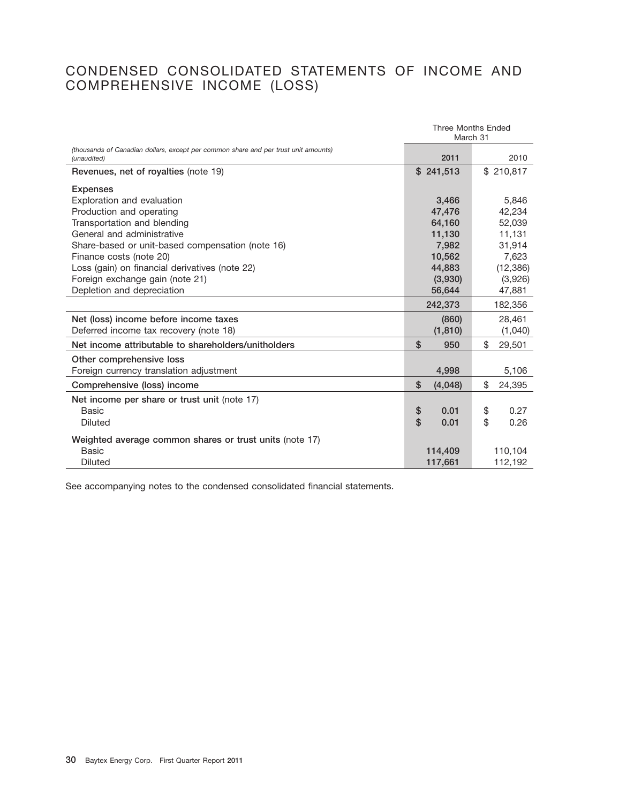# CONDENSED CONSOLIDATED STATEMENTS OF INCOME AND COMPREHENSIVE INCOME (LOSS)

|                                                                                                    | Three Months Ended<br>March 31 |              |
|----------------------------------------------------------------------------------------------------|--------------------------------|--------------|
| (thousands of Canadian dollars, except per common share and per trust unit amounts)<br>(unaudited) | 2011                           | 2010         |
| Revenues, net of royalties (note 19)                                                               | \$241.513                      | \$210.817    |
| <b>Expenses</b>                                                                                    |                                |              |
| Exploration and evaluation                                                                         | 3.466                          | 5.846        |
| Production and operating                                                                           | 47,476                         | 42,234       |
| Transportation and blending                                                                        | 64,160                         | 52,039       |
| General and administrative                                                                         | 11,130                         | 11,131       |
| Share-based or unit-based compensation (note 16)                                                   | 7,982                          | 31,914       |
| Finance costs (note 20)                                                                            | 10,562                         | 7,623        |
| Loss (gain) on financial derivatives (note 22)                                                     | 44,883                         | (12, 386)    |
| Foreign exchange gain (note 21)                                                                    | (3,930)                        | (3,926)      |
| Depletion and depreciation                                                                         | 56,644                         | 47,881       |
|                                                                                                    | 242,373                        | 182,356      |
| Net (loss) income before income taxes                                                              | (860)                          | 28,461       |
| Deferred income tax recovery (note 18)                                                             | (1, 810)                       | (1,040)      |
| Net income attributable to shareholders/unitholders                                                | \$<br>950                      | \$<br>29,501 |
| Other comprehensive loss                                                                           |                                |              |
| Foreign currency translation adjustment                                                            | 4,998                          | 5,106        |
| Comprehensive (loss) income                                                                        | \$<br>(4,048)                  | \$<br>24,395 |
| Net income per share or trust unit (note 17)                                                       |                                |              |
| Basic                                                                                              | \$<br>0.01                     | \$<br>0.27   |
| Diluted                                                                                            | \$<br>0.01                     | \$<br>0.26   |
| Weighted average common shares or trust units (note 17)                                            |                                |              |
| <b>Basic</b>                                                                                       | 114,409                        | 110,104      |
| <b>Diluted</b>                                                                                     | 117,661                        | 112,192      |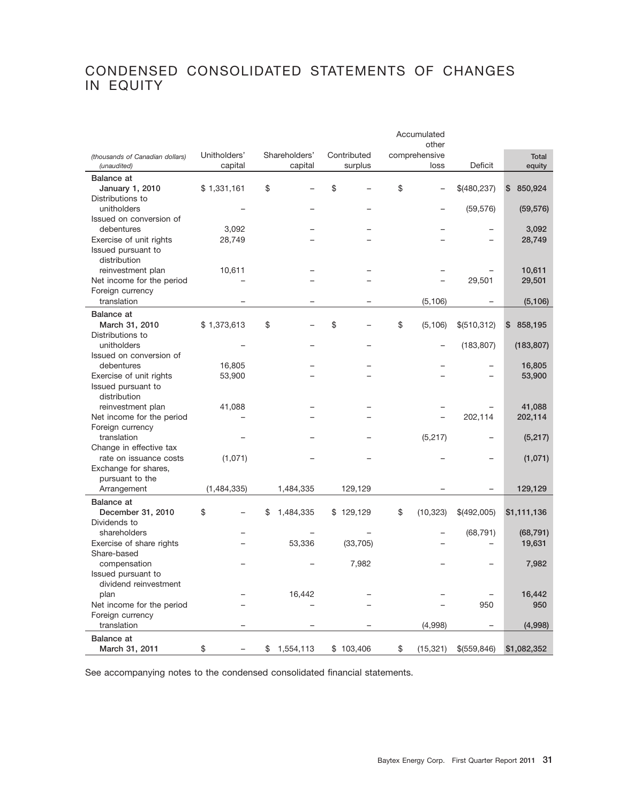# CONDENSED CONSOLIDATED STATEMENTS OF CHANGES IN EQUITY

|                                             |              |                 |             | Accumulated     |              |               |
|---------------------------------------------|--------------|-----------------|-------------|-----------------|--------------|---------------|
|                                             |              |                 |             | other           |              |               |
| (thousands of Canadian dollars)             | Unitholders' | Shareholders'   | Contributed | comprehensive   |              | <b>Total</b>  |
| (unaudited)                                 | capital      | capital         | surplus     | loss            | Deficit      | equity        |
| <b>Balance at</b>                           |              |                 |             |                 |              |               |
| January 1, 2010                             | \$1,331,161  | \$              | \$          | \$              | \$(480,237)  | \$<br>850,924 |
| Distributions to                            |              |                 |             |                 |              |               |
| unitholders                                 |              |                 |             |                 | (59, 576)    | (59, 576)     |
| Issued on conversion of                     |              |                 |             |                 |              |               |
| debentures                                  | 3,092        |                 |             |                 |              | 3,092         |
| Exercise of unit rights                     | 28,749       |                 |             |                 |              | 28,749        |
| Issued pursuant to                          |              |                 |             |                 |              |               |
| distribution                                |              |                 |             |                 |              |               |
| reinvestment plan                           | 10,611       |                 |             |                 |              | 10,611        |
| Net income for the period                   |              |                 |             |                 | 29,501       | 29,501        |
| Foreign currency                            |              |                 |             |                 |              |               |
| translation                                 |              |                 |             | (5, 106)        |              | (5, 106)      |
| <b>Balance</b> at                           |              |                 |             |                 |              |               |
| March 31, 2010                              | \$1,373,613  | \$              | \$          | \$<br>(5, 106)  | \$(510,312)  | \$<br>858,195 |
| Distributions to                            |              |                 |             |                 |              |               |
| unitholders                                 |              |                 |             |                 | (183, 807)   | (183, 807)    |
| Issued on conversion of                     |              |                 |             |                 |              |               |
| debentures                                  | 16,805       |                 |             |                 |              | 16,805        |
| Exercise of unit rights                     | 53,900       |                 |             |                 |              | 53,900        |
| Issued pursuant to                          |              |                 |             |                 |              |               |
| distribution                                |              |                 |             |                 |              |               |
| reinvestment plan                           | 41,088       |                 |             |                 |              | 41,088        |
| Net income for the period                   |              |                 |             |                 | 202,114      | 202,114       |
| Foreign currency                            |              |                 |             |                 |              |               |
| translation                                 |              |                 |             | (5, 217)        |              | (5,217)       |
| Change in effective tax                     |              |                 |             |                 |              |               |
| rate on issuance costs                      | (1,071)      |                 |             |                 |              | (1,071)       |
| Exchange for shares,                        |              |                 |             |                 |              |               |
| pursuant to the                             |              |                 |             |                 |              |               |
| Arrangement                                 | (1,484,335)  | 1,484,335       | 129,129     |                 |              | 129,129       |
| <b>Balance</b> at                           |              |                 |             |                 |              |               |
| December 31, 2010                           | \$           | \$<br>1,484,335 | \$129,129   | \$<br>(10, 323) | \$(492,005)  | \$1,111,136   |
| Dividends to                                |              |                 |             |                 |              |               |
| shareholders                                |              |                 |             |                 | (68, 791)    | (68, 791)     |
| Exercise of share rights                    |              | 53,336          | (33, 705)   |                 |              | 19,631        |
| Share-based                                 |              |                 |             |                 |              |               |
| compensation                                |              |                 | 7,982       |                 |              | 7,982         |
| Issued pursuant to<br>dividend reinvestment |              |                 |             |                 |              |               |
| plan                                        |              | 16,442          |             |                 |              | 16,442        |
| Net income for the period                   |              |                 |             |                 | 950          | 950           |
| Foreign currency                            |              |                 |             |                 |              |               |
| translation                                 |              |                 |             | (4,998)         |              | (4,998)       |
| <b>Balance</b> at                           |              |                 |             |                 |              |               |
|                                             | \$           | 1,554,113       | \$103,406   | \$<br>(15, 321) | \$(559, 846) | \$1,082,352   |
| March 31, 2011                              |              | \$              |             |                 |              |               |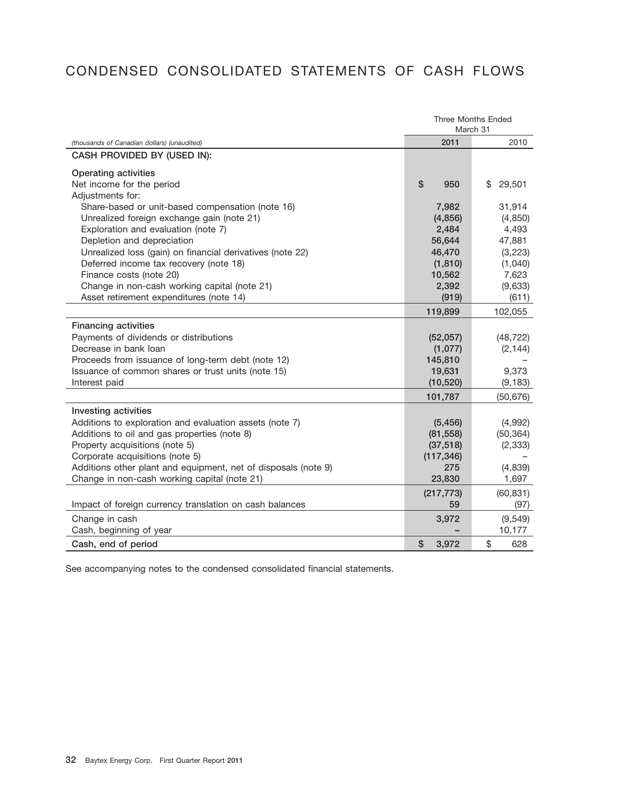# CONDENSED CONSOLIDATED STATEMENTS OF CASH FLOWS

|                                                                | <b>Three Months Ended</b><br>March 31 |              |  |
|----------------------------------------------------------------|---------------------------------------|--------------|--|
| (thousands of Canadian dollars) (unaudited)                    | 2011                                  | 2010         |  |
| CASH PROVIDED BY (USED IN):                                    |                                       |              |  |
| <b>Operating activities</b>                                    |                                       |              |  |
| Net income for the period                                      | \$<br>950                             | \$<br>29,501 |  |
| Adjustments for:                                               |                                       |              |  |
| Share-based or unit-based compensation (note 16)               | 7,982                                 | 31,914       |  |
| Unrealized foreign exchange gain (note 21)                     | (4,856)                               | (4, 850)     |  |
| Exploration and evaluation (note 7)                            | 2,484                                 | 4,493        |  |
| Depletion and depreciation                                     | 56,644                                | 47,881       |  |
| Unrealized loss (gain) on financial derivatives (note 22)      | 46,470                                | (3,223)      |  |
| Deferred income tax recovery (note 18)                         | (1, 810)                              | (1,040)      |  |
| Finance costs (note 20)                                        | 10,562                                | 7,623        |  |
| Change in non-cash working capital (note 21)                   | 2,392                                 | (9,633)      |  |
| Asset retirement expenditures (note 14)                        | (919)                                 | (611)        |  |
|                                                                | 119,899                               | 102,055      |  |
| <b>Financing activities</b>                                    |                                       |              |  |
| Payments of dividends or distributions                         | (52,057)                              | (48, 722)    |  |
| Decrease in bank loan                                          | (1,077)                               | (2, 144)     |  |
| Proceeds from issuance of long-term debt (note 12)             | 145,810                               |              |  |
| Issuance of common shares or trust units (note 15)             | 19,631                                | 9,373        |  |
| Interest paid                                                  | (10, 520)                             | (9, 183)     |  |
|                                                                | 101,787                               | (50, 676)    |  |
| Investing activities                                           |                                       |              |  |
| Additions to exploration and evaluation assets (note 7)        | (5, 456)                              | (4,992)      |  |
| Additions to oil and gas properties (note 8)                   | (81, 558)                             | (50, 364)    |  |
| Property acquisitions (note 5)                                 | (37, 518)                             | (2, 333)     |  |
| Corporate acquisitions (note 5)                                | (117, 346)                            |              |  |
| Additions other plant and equipment, net of disposals (note 9) | 275                                   | (4,839)      |  |
| Change in non-cash working capital (note 21)                   | 23,830                                | 1,697        |  |
|                                                                | (217, 773)                            | (60, 831)    |  |
| Impact of foreign currency translation on cash balances        | 59                                    | (97)         |  |
| Change in cash                                                 | 3,972                                 | (9,549)      |  |
| Cash, beginning of year                                        |                                       | 10,177       |  |
| Cash, end of period                                            | \$<br>3,972                           | \$<br>628    |  |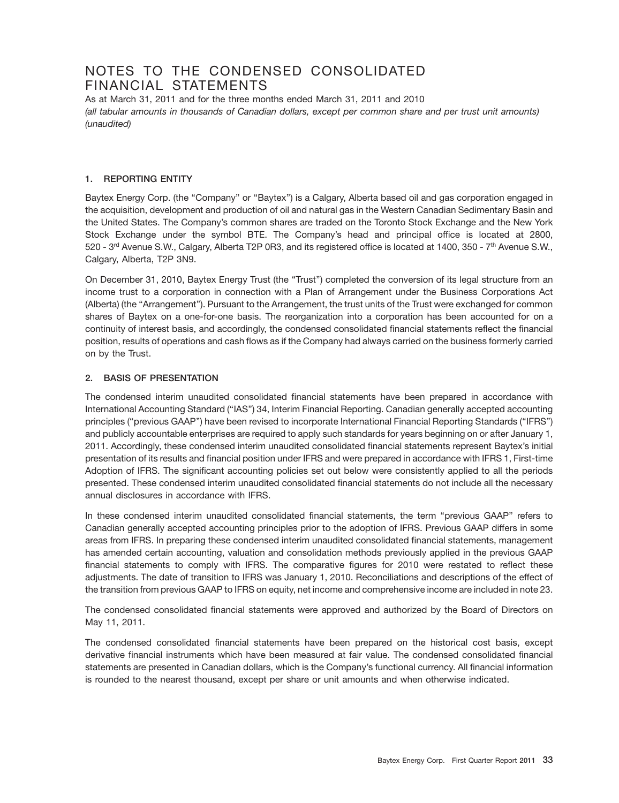# NOTES TO THE CONDENSED CONSOLIDATED FINANCIAL STATEMENTS

As at March 31, 2011 and for the three months ended March 31, 2011 and 2010 *(all tabular amounts in thousands of Canadian dollars, except per common share and per trust unit amounts) (unaudited)*

# **1. REPORTING ENTITY**

Baytex Energy Corp. (the "Company" or "Baytex") is a Calgary, Alberta based oil and gas corporation engaged in the acquisition, development and production of oil and natural gas in the Western Canadian Sedimentary Basin and the United States. The Company's common shares are traded on the Toronto Stock Exchange and the New York Stock Exchange under the symbol BTE. The Company's head and principal office is located at 2800, 520 - 3rd Avenue S.W., Calgary, Alberta T2P 0R3, and its registered office is located at 1400, 350 - 7th Avenue S.W., Calgary, Alberta, T2P 3N9.

On December 31, 2010, Baytex Energy Trust (the ''Trust'') completed the conversion of its legal structure from an income trust to a corporation in connection with a Plan of Arrangement under the Business Corporations Act (Alberta) (the ''Arrangement''). Pursuant to the Arrangement, the trust units of the Trust were exchanged for common shares of Baytex on a one-for-one basis. The reorganization into a corporation has been accounted for on a continuity of interest basis, and accordingly, the condensed consolidated financial statements reflect the financial position, results of operations and cash flows as if the Company had always carried on the business formerly carried on by the Trust.

# **2. BASIS OF PRESENTATION**

The condensed interim unaudited consolidated financial statements have been prepared in accordance with International Accounting Standard (''IAS'') 34, Interim Financial Reporting. Canadian generally accepted accounting principles (''previous GAAP'') have been revised to incorporate International Financial Reporting Standards (''IFRS'') and publicly accountable enterprises are required to apply such standards for years beginning on or after January 1, 2011. Accordingly, these condensed interim unaudited consolidated financial statements represent Baytex's initial presentation of its results and financial position under IFRS and were prepared in accordance with IFRS 1, First-time Adoption of IFRS. The significant accounting policies set out below were consistently applied to all the periods presented. These condensed interim unaudited consolidated financial statements do not include all the necessary annual disclosures in accordance with IFRS.

In these condensed interim unaudited consolidated financial statements, the term "previous GAAP" refers to Canadian generally accepted accounting principles prior to the adoption of IFRS. Previous GAAP differs in some areas from IFRS. In preparing these condensed interim unaudited consolidated financial statements, management has amended certain accounting, valuation and consolidation methods previously applied in the previous GAAP financial statements to comply with IFRS. The comparative figures for 2010 were restated to reflect these adjustments. The date of transition to IFRS was January 1, 2010. Reconciliations and descriptions of the effect of the transition from previous GAAP to IFRS on equity, net income and comprehensive income are included in note 23.

The condensed consolidated financial statements were approved and authorized by the Board of Directors on May 11, 2011.

The condensed consolidated financial statements have been prepared on the historical cost basis, except derivative financial instruments which have been measured at fair value. The condensed consolidated financial statements are presented in Canadian dollars, which is the Company's functional currency. All financial information is rounded to the nearest thousand, except per share or unit amounts and when otherwise indicated.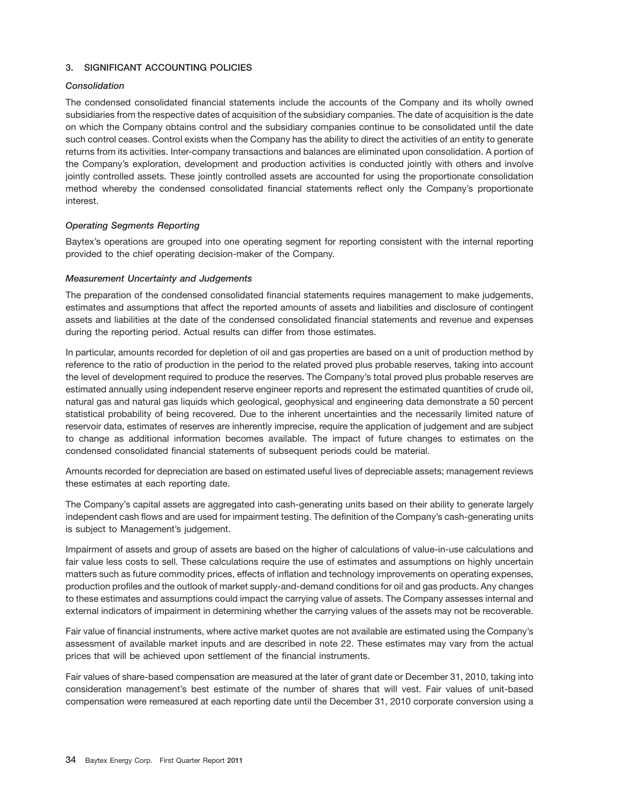# **3. SIGNIFICANT ACCOUNTING POLICIES**

# *Consolidation*

The condensed consolidated financial statements include the accounts of the Company and its wholly owned subsidiaries from the respective dates of acquisition of the subsidiary companies. The date of acquisition is the date on which the Company obtains control and the subsidiary companies continue to be consolidated until the date such control ceases. Control exists when the Company has the ability to direct the activities of an entity to generate returns from its activities. Inter-company transactions and balances are eliminated upon consolidation. A portion of the Company's exploration, development and production activities is conducted jointly with others and involve jointly controlled assets. These jointly controlled assets are accounted for using the proportionate consolidation method whereby the condensed consolidated financial statements reflect only the Company's proportionate interest.

# *Operating Segments Reporting*

Baytex's operations are grouped into one operating segment for reporting consistent with the internal reporting provided to the chief operating decision-maker of the Company.

# *Measurement Uncertainty and Judgements*

The preparation of the condensed consolidated financial statements requires management to make judgements, estimates and assumptions that affect the reported amounts of assets and liabilities and disclosure of contingent assets and liabilities at the date of the condensed consolidated financial statements and revenue and expenses during the reporting period. Actual results can differ from those estimates.

In particular, amounts recorded for depletion of oil and gas properties are based on a unit of production method by reference to the ratio of production in the period to the related proved plus probable reserves, taking into account the level of development required to produce the reserves. The Company's total proved plus probable reserves are estimated annually using independent reserve engineer reports and represent the estimated quantities of crude oil, natural gas and natural gas liquids which geological, geophysical and engineering data demonstrate a 50 percent statistical probability of being recovered. Due to the inherent uncertainties and the necessarily limited nature of reservoir data, estimates of reserves are inherently imprecise, require the application of judgement and are subject to change as additional information becomes available. The impact of future changes to estimates on the condensed consolidated financial statements of subsequent periods could be material.

Amounts recorded for depreciation are based on estimated useful lives of depreciable assets; management reviews these estimates at each reporting date.

The Company's capital assets are aggregated into cash-generating units based on their ability to generate largely independent cash flows and are used for impairment testing. The definition of the Company's cash-generating units is subject to Management's judgement.

Impairment of assets and group of assets are based on the higher of calculations of value-in-use calculations and fair value less costs to sell. These calculations require the use of estimates and assumptions on highly uncertain matters such as future commodity prices, effects of inflation and technology improvements on operating expenses, production profiles and the outlook of market supply-and-demand conditions for oil and gas products. Any changes to these estimates and assumptions could impact the carrying value of assets. The Company assesses internal and external indicators of impairment in determining whether the carrying values of the assets may not be recoverable.

Fair value of financial instruments, where active market quotes are not available are estimated using the Company's assessment of available market inputs and are described in note 22. These estimates may vary from the actual prices that will be achieved upon settlement of the financial instruments.

Fair values of share-based compensation are measured at the later of grant date or December 31, 2010, taking into consideration management's best estimate of the number of shares that will vest. Fair values of unit-based compensation were remeasured at each reporting date until the December 31, 2010 corporate conversion using a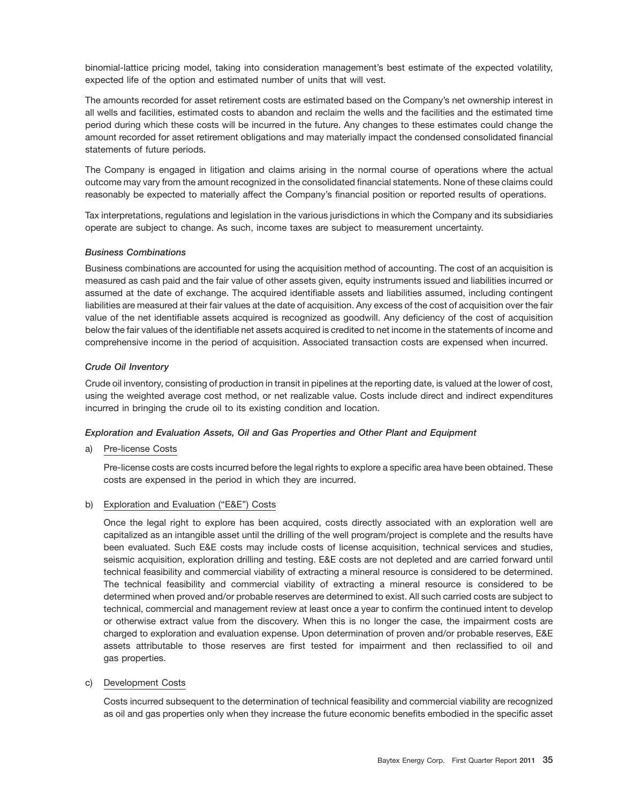binomial-lattice pricing model, taking into consideration management's best estimate of the expected volatility, expected life of the option and estimated number of units that will vest.

The amounts recorded for asset retirement costs are estimated based on the Company's net ownership interest in all wells and facilities, estimated costs to abandon and reclaim the wells and the facilities and the estimated time period during which these costs will be incurred in the future. Any changes to these estimates could change the amount recorded for asset retirement obligations and may materially impact the condensed consolidated financial statements of future periods.

The Company is engaged in litigation and claims arising in the normal course of operations where the actual outcome may vary from the amount recognized in the consolidated financial statements. None of these claims could reasonably be expected to materially affect the Company's financial position or reported results of operations.

Tax interpretations, regulations and legislation in the various jurisdictions in which the Company and its subsidiaries operate are subject to change. As such, income taxes are subject to measurement uncertainty.

#### *Business Combinations*

Business combinations are accounted for using the acquisition method of accounting. The cost of an acquisition is measured as cash paid and the fair value of other assets given, equity instruments issued and liabilities incurred or assumed at the date of exchange. The acquired identifiable assets and liabilities assumed, including contingent liabilities are measured at their fair values at the date of acquisition. Any excess of the cost of acquisition over the fair value of the net identifiable assets acquired is recognized as goodwill. Any deficiency of the cost of acquisition below the fair values of the identifiable net assets acquired is credited to net income in the statements of income and comprehensive income in the period of acquisition. Associated transaction costs are expensed when incurred.

# *Crude Oil Inventory*

Crude oil inventory, consisting of production in transit in pipelines at the reporting date, is valued at the lower of cost, using the weighted average cost method, or net realizable value. Costs include direct and indirect expenditures incurred in bringing the crude oil to its existing condition and location.

# *Exploration and Evaluation Assets, Oil and Gas Properties and Other Plant and Equipment*

# a) Pre-license Costs

Pre-license costs are costs incurred before the legal rights to explore a specific area have been obtained. These costs are expensed in the period in which they are incurred.

# b) Exploration and Evaluation ("E&E") Costs

Once the legal right to explore has been acquired, costs directly associated with an exploration well are capitalized as an intangible asset until the drilling of the well program/project is complete and the results have been evaluated. Such E&E costs may include costs of license acquisition, technical services and studies, seismic acquisition, exploration drilling and testing. E&E costs are not depleted and are carried forward until technical feasibility and commercial viability of extracting a mineral resource is considered to be determined. The technical feasibility and commercial viability of extracting a mineral resource is considered to be determined when proved and/or probable reserves are determined to exist. All such carried costs are subject to technical, commercial and management review at least once a year to confirm the continued intent to develop or otherwise extract value from the discovery. When this is no longer the case, the impairment costs are charged to exploration and evaluation expense. Upon determination of proven and/or probable reserves, E&E assets attributable to those reserves are first tested for impairment and then reclassified to oil and gas properties.

#### c) Development Costs

Costs incurred subsequent to the determination of technical feasibility and commercial viability are recognized as oil and gas properties only when they increase the future economic benefits embodied in the specific asset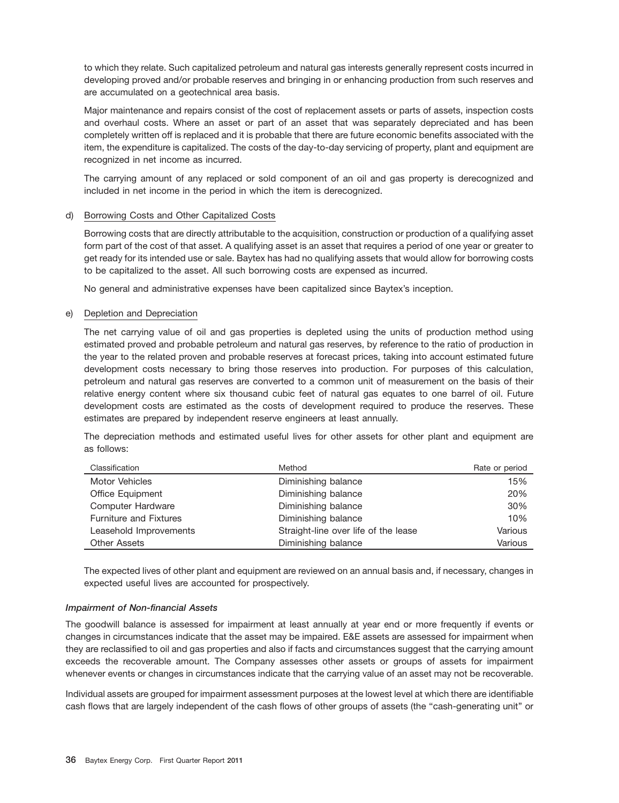to which they relate. Such capitalized petroleum and natural gas interests generally represent costs incurred in developing proved and/or probable reserves and bringing in or enhancing production from such reserves and are accumulated on a geotechnical area basis.

Major maintenance and repairs consist of the cost of replacement assets or parts of assets, inspection costs and overhaul costs. Where an asset or part of an asset that was separately depreciated and has been completely written off is replaced and it is probable that there are future economic benefits associated with the item, the expenditure is capitalized. The costs of the day-to-day servicing of property, plant and equipment are recognized in net income as incurred.

The carrying amount of any replaced or sold component of an oil and gas property is derecognized and included in net income in the period in which the item is derecognized.

#### d) Borrowing Costs and Other Capitalized Costs

Borrowing costs that are directly attributable to the acquisition, construction or production of a qualifying asset form part of the cost of that asset. A qualifying asset is an asset that requires a period of one year or greater to get ready for its intended use or sale. Baytex has had no qualifying assets that would allow for borrowing costs to be capitalized to the asset. All such borrowing costs are expensed as incurred.

No general and administrative expenses have been capitalized since Baytex's inception.

# e) Depletion and Depreciation

The net carrying value of oil and gas properties is depleted using the units of production method using estimated proved and probable petroleum and natural gas reserves, by reference to the ratio of production in the year to the related proven and probable reserves at forecast prices, taking into account estimated future development costs necessary to bring those reserves into production. For purposes of this calculation, petroleum and natural gas reserves are converted to a common unit of measurement on the basis of their relative energy content where six thousand cubic feet of natural gas equates to one barrel of oil. Future development costs are estimated as the costs of development required to produce the reserves. These estimates are prepared by independent reserve engineers at least annually.

The depreciation methods and estimated useful lives for other assets for other plant and equipment are as follows:

| Classification                | Method                               | Rate or period |
|-------------------------------|--------------------------------------|----------------|
| Motor Vehicles                | Diminishing balance                  | 15%            |
| <b>Office Equipment</b>       | Diminishing balance                  | 20%            |
| Computer Hardware             | Diminishing balance                  | 30%            |
| <b>Furniture and Fixtures</b> | Diminishing balance                  | 10%            |
| Leasehold Improvements        | Straight-line over life of the lease | Various        |
| <b>Other Assets</b>           | Diminishing balance                  | Various        |

The expected lives of other plant and equipment are reviewed on an annual basis and, if necessary, changes in expected useful lives are accounted for prospectively.

#### *Impairment of Non-financial Assets*

The goodwill balance is assessed for impairment at least annually at year end or more frequently if events or changes in circumstances indicate that the asset may be impaired. E&E assets are assessed for impairment when they are reclassified to oil and gas properties and also if facts and circumstances suggest that the carrying amount exceeds the recoverable amount. The Company assesses other assets or groups of assets for impairment whenever events or changes in circumstances indicate that the carrying value of an asset may not be recoverable.

Individual assets are grouped for impairment assessment purposes at the lowest level at which there are identifiable cash flows that are largely independent of the cash flows of other groups of assets (the ''cash-generating unit'' or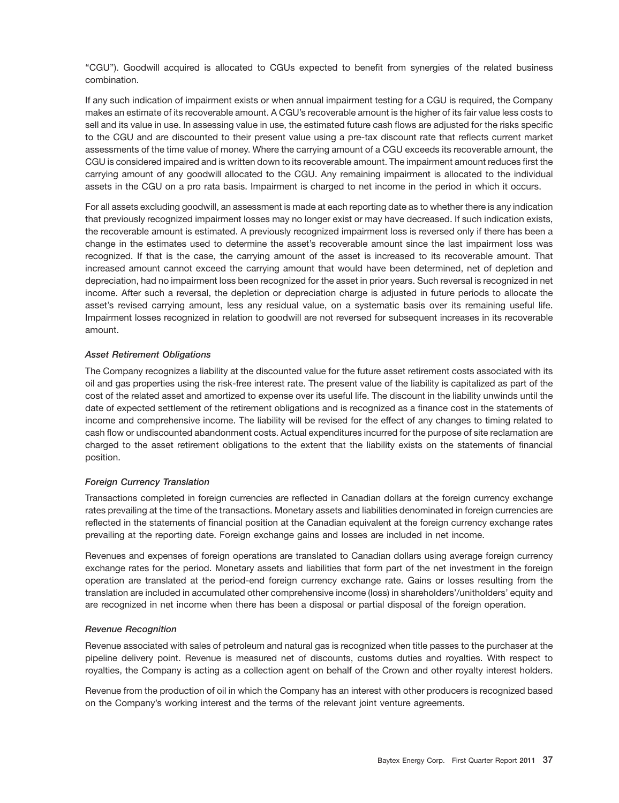''CGU''). Goodwill acquired is allocated to CGUs expected to benefit from synergies of the related business combination.

If any such indication of impairment exists or when annual impairment testing for a CGU is required, the Company makes an estimate of its recoverable amount. A CGU's recoverable amount is the higher of its fair value less costs to sell and its value in use. In assessing value in use, the estimated future cash flows are adjusted for the risks specific to the CGU and are discounted to their present value using a pre-tax discount rate that reflects current market assessments of the time value of money. Where the carrying amount of a CGU exceeds its recoverable amount, the CGU is considered impaired and is written down to its recoverable amount. The impairment amount reduces first the carrying amount of any goodwill allocated to the CGU. Any remaining impairment is allocated to the individual assets in the CGU on a pro rata basis. Impairment is charged to net income in the period in which it occurs.

For all assets excluding goodwill, an assessment is made at each reporting date as to whether there is any indication that previously recognized impairment losses may no longer exist or may have decreased. If such indication exists, the recoverable amount is estimated. A previously recognized impairment loss is reversed only if there has been a change in the estimates used to determine the asset's recoverable amount since the last impairment loss was recognized. If that is the case, the carrying amount of the asset is increased to its recoverable amount. That increased amount cannot exceed the carrying amount that would have been determined, net of depletion and depreciation, had no impairment loss been recognized for the asset in prior years. Such reversal is recognized in net income. After such a reversal, the depletion or depreciation charge is adjusted in future periods to allocate the asset's revised carrying amount, less any residual value, on a systematic basis over its remaining useful life. Impairment losses recognized in relation to goodwill are not reversed for subsequent increases in its recoverable amount.

# *Asset Retirement Obligations*

The Company recognizes a liability at the discounted value for the future asset retirement costs associated with its oil and gas properties using the risk-free interest rate. The present value of the liability is capitalized as part of the cost of the related asset and amortized to expense over its useful life. The discount in the liability unwinds until the date of expected settlement of the retirement obligations and is recognized as a finance cost in the statements of income and comprehensive income. The liability will be revised for the effect of any changes to timing related to cash flow or undiscounted abandonment costs. Actual expenditures incurred for the purpose of site reclamation are charged to the asset retirement obligations to the extent that the liability exists on the statements of financial position.

#### *Foreign Currency Translation*

Transactions completed in foreign currencies are reflected in Canadian dollars at the foreign currency exchange rates prevailing at the time of the transactions. Monetary assets and liabilities denominated in foreign currencies are reflected in the statements of financial position at the Canadian equivalent at the foreign currency exchange rates prevailing at the reporting date. Foreign exchange gains and losses are included in net income.

Revenues and expenses of foreign operations are translated to Canadian dollars using average foreign currency exchange rates for the period. Monetary assets and liabilities that form part of the net investment in the foreign operation are translated at the period-end foreign currency exchange rate. Gains or losses resulting from the translation are included in accumulated other comprehensive income (loss) in shareholders'/unitholders' equity and are recognized in net income when there has been a disposal or partial disposal of the foreign operation.

#### *Revenue Recognition*

Revenue associated with sales of petroleum and natural gas is recognized when title passes to the purchaser at the pipeline delivery point. Revenue is measured net of discounts, customs duties and royalties. With respect to royalties, the Company is acting as a collection agent on behalf of the Crown and other royalty interest holders.

Revenue from the production of oil in which the Company has an interest with other producers is recognized based on the Company's working interest and the terms of the relevant joint venture agreements.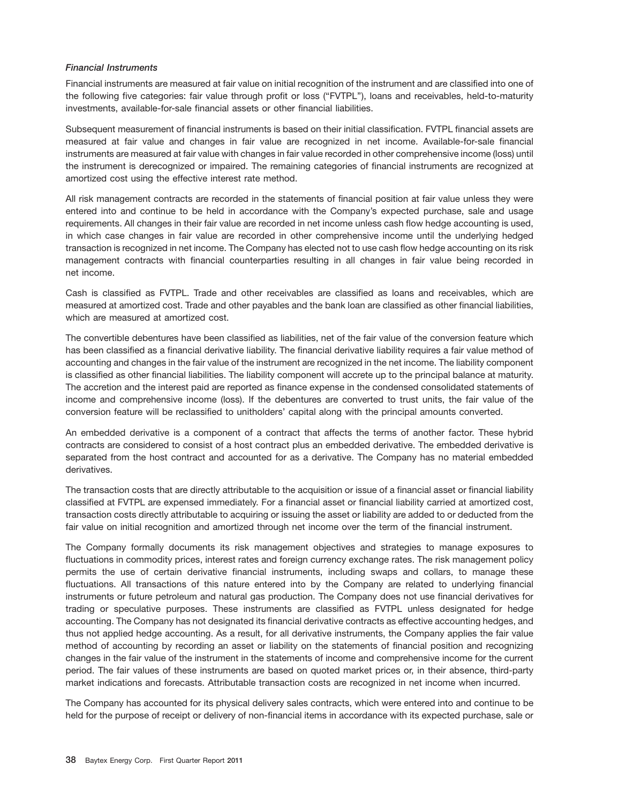#### *Financial Instruments*

Financial instruments are measured at fair value on initial recognition of the instrument and are classified into one of the following five categories: fair value through profit or loss (''FVTPL''), loans and receivables, held-to-maturity investments, available-for-sale financial assets or other financial liabilities.

Subsequent measurement of financial instruments is based on their initial classification. FVTPL financial assets are measured at fair value and changes in fair value are recognized in net income. Available-for-sale financial instruments are measured at fair value with changes in fair value recorded in other comprehensive income (loss) until the instrument is derecognized or impaired. The remaining categories of financial instruments are recognized at amortized cost using the effective interest rate method.

All risk management contracts are recorded in the statements of financial position at fair value unless they were entered into and continue to be held in accordance with the Company's expected purchase, sale and usage requirements. All changes in their fair value are recorded in net income unless cash flow hedge accounting is used, in which case changes in fair value are recorded in other comprehensive income until the underlying hedged transaction is recognized in net income. The Company has elected not to use cash flow hedge accounting on its risk management contracts with financial counterparties resulting in all changes in fair value being recorded in net income.

Cash is classified as FVTPL. Trade and other receivables are classified as loans and receivables, which are measured at amortized cost. Trade and other payables and the bank loan are classified as other financial liabilities, which are measured at amortized cost.

The convertible debentures have been classified as liabilities, net of the fair value of the conversion feature which has been classified as a financial derivative liability. The financial derivative liability requires a fair value method of accounting and changes in the fair value of the instrument are recognized in the net income. The liability component is classified as other financial liabilities. The liability component will accrete up to the principal balance at maturity. The accretion and the interest paid are reported as finance expense in the condensed consolidated statements of income and comprehensive income (loss). If the debentures are converted to trust units, the fair value of the conversion feature will be reclassified to unitholders' capital along with the principal amounts converted.

An embedded derivative is a component of a contract that affects the terms of another factor. These hybrid contracts are considered to consist of a host contract plus an embedded derivative. The embedded derivative is separated from the host contract and accounted for as a derivative. The Company has no material embedded derivatives.

The transaction costs that are directly attributable to the acquisition or issue of a financial asset or financial liability classified at FVTPL are expensed immediately. For a financial asset or financial liability carried at amortized cost, transaction costs directly attributable to acquiring or issuing the asset or liability are added to or deducted from the fair value on initial recognition and amortized through net income over the term of the financial instrument.

The Company formally documents its risk management objectives and strategies to manage exposures to fluctuations in commodity prices, interest rates and foreign currency exchange rates. The risk management policy permits the use of certain derivative financial instruments, including swaps and collars, to manage these fluctuations. All transactions of this nature entered into by the Company are related to underlying financial instruments or future petroleum and natural gas production. The Company does not use financial derivatives for trading or speculative purposes. These instruments are classified as FVTPL unless designated for hedge accounting. The Company has not designated its financial derivative contracts as effective accounting hedges, and thus not applied hedge accounting. As a result, for all derivative instruments, the Company applies the fair value method of accounting by recording an asset or liability on the statements of financial position and recognizing changes in the fair value of the instrument in the statements of income and comprehensive income for the current period. The fair values of these instruments are based on quoted market prices or, in their absence, third-party market indications and forecasts. Attributable transaction costs are recognized in net income when incurred.

The Company has accounted for its physical delivery sales contracts, which were entered into and continue to be held for the purpose of receipt or delivery of non-financial items in accordance with its expected purchase, sale or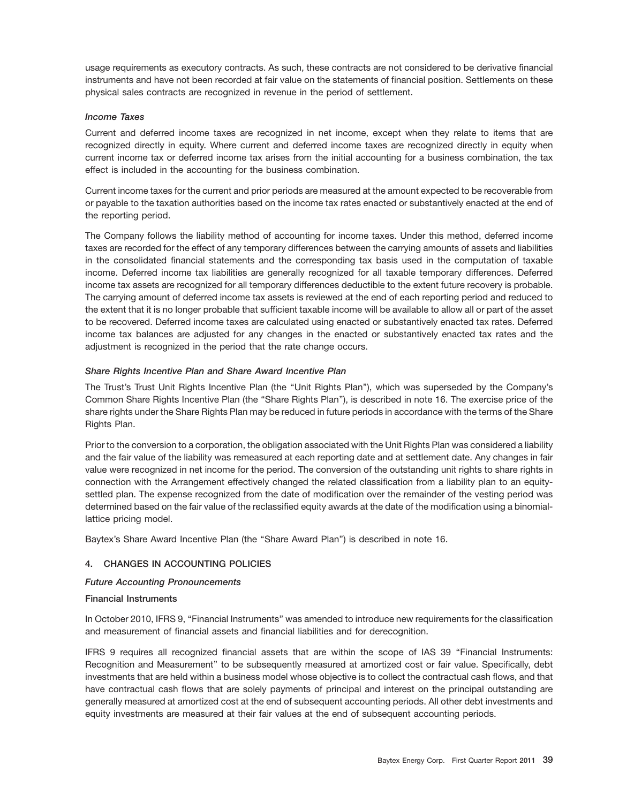usage requirements as executory contracts. As such, these contracts are not considered to be derivative financial instruments and have not been recorded at fair value on the statements of financial position. Settlements on these physical sales contracts are recognized in revenue in the period of settlement.

# *Income Taxes*

Current and deferred income taxes are recognized in net income, except when they relate to items that are recognized directly in equity. Where current and deferred income taxes are recognized directly in equity when current income tax or deferred income tax arises from the initial accounting for a business combination, the tax effect is included in the accounting for the business combination.

Current income taxes for the current and prior periods are measured at the amount expected to be recoverable from or payable to the taxation authorities based on the income tax rates enacted or substantively enacted at the end of the reporting period.

The Company follows the liability method of accounting for income taxes. Under this method, deferred income taxes are recorded for the effect of any temporary differences between the carrying amounts of assets and liabilities in the consolidated financial statements and the corresponding tax basis used in the computation of taxable income. Deferred income tax liabilities are generally recognized for all taxable temporary differences. Deferred income tax assets are recognized for all temporary differences deductible to the extent future recovery is probable. The carrying amount of deferred income tax assets is reviewed at the end of each reporting period and reduced to the extent that it is no longer probable that sufficient taxable income will be available to allow all or part of the asset to be recovered. Deferred income taxes are calculated using enacted or substantively enacted tax rates. Deferred income tax balances are adjusted for any changes in the enacted or substantively enacted tax rates and the adjustment is recognized in the period that the rate change occurs.

# *Share Rights Incentive Plan and Share Award Incentive Plan*

The Trust's Trust Unit Rights Incentive Plan (the ''Unit Rights Plan''), which was superseded by the Company's Common Share Rights Incentive Plan (the ''Share Rights Plan''), is described in note 16. The exercise price of the share rights under the Share Rights Plan may be reduced in future periods in accordance with the terms of the Share Rights Plan.

Prior to the conversion to a corporation, the obligation associated with the Unit Rights Plan was considered a liability and the fair value of the liability was remeasured at each reporting date and at settlement date. Any changes in fair value were recognized in net income for the period. The conversion of the outstanding unit rights to share rights in connection with the Arrangement effectively changed the related classification from a liability plan to an equitysettled plan. The expense recognized from the date of modification over the remainder of the vesting period was determined based on the fair value of the reclassified equity awards at the date of the modification using a binomiallattice pricing model.

Baytex's Share Award Incentive Plan (the ''Share Award Plan'') is described in note 16.

# **4. CHANGES IN ACCOUNTING POLICIES**

# *Future Accounting Pronouncements*

# **Financial Instruments**

In October 2010, IFRS 9, ''Financial Instruments'' was amended to introduce new requirements for the classification and measurement of financial assets and financial liabilities and for derecognition.

IFRS 9 requires all recognized financial assets that are within the scope of IAS 39 ''Financial Instruments: Recognition and Measurement'' to be subsequently measured at amortized cost or fair value. Specifically, debt investments that are held within a business model whose objective is to collect the contractual cash flows, and that have contractual cash flows that are solely payments of principal and interest on the principal outstanding are generally measured at amortized cost at the end of subsequent accounting periods. All other debt investments and equity investments are measured at their fair values at the end of subsequent accounting periods.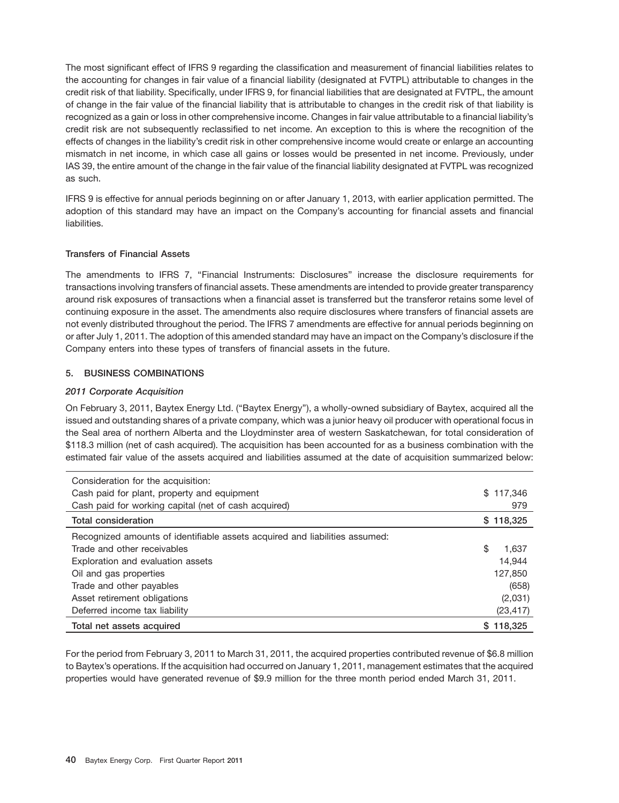The most significant effect of IFRS 9 regarding the classification and measurement of financial liabilities relates to the accounting for changes in fair value of a financial liability (designated at FVTPL) attributable to changes in the credit risk of that liability. Specifically, under IFRS 9, for financial liabilities that are designated at FVTPL, the amount of change in the fair value of the financial liability that is attributable to changes in the credit risk of that liability is recognized as a gain or loss in other comprehensive income. Changes in fair value attributable to a financial liability's credit risk are not subsequently reclassified to net income. An exception to this is where the recognition of the effects of changes in the liability's credit risk in other comprehensive income would create or enlarge an accounting mismatch in net income, in which case all gains or losses would be presented in net income. Previously, under IAS 39, the entire amount of the change in the fair value of the financial liability designated at FVTPL was recognized as such.

IFRS 9 is effective for annual periods beginning on or after January 1, 2013, with earlier application permitted. The adoption of this standard may have an impact on the Company's accounting for financial assets and financial liabilities.

# **Transfers of Financial Assets**

The amendments to IFRS 7, ''Financial Instruments: Disclosures'' increase the disclosure requirements for transactions involving transfers of financial assets. These amendments are intended to provide greater transparency around risk exposures of transactions when a financial asset is transferred but the transferor retains some level of continuing exposure in the asset. The amendments also require disclosures where transfers of financial assets are not evenly distributed throughout the period. The IFRS 7 amendments are effective for annual periods beginning on or after July 1, 2011. The adoption of this amended standard may have an impact on the Company's disclosure if the Company enters into these types of transfers of financial assets in the future.

# **5. BUSINESS COMBINATIONS**

# *2011 Corporate Acquisition*

On February 3, 2011, Baytex Energy Ltd. (''Baytex Energy''), a wholly-owned subsidiary of Baytex, acquired all the issued and outstanding shares of a private company, which was a junior heavy oil producer with operational focus in the Seal area of northern Alberta and the Lloydminster area of western Saskatchewan, for total consideration of \$118.3 million (net of cash acquired). The acquisition has been accounted for as a business combination with the estimated fair value of the assets acquired and liabilities assumed at the date of acquisition summarized below:

| Consideration for the acquisition:                                          |             |
|-----------------------------------------------------------------------------|-------------|
| Cash paid for plant, property and equipment                                 | \$117.346   |
| Cash paid for working capital (net of cash acquired)                        | 979         |
| Total consideration                                                         | \$118,325   |
| Recognized amounts of identifiable assets acquired and liabilities assumed: |             |
| Trade and other receivables                                                 | \$<br>1.637 |
| Exploration and evaluation assets                                           | 14.944      |
| Oil and gas properties                                                      | 127,850     |
| Trade and other payables                                                    | (658)       |
| Asset retirement obligations                                                | (2,031)     |
| Deferred income tax liability                                               | (23, 417)   |
| Total net assets acquired                                                   | \$118,325   |

For the period from February 3, 2011 to March 31, 2011, the acquired properties contributed revenue of \$6.8 million to Baytex's operations. If the acquisition had occurred on January 1, 2011, management estimates that the acquired properties would have generated revenue of \$9.9 million for the three month period ended March 31, 2011.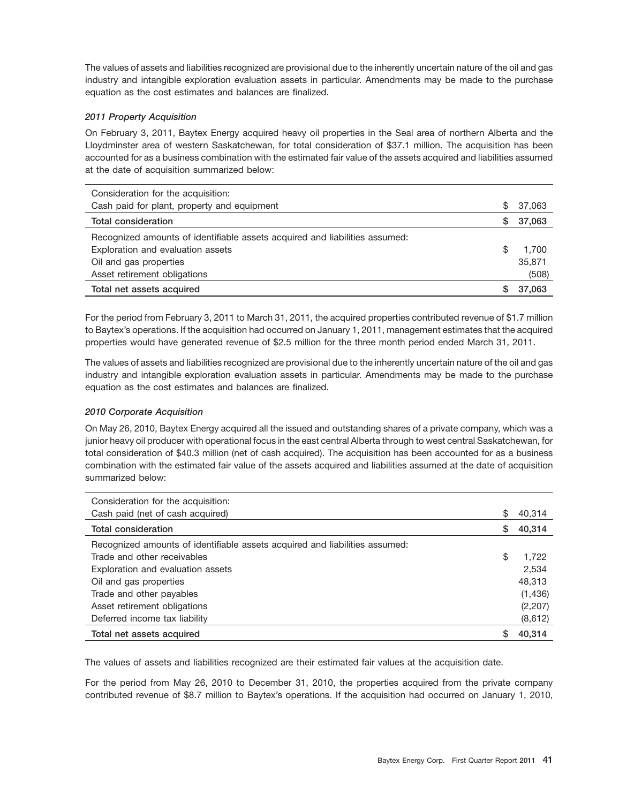The values of assets and liabilities recognized are provisional due to the inherently uncertain nature of the oil and gas industry and intangible exploration evaluation assets in particular. Amendments may be made to the purchase equation as the cost estimates and balances are finalized.

# *2011 Property Acquisition*

On February 3, 2011, Baytex Energy acquired heavy oil properties in the Seal area of northern Alberta and the Lloydminster area of western Saskatchewan, for total consideration of \$37.1 million. The acquisition has been accounted for as a business combination with the estimated fair value of the assets acquired and liabilities assumed at the date of acquisition summarized below:

| Consideration for the acquisition:                                          |     |        |
|-----------------------------------------------------------------------------|-----|--------|
| Cash paid for plant, property and equipment                                 | \$. | 37,063 |
| <b>Total consideration</b>                                                  | S.  | 37,063 |
| Recognized amounts of identifiable assets acquired and liabilities assumed: |     |        |
| Exploration and evaluation assets                                           | S   | 1.700  |
| Oil and gas properties                                                      |     | 35,871 |
| Asset retirement obligations                                                |     | (508)  |
| Total net assets acquired                                                   |     | 37.063 |

For the period from February 3, 2011 to March 31, 2011, the acquired properties contributed revenue of \$1.7 million to Baytex's operations. If the acquisition had occurred on January 1, 2011, management estimates that the acquired properties would have generated revenue of \$2.5 million for the three month period ended March 31, 2011.

The values of assets and liabilities recognized are provisional due to the inherently uncertain nature of the oil and gas industry and intangible exploration evaluation assets in particular. Amendments may be made to the purchase equation as the cost estimates and balances are finalized.

# *2010 Corporate Acquisition*

On May 26, 2010, Baytex Energy acquired all the issued and outstanding shares of a private company, which was a junior heavy oil producer with operational focus in the east central Alberta through to west central Saskatchewan, for total consideration of \$40.3 million (net of cash acquired). The acquisition has been accounted for as a business combination with the estimated fair value of the assets acquired and liabilities assumed at the date of acquisition summarized below:

| Consideration for the acquisition:                                          |    |          |
|-----------------------------------------------------------------------------|----|----------|
| Cash paid (net of cash acquired)                                            | \$ | 40,314   |
| <b>Total consideration</b>                                                  | S  | 40,314   |
| Recognized amounts of identifiable assets acquired and liabilities assumed: |    |          |
| Trade and other receivables                                                 | \$ | 1.722    |
| Exploration and evaluation assets                                           |    | 2,534    |
| Oil and gas properties                                                      |    | 48,313   |
| Trade and other payables                                                    |    | (1,436)  |
| Asset retirement obligations                                                |    | (2, 207) |
| Deferred income tax liability                                               |    | (8,612)  |
| Total net assets acquired                                                   |    | 40.314   |

The values of assets and liabilities recognized are their estimated fair values at the acquisition date.

For the period from May 26, 2010 to December 31, 2010, the properties acquired from the private company contributed revenue of \$8.7 million to Baytex's operations. If the acquisition had occurred on January 1, 2010,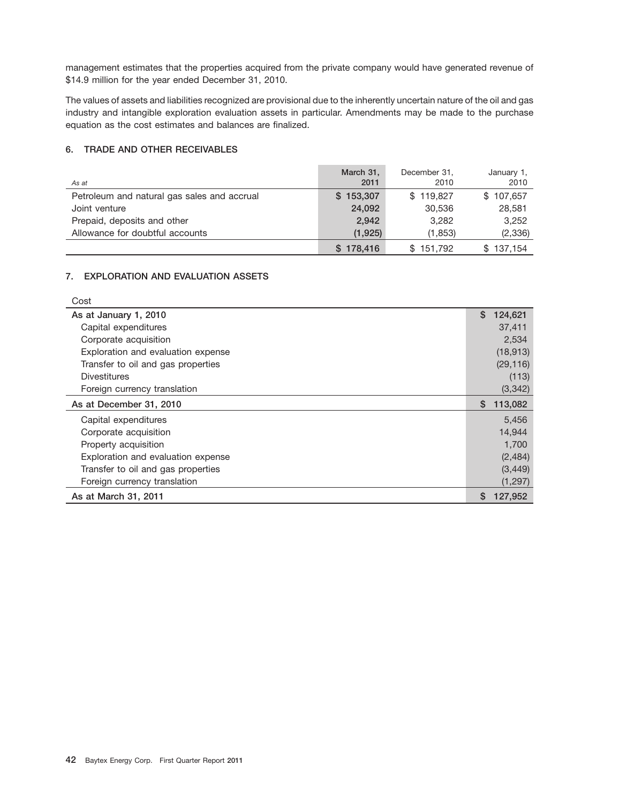management estimates that the properties acquired from the private company would have generated revenue of \$14.9 million for the year ended December 31, 2010.

The values of assets and liabilities recognized are provisional due to the inherently uncertain nature of the oil and gas industry and intangible exploration evaluation assets in particular. Amendments may be made to the purchase equation as the cost estimates and balances are finalized.

# **6. TRADE AND OTHER RECEIVABLES**

| As at                                       | March 31,<br>2011 | December 31.<br>2010 | January 1,<br>2010 |
|---------------------------------------------|-------------------|----------------------|--------------------|
| Petroleum and natural gas sales and accrual | \$153,307         | \$119,827            | \$107,657          |
| Joint venture                               | 24,092            | 30,536               | 28,581             |
| Prepaid, deposits and other                 | 2.942             | 3.282                | 3,252              |
| Allowance for doubtful accounts             | (1,925)           | (1,853)              | (2, 336)           |
|                                             | \$178,416         | \$151,792            | \$137.154          |

# **7. EXPLORATION AND EVALUATION ASSETS**

 $\sim$   $\sim$ 

| ∪ost                               |               |
|------------------------------------|---------------|
| As at January 1, 2010              | \$<br>124,621 |
| Capital expenditures               | 37,411        |
| Corporate acquisition              | 2,534         |
| Exploration and evaluation expense | (18, 913)     |
| Transfer to oil and gas properties | (29, 116)     |
| <b>Divestitures</b>                | (113)         |
| Foreign currency translation       | (3,342)       |
| As at December 31, 2010            | 113,082<br>S. |
| Capital expenditures               | 5,456         |
| Corporate acquisition              | 14,944        |
| Property acquisition               | 1,700         |
| Exploration and evaluation expense | (2,484)       |
| Transfer to oil and gas properties | (3, 449)      |
| Foreign currency translation       | (1,297)       |
| As at March 31, 2011               | 127,952<br>S. |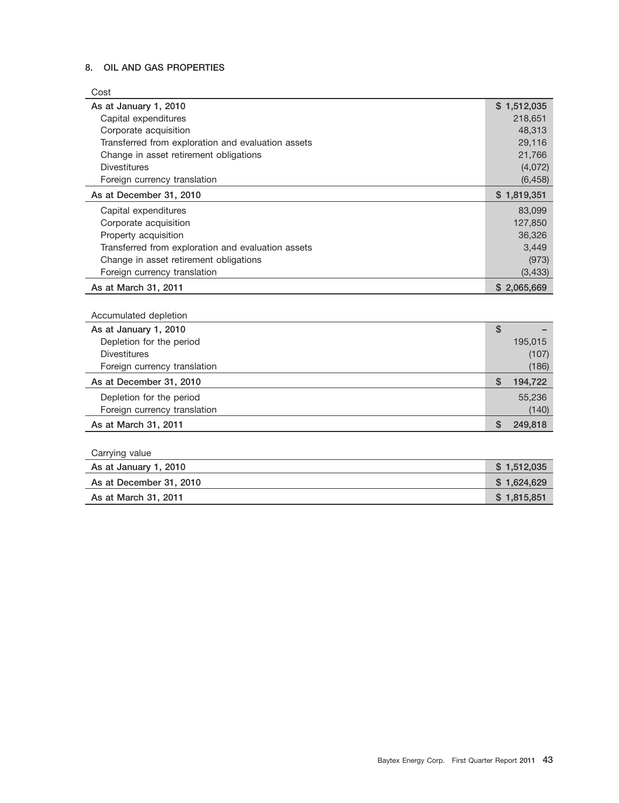# **8. OIL AND GAS PROPERTIES**

| Cost                                               |               |
|----------------------------------------------------|---------------|
| As at January 1, 2010                              | \$1,512,035   |
| Capital expenditures                               | 218,651       |
| Corporate acquisition                              | 48,313        |
| Transferred from exploration and evaluation assets | 29,116        |
| Change in asset retirement obligations             | 21,766        |
| <b>Divestitures</b>                                | (4,072)       |
| Foreign currency translation                       | (6, 458)      |
| As at December 31, 2010                            | \$1,819,351   |
| Capital expenditures                               | 83,099        |
| Corporate acquisition                              | 127,850       |
| Property acquisition                               | 36,326        |
| Transferred from exploration and evaluation assets | 3.449         |
| Change in asset retirement obligations             | (973)         |
| Foreign currency translation                       | (3, 433)      |
| As at March 31, 2011                               | \$2,065,669   |
|                                                    |               |
| Accumulated depletion                              |               |
| As at January 1, 2010                              | \$            |
| Depletion for the period                           | 195,015       |
| <b>Divestitures</b>                                | (107)         |
| Foreign currency translation                       | (186)         |
| As at December 31, 2010                            | \$<br>194,722 |
| Depletion for the period                           | 55,236        |
| Foreign currency translation                       | (140)         |
| As at March 31, 2011                               | \$<br>249,818 |
|                                                    |               |
|                                                    |               |
| Carrying value                                     |               |

| As at January 1, 2010   | \$1.512.035 |
|-------------------------|-------------|
| As at December 31, 2010 | \$1.624.629 |
| As at March 31, 2011    | \$1.815.851 |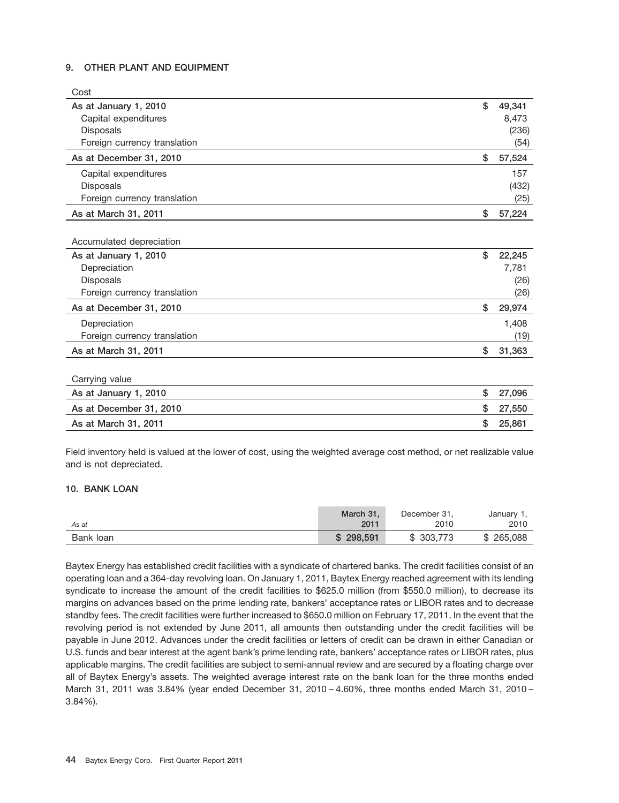# **9. OTHER PLANT AND EQUIPMENT**

| Cost                         |              |
|------------------------------|--------------|
| As at January 1, 2010        | \$<br>49,341 |
| Capital expenditures         | 8,473        |
| <b>Disposals</b>             | (236)        |
| Foreign currency translation | (54)         |
| As at December 31, 2010      | \$<br>57,524 |
| Capital expenditures         | 157          |
| <b>Disposals</b>             | (432)        |
| Foreign currency translation | (25)         |
| As at March 31, 2011         | \$<br>57,224 |
|                              |              |
| Accumulated depreciation     |              |
| As at January 1, 2010        | \$<br>22,245 |
| Depreciation                 | 7,781        |
| <b>Disposals</b>             | (26)         |
| Foreign currency translation | (26)         |
| As at December 31, 2010      | \$<br>29,974 |
| Depreciation                 | 1,408        |
| Foreign currency translation | (19)         |
| As at March 31, 2011         | \$<br>31,363 |
|                              |              |
| Carrying value               |              |
| As at January 1, 2010        | \$<br>27,096 |
| As at December 31, 2010      | \$<br>27,550 |
| As at March 31, 2011         | \$<br>25,861 |

Field inventory held is valued at the lower of cost, using the weighted average cost method, or net realizable value and is not depreciated.

# **10. BANK LOAN**

| As at     | March 31. | December 31, | January 1, |
|-----------|-----------|--------------|------------|
|           | 2011      | 2010         | 2010       |
| Bank loan | \$298,591 | \$303,773    | \$265.088  |

Baytex Energy has established credit facilities with a syndicate of chartered banks. The credit facilities consist of an operating loan and a 364-day revolving loan. On January 1, 2011, Baytex Energy reached agreement with its lending syndicate to increase the amount of the credit facilities to \$625.0 million (from \$550.0 million), to decrease its margins on advances based on the prime lending rate, bankers' acceptance rates or LIBOR rates and to decrease standby fees. The credit facilities were further increased to \$650.0 million on February 17, 2011. In the event that the revolving period is not extended by June 2011, all amounts then outstanding under the credit facilities will be payable in June 2012. Advances under the credit facilities or letters of credit can be drawn in either Canadian or U.S. funds and bear interest at the agent bank's prime lending rate, bankers' acceptance rates or LIBOR rates, plus applicable margins. The credit facilities are subject to semi-annual review and are secured by a floating charge over all of Baytex Energy's assets. The weighted average interest rate on the bank loan for the three months ended March 31, 2011 was 3.84% (year ended December 31, 2010 – 4.60%, three months ended March 31, 2010 – 3.84%).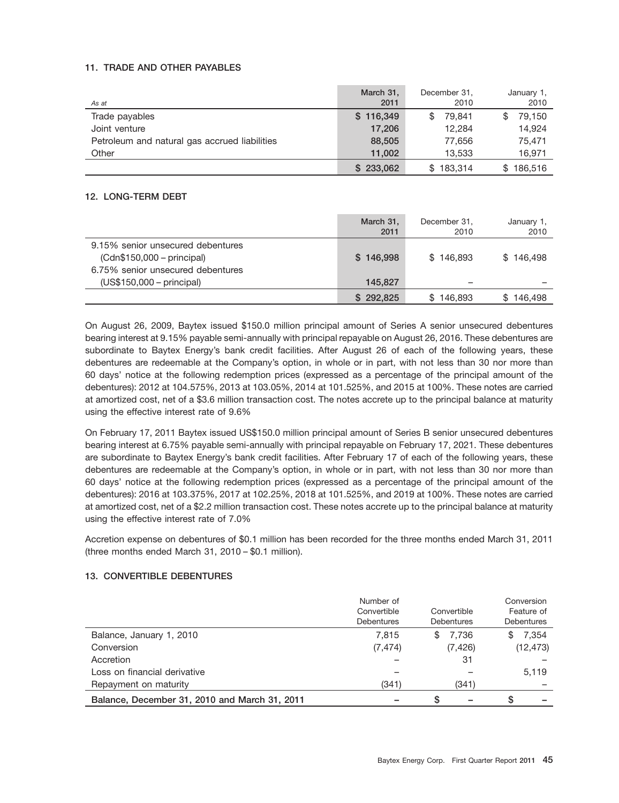# **11. TRADE AND OTHER PAYABLES**

| As at                                         | March 31,<br>2011 | December 31.<br>2010 | January 1,<br>2010 |
|-----------------------------------------------|-------------------|----------------------|--------------------|
| Trade payables                                | \$116,349         | 79.841<br>S          | 79.150<br>\$       |
| Joint venture                                 | 17,206            | 12.284               | 14,924             |
| Petroleum and natural gas accrued liabilities | 88,505            | 77,656               | 75,471             |
| Other                                         | 11.002            | 13.533               | 16.971             |
|                                               | \$233,062         | \$183,314            | \$186,516          |

# **12. LONG-TERM DEBT**

|                                                                                                     | March 31,<br>2011 | December 31,<br>2010 | January 1,<br>2010 |
|-----------------------------------------------------------------------------------------------------|-------------------|----------------------|--------------------|
| 9.15% senior unsecured debentures<br>$(Cdn$150,000-principal)$<br>6.75% senior unsecured debentures | \$146,998         | \$146.893            | \$146.498          |
| $(US$150,000-principal)$                                                                            | 145.827           |                      |                    |
|                                                                                                     | \$292,825         | \$146,893            | \$146.498          |

On August 26, 2009, Baytex issued \$150.0 million principal amount of Series A senior unsecured debentures bearing interest at 9.15% payable semi-annually with principal repayable on August 26, 2016. These debentures are subordinate to Baytex Energy's bank credit facilities. After August 26 of each of the following years, these debentures are redeemable at the Company's option, in whole or in part, with not less than 30 nor more than 60 days' notice at the following redemption prices (expressed as a percentage of the principal amount of the debentures): 2012 at 104.575%, 2013 at 103.05%, 2014 at 101.525%, and 2015 at 100%. These notes are carried at amortized cost, net of a \$3.6 million transaction cost. The notes accrete up to the principal balance at maturity using the effective interest rate of 9.6%

On February 17, 2011 Baytex issued US\$150.0 million principal amount of Series B senior unsecured debentures bearing interest at 6.75% payable semi-annually with principal repayable on February 17, 2021. These debentures are subordinate to Baytex Energy's bank credit facilities. After February 17 of each of the following years, these debentures are redeemable at the Company's option, in whole or in part, with not less than 30 nor more than 60 days' notice at the following redemption prices (expressed as a percentage of the principal amount of the debentures): 2016 at 103.375%, 2017 at 102.25%, 2018 at 101.525%, and 2019 at 100%. These notes are carried at amortized cost, net of a \$2.2 million transaction cost. These notes accrete up to the principal balance at maturity using the effective interest rate of 7.0%

Accretion expense on debentures of \$0.1 million has been recorded for the three months ended March 31, 2011 (three months ended March 31, 2010 – \$0.1 million).

# **13. CONVERTIBLE DEBENTURES**

|                                               | Number of<br>Convertible<br><b>Debentures</b> | Convertible<br><b>Debentures</b> |              |  |  |  |  |
|-----------------------------------------------|-----------------------------------------------|----------------------------------|--------------|--|--|--|--|
| Balance, January 1, 2010                      | 7.815                                         | 7.736<br>\$                      | 7.354<br>\$. |  |  |  |  |
| Conversion                                    | (7, 474)                                      | (7, 426)                         | (12, 473)    |  |  |  |  |
| Accretion                                     |                                               | 31                               |              |  |  |  |  |
| Loss on financial derivative                  |                                               |                                  | 5,119        |  |  |  |  |
| Repayment on maturity                         | (341)                                         | (341)                            |              |  |  |  |  |
| Balance, December 31, 2010 and March 31, 2011 |                                               | S                                | S            |  |  |  |  |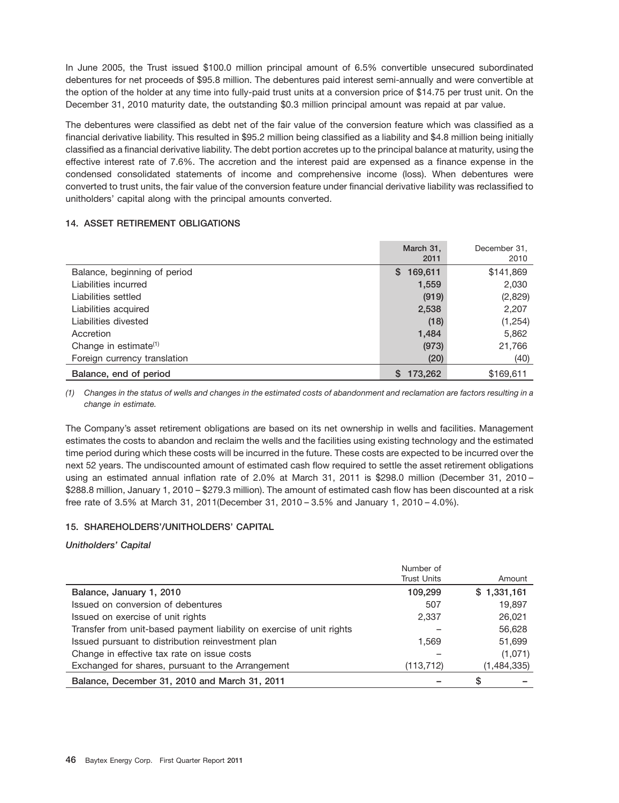In June 2005, the Trust issued \$100.0 million principal amount of 6.5% convertible unsecured subordinated debentures for net proceeds of \$95.8 million. The debentures paid interest semi-annually and were convertible at the option of the holder at any time into fully-paid trust units at a conversion price of \$14.75 per trust unit. On the December 31, 2010 maturity date, the outstanding \$0.3 million principal amount was repaid at par value.

The debentures were classified as debt net of the fair value of the conversion feature which was classified as a financial derivative liability. This resulted in \$95.2 million being classified as a liability and \$4.8 million being initially classified as a financial derivative liability. The debt portion accretes up to the principal balance at maturity, using the effective interest rate of 7.6%. The accretion and the interest paid are expensed as a finance expense in the condensed consolidated statements of income and comprehensive income (loss). When debentures were converted to trust units, the fair value of the conversion feature under financial derivative liability was reclassified to unitholders' capital along with the principal amounts converted.

# **14. ASSET RETIREMENT OBLIGATIONS**

|                              | March 31,     | December 31. |
|------------------------------|---------------|--------------|
|                              | 2011          | 2010         |
| Balance, beginning of period | 169,611<br>S. | \$141,869    |
| Liabilities incurred         | 1,559         | 2,030        |
| Liabilities settled          | (919)         | (2,829)      |
| Liabilities acquired         | 2,538         | 2,207        |
| Liabilities divested         | (18)          | (1, 254)     |
| Accretion                    | 1,484         | 5,862        |
| Change in estimate $(1)$     | (973)         | 21,766       |
| Foreign currency translation | (20)          | (40)         |
| Balance, end of period       | 173,262<br>S  | \$169,611    |

*(1) Changes in the status of wells and changes in the estimated costs of abandonment and reclamation are factors resulting in a change in estimate.*

The Company's asset retirement obligations are based on its net ownership in wells and facilities. Management estimates the costs to abandon and reclaim the wells and the facilities using existing technology and the estimated time period during which these costs will be incurred in the future. These costs are expected to be incurred over the next 52 years. The undiscounted amount of estimated cash flow required to settle the asset retirement obligations using an estimated annual inflation rate of 2.0% at March 31, 2011 is \$298.0 million (December 31, 2010 – \$288.8 million, January 1, 2010 – \$279.3 million). The amount of estimated cash flow has been discounted at a risk free rate of 3.5% at March 31, 2011(December 31, 2010 – 3.5% and January 1, 2010 – 4.0%).

# **15. SHAREHOLDERS'/UNITHOLDERS' CAPITAL**

# *Unitholders' Capital*

|                                                                       | Number of          |             |
|-----------------------------------------------------------------------|--------------------|-------------|
|                                                                       | <b>Trust Units</b> | Amount      |
| Balance, January 1, 2010                                              | 109.299            | \$1,331,161 |
| Issued on conversion of debentures                                    | 507                | 19,897      |
| Issued on exercise of unit rights                                     | 2,337              | 26,021      |
| Transfer from unit-based payment liability on exercise of unit rights |                    | 56,628      |
| Issued pursuant to distribution reinvestment plan                     | 1.569              | 51,699      |
| Change in effective tax rate on issue costs                           |                    | (1,071)     |
| Exchanged for shares, pursuant to the Arrangement                     | (113, 712)         | (1,484,335) |
| Balance, December 31, 2010 and March 31, 2011                         |                    | S           |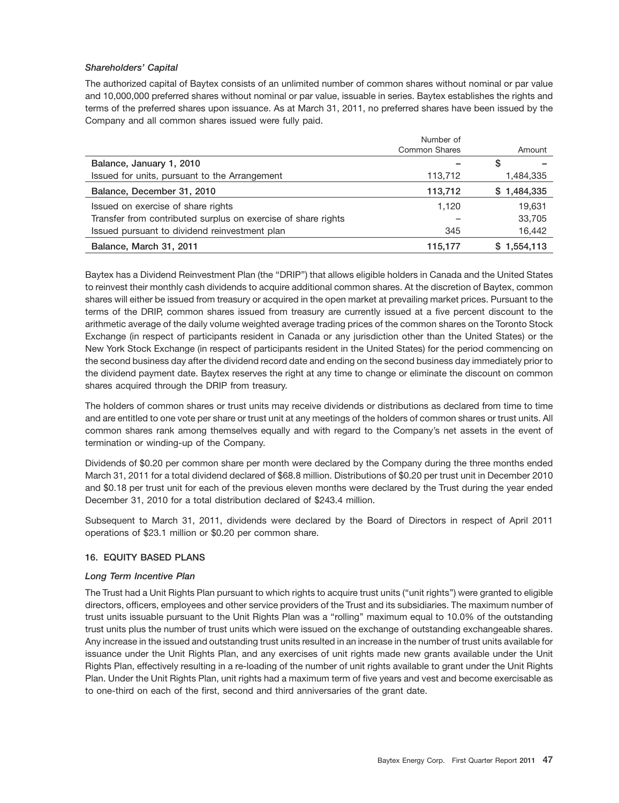# *Shareholders' Capital*

The authorized capital of Baytex consists of an unlimited number of common shares without nominal or par value and 10,000,000 preferred shares without nominal or par value, issuable in series. Baytex establishes the rights and terms of the preferred shares upon issuance. As at March 31, 2011, no preferred shares have been issued by the Company and all common shares issued were fully paid.

|                                                               | Number of            |             |
|---------------------------------------------------------------|----------------------|-------------|
|                                                               | <b>Common Shares</b> | Amount      |
| Balance, January 1, 2010                                      |                      | S           |
| Issued for units, pursuant to the Arrangement                 | 113,712              | 1,484,335   |
| Balance, December 31, 2010                                    | 113,712              | \$1,484,335 |
| Issued on exercise of share rights                            | 1.120                | 19,631      |
| Transfer from contributed surplus on exercise of share rights |                      | 33,705      |
| Issued pursuant to dividend reinvestment plan                 | 345                  | 16,442      |
| Balance, March 31, 2011                                       | 115.177              | \$1,554,113 |

Baytex has a Dividend Reinvestment Plan (the ''DRIP'') that allows eligible holders in Canada and the United States to reinvest their monthly cash dividends to acquire additional common shares. At the discretion of Baytex, common shares will either be issued from treasury or acquired in the open market at prevailing market prices. Pursuant to the terms of the DRIP, common shares issued from treasury are currently issued at a five percent discount to the arithmetic average of the daily volume weighted average trading prices of the common shares on the Toronto Stock Exchange (in respect of participants resident in Canada or any jurisdiction other than the United States) or the New York Stock Exchange (in respect of participants resident in the United States) for the period commencing on the second business day after the dividend record date and ending on the second business day immediately prior to the dividend payment date. Baytex reserves the right at any time to change or eliminate the discount on common shares acquired through the DRIP from treasury.

The holders of common shares or trust units may receive dividends or distributions as declared from time to time and are entitled to one vote per share or trust unit at any meetings of the holders of common shares or trust units. All common shares rank among themselves equally and with regard to the Company's net assets in the event of termination or winding-up of the Company.

Dividends of \$0.20 per common share per month were declared by the Company during the three months ended March 31, 2011 for a total dividend declared of \$68.8 million. Distributions of \$0.20 per trust unit in December 2010 and \$0.18 per trust unit for each of the previous eleven months were declared by the Trust during the year ended December 31, 2010 for a total distribution declared of \$243.4 million.

Subsequent to March 31, 2011, dividends were declared by the Board of Directors in respect of April 2011 operations of \$23.1 million or \$0.20 per common share.

# **16. EQUITY BASED PLANS**

# *Long Term Incentive Plan*

The Trust had a Unit Rights Plan pursuant to which rights to acquire trust units (''unit rights'') were granted to eligible directors, officers, employees and other service providers of the Trust and its subsidiaries. The maximum number of trust units issuable pursuant to the Unit Rights Plan was a ''rolling'' maximum equal to 10.0% of the outstanding trust units plus the number of trust units which were issued on the exchange of outstanding exchangeable shares. Any increase in the issued and outstanding trust units resulted in an increase in the number of trust units available for issuance under the Unit Rights Plan, and any exercises of unit rights made new grants available under the Unit Rights Plan, effectively resulting in a re-loading of the number of unit rights available to grant under the Unit Rights Plan. Under the Unit Rights Plan, unit rights had a maximum term of five years and vest and become exercisable as to one-third on each of the first, second and third anniversaries of the grant date.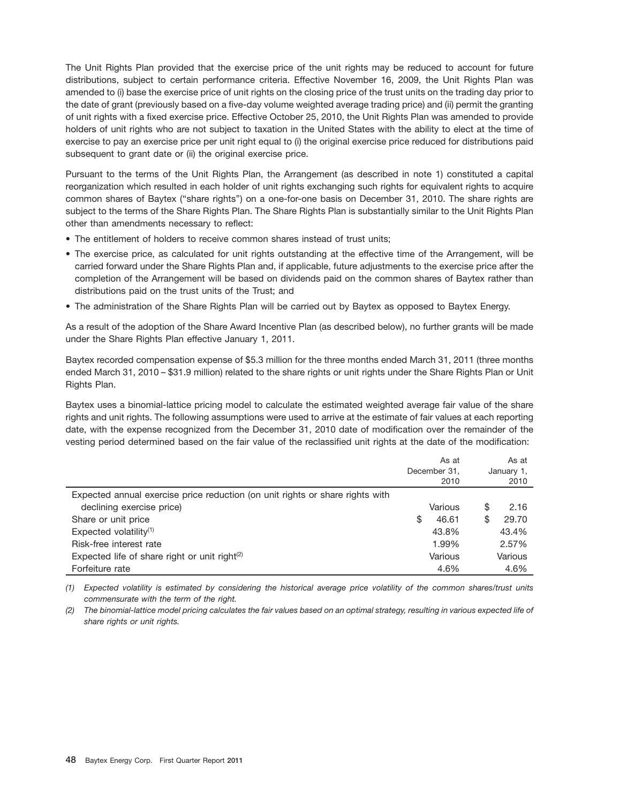The Unit Rights Plan provided that the exercise price of the unit rights may be reduced to account for future distributions, subject to certain performance criteria. Effective November 16, 2009, the Unit Rights Plan was amended to (i) base the exercise price of unit rights on the closing price of the trust units on the trading day prior to the date of grant (previously based on a five-day volume weighted average trading price) and (ii) permit the granting of unit rights with a fixed exercise price. Effective October 25, 2010, the Unit Rights Plan was amended to provide holders of unit rights who are not subject to taxation in the United States with the ability to elect at the time of exercise to pay an exercise price per unit right equal to (i) the original exercise price reduced for distributions paid subsequent to grant date or (ii) the original exercise price.

Pursuant to the terms of the Unit Rights Plan, the Arrangement (as described in note 1) constituted a capital reorganization which resulted in each holder of unit rights exchanging such rights for equivalent rights to acquire common shares of Baytex (''share rights'') on a one-for-one basis on December 31, 2010. The share rights are subject to the terms of the Share Rights Plan. The Share Rights Plan is substantially similar to the Unit Rights Plan other than amendments necessary to reflect:

- The entitlement of holders to receive common shares instead of trust units;
- The exercise price, as calculated for unit rights outstanding at the effective time of the Arrangement, will be carried forward under the Share Rights Plan and, if applicable, future adjustments to the exercise price after the completion of the Arrangement will be based on dividends paid on the common shares of Baytex rather than distributions paid on the trust units of the Trust; and
- The administration of the Share Rights Plan will be carried out by Baytex as opposed to Baytex Energy.

As a result of the adoption of the Share Award Incentive Plan (as described below), no further grants will be made under the Share Rights Plan effective January 1, 2011.

Baytex recorded compensation expense of \$5.3 million for the three months ended March 31, 2011 (three months ended March 31, 2010 – \$31.9 million) related to the share rights or unit rights under the Share Rights Plan or Unit Rights Plan.

Baytex uses a binomial-lattice pricing model to calculate the estimated weighted average fair value of the share rights and unit rights. The following assumptions were used to arrive at the estimate of fair values at each reporting date, with the expense recognized from the December 31, 2010 date of modification over the remainder of the vesting period determined based on the fair value of the reclassified unit rights at the date of the modification:

|                                                                               |              | As at   |            | As at   |
|-------------------------------------------------------------------------------|--------------|---------|------------|---------|
|                                                                               | December 31, |         | January 1, |         |
|                                                                               |              | 2010    |            | 2010    |
| Expected annual exercise price reduction (on unit rights or share rights with |              |         |            |         |
| declining exercise price)                                                     |              | Various | S          | 2.16    |
| Share or unit price                                                           | \$           | 46.61   | S          | 29.70   |
| Expected volatility $(1)$                                                     |              | 43.8%   |            | 43.4%   |
| Risk-free interest rate                                                       |              | 1.99%   |            | 2.57%   |
| Expected life of share right or unit right $(2)$                              |              | Various |            | Various |
| Forfeiture rate                                                               |              | 4.6%    |            | 4.6%    |

*(1) Expected volatility is estimated by considering the historical average price volatility of the common shares/trust units commensurate with the term of the right.*

*(2) The binomial-lattice model pricing calculates the fair values based on an optimal strategy, resulting in various expected life of share rights or unit rights.*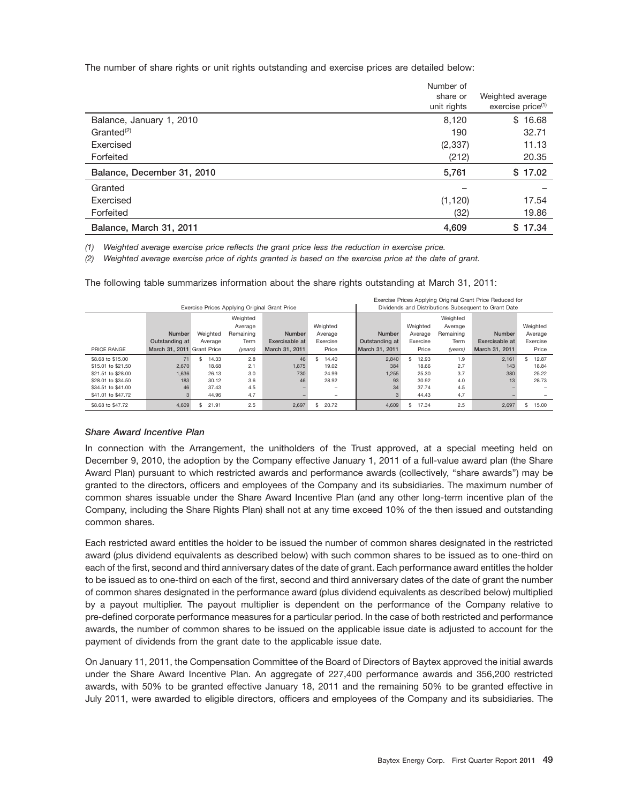The number of share rights or unit rights outstanding and exercise prices are detailed below:

|                            | Number of   |                               |
|----------------------------|-------------|-------------------------------|
|                            | share or    | Weighted average              |
|                            | unit rights | exercise price <sup>(1)</sup> |
| Balance, January 1, 2010   | 8,120       | \$16.68                       |
| $G$ ranted $(2)$           | 190         | 32.71                         |
| Exercised                  | (2, 337)    | 11.13                         |
| Forfeited                  | (212)       | 20.35                         |
| Balance, December 31, 2010 | 5,761       | \$17.02                       |
| Granted                    |             |                               |
| Exercised                  | (1, 120)    | 17.54                         |
| Forfeited                  | (32)        | 19.86                         |
| Balance, March 31, 2011    | 4,609       | \$17.34                       |

*(1) Weighted average exercise price reflects the grant price less the reduction in exercise price.*

*(2) Weighted average exercise price of rights granted is based on the exercise price at the date of grant.*

Exercise Prices Applying Original Grant Price Reduced for Exercise Prices Applying Original Grant Price **Dividends and Distributions Subsequent to Grant Date** Weighted Weighted Weighted Weighted Average Weighted Weighted Average Weighted **Number** Weighted Remaining **Number** Average **Number** Average Remaining **Number** Average **Outstanding at** Average Term **Exercisable at** Exercise **Outstanding at** Exercise Term **Exercisable at** Exercise PRICE RANGE March 31, 2011 Grant Price *(years)* March 31, 2011 Price March 31, 2011 Price *(years)* March 31, 2011 Price \$8.68 to \$15.00 71 \$ 14.33 2.8 46 \$ 14.40 2,840 \$ 12.93 1.9 2,161 \$ 12.87 \$15.01 to \$21.50 2,670 18.68 2.1 1,875 19.02 384 18.66 2.7 143 18.84 \$21.51 to \$28.00 1,636 26.13 3.0 730 24.99 1,255 25.30 3.7 380 25.22 \$28.01 to \$34.50 183 30.12 3.6 46 28.92 93 30.92 4.0 13 28.73 \$34.51 to \$41.00 46 37.43 4.5 – – 34 37.74 4.5 – – \$41.01 to \$47.72 3 44.96 4.7 – – 3 44.43 4.7 – – \$8.68 to \$47.72 4,609 \$ 21.91 2.5 2,697 \$ 20.72 4,609 \$ 17.34 2.5 2,697 \$ 15.00

The following table summarizes information about the share rights outstanding at March 31, 2011:

# *Share Award Incentive Plan*

In connection with the Arrangement, the unitholders of the Trust approved, at a special meeting held on December 9, 2010, the adoption by the Company effective January 1, 2011 of a full-value award plan (the Share Award Plan) pursuant to which restricted awards and performance awards (collectively, ''share awards'') may be granted to the directors, officers and employees of the Company and its subsidiaries. The maximum number of common shares issuable under the Share Award Incentive Plan (and any other long-term incentive plan of the Company, including the Share Rights Plan) shall not at any time exceed 10% of the then issued and outstanding common shares.

Each restricted award entitles the holder to be issued the number of common shares designated in the restricted award (plus dividend equivalents as described below) with such common shares to be issued as to one-third on each of the first, second and third anniversary dates of the date of grant. Each performance award entitles the holder to be issued as to one-third on each of the first, second and third anniversary dates of the date of grant the number of common shares designated in the performance award (plus dividend equivalents as described below) multiplied by a payout multiplier. The payout multiplier is dependent on the performance of the Company relative to pre-defined corporate performance measures for a particular period. In the case of both restricted and performance awards, the number of common shares to be issued on the applicable issue date is adjusted to account for the payment of dividends from the grant date to the applicable issue date.

On January 11, 2011, the Compensation Committee of the Board of Directors of Baytex approved the initial awards under the Share Award Incentive Plan. An aggregate of 227,400 performance awards and 356,200 restricted awards, with 50% to be granted effective January 18, 2011 and the remaining 50% to be granted effective in July 2011, were awarded to eligible directors, officers and employees of the Company and its subsidiaries. The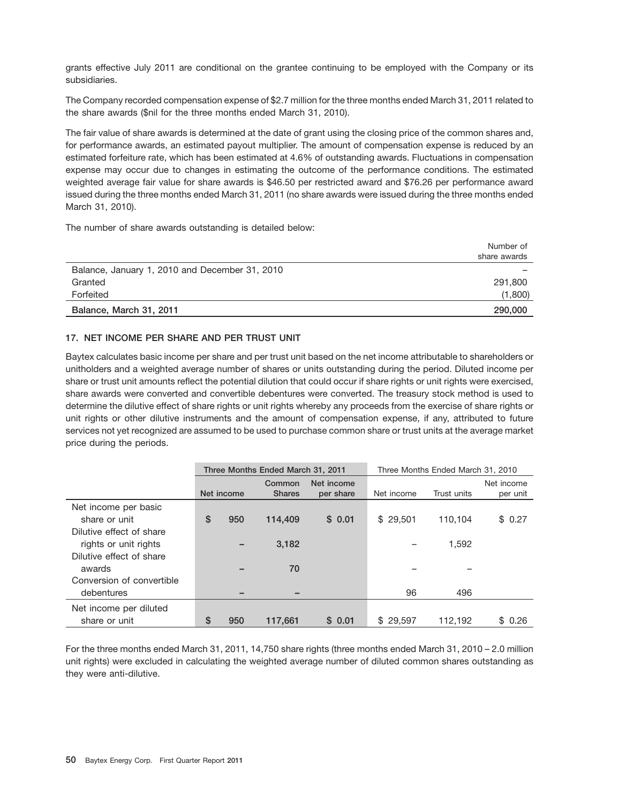grants effective July 2011 are conditional on the grantee continuing to be employed with the Company or its subsidiaries.

The Company recorded compensation expense of \$2.7 million for the three months ended March 31, 2011 related to the share awards (\$nil for the three months ended March 31, 2010).

The fair value of share awards is determined at the date of grant using the closing price of the common shares and, for performance awards, an estimated payout multiplier. The amount of compensation expense is reduced by an estimated forfeiture rate, which has been estimated at 4.6% of outstanding awards. Fluctuations in compensation expense may occur due to changes in estimating the outcome of the performance conditions. The estimated weighted average fair value for share awards is \$46.50 per restricted award and \$76.26 per performance award issued during the three months ended March 31, 2011 (no share awards were issued during the three months ended March 31, 2010).

The number of share awards outstanding is detailed below:

|                                                | Number of<br>share awards |
|------------------------------------------------|---------------------------|
| Balance, January 1, 2010 and December 31, 2010 |                           |
| Granted                                        | 291,800                   |
| Forfeited                                      | (1,800)                   |
| Balance, March 31, 2011                        | 290,000                   |

# **17. NET INCOME PER SHARE AND PER TRUST UNIT**

Baytex calculates basic income per share and per trust unit based on the net income attributable to shareholders or unitholders and a weighted average number of shares or units outstanding during the period. Diluted income per share or trust unit amounts reflect the potential dilution that could occur if share rights or unit rights were exercised, share awards were converted and convertible debentures were converted. The treasury stock method is used to determine the dilutive effect of share rights or unit rights whereby any proceeds from the exercise of share rights or unit rights or other dilutive instruments and the amount of compensation expense, if any, attributed to future services not yet recognized are assumed to be used to purchase common share or trust units at the average market price during the periods.

|                           | Three Months Ended March 31, 2011 |            |                         |                         | Three Months Ended March 31, 2010 |             |                        |
|---------------------------|-----------------------------------|------------|-------------------------|-------------------------|-----------------------------------|-------------|------------------------|
|                           |                                   | Net income | Common<br><b>Shares</b> | Net income<br>per share | Net income                        | Trust units | Net income<br>per unit |
| Net income per basic      |                                   |            |                         |                         |                                   |             |                        |
| share or unit             | \$                                |            |                         |                         |                                   |             |                        |
|                           |                                   | 950        | 114,409                 | \$0.01                  | \$29,501                          | 110.104     | \$0.27                 |
| Dilutive effect of share  |                                   |            |                         |                         |                                   |             |                        |
| rights or unit rights     |                                   |            | 3.182                   |                         |                                   | 1,592       |                        |
| Dilutive effect of share  |                                   |            |                         |                         |                                   |             |                        |
| awards                    |                                   |            | 70                      |                         |                                   |             |                        |
| Conversion of convertible |                                   |            |                         |                         |                                   |             |                        |
| debentures                |                                   |            |                         |                         | 96                                | 496         |                        |
| Net income per diluted    |                                   |            |                         |                         |                                   |             |                        |
| share or unit             | \$                                | 950        | 117.661                 | \$0.01                  | \$29.597                          | 112.192     | \$0.26                 |

For the three months ended March 31, 2011, 14,750 share rights (three months ended March 31, 2010 – 2.0 million unit rights) were excluded in calculating the weighted average number of diluted common shares outstanding as they were anti-dilutive.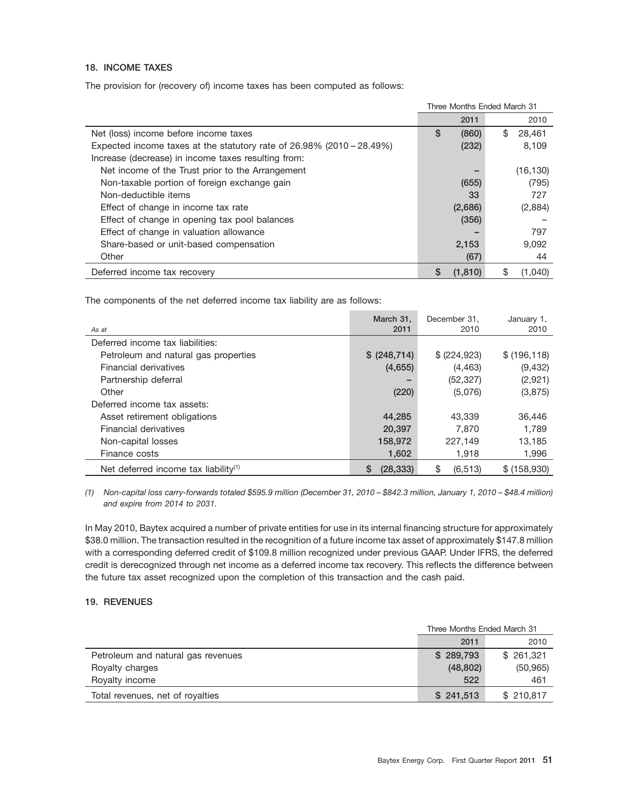# **18. INCOME TAXES**

The provision for (recovery of) income taxes has been computed as follows:

|                                                                          | Three Months Ended March 31 |          |    |           |
|--------------------------------------------------------------------------|-----------------------------|----------|----|-----------|
|                                                                          |                             | 2011     |    | 2010      |
| Net (loss) income before income taxes                                    | \$                          | (860)    | \$ | 28.461    |
| Expected income taxes at the statutory rate of $26.98\%$ (2010 – 28.49%) |                             | (232)    |    | 8,109     |
| Increase (decrease) in income taxes resulting from:                      |                             |          |    |           |
| Net income of the Trust prior to the Arrangement                         |                             | -        |    | (16, 130) |
| Non-taxable portion of foreign exchange gain                             |                             | (655)    |    | (795)     |
| Non-deductible items                                                     |                             | 33       |    | 727       |
| Effect of change in income tax rate                                      |                             | (2,686)  |    | (2,884)   |
| Effect of change in opening tax pool balances                            |                             | (356)    |    |           |
| Effect of change in valuation allowance                                  |                             |          |    | 797       |
| Share-based or unit-based compensation                                   |                             | 2,153    |    | 9,092     |
| Other                                                                    |                             | (67)     |    | 44        |
| Deferred income tax recovery                                             | \$                          | (1, 810) | S  | (1,040)   |

The components of the net deferred income tax liability are as follows:

|                                                  | March 31,      | December 31,   | January 1,    |
|--------------------------------------------------|----------------|----------------|---------------|
| As at                                            | 2011           | 2010           | 2010          |
| Deferred income tax liabilities:                 |                |                |               |
| Petroleum and natural gas properties             | \$ (248,714)   | \$ (224, 923)  | \$ (196, 118) |
| Financial derivatives                            | (4,655)        | (4, 463)       | (9,432)       |
| Partnership deferral                             |                | (52, 327)      | (2,921)       |
| Other                                            | (220)          | (5,076)        | (3,875)       |
| Deferred income tax assets:                      |                |                |               |
| Asset retirement obligations                     | 44,285         | 43,339         | 36,446        |
| Financial derivatives                            | 20,397         | 7.870          | 1.789         |
| Non-capital losses                               | 158,972        | 227,149        | 13,185        |
| Finance costs                                    | 1,602          | 1.918          | 1,996         |
| Net deferred income tax liability <sup>(1)</sup> | S<br>(28, 333) | \$<br>(6, 513) | \$ (158,930)  |

*(1) Non-capital loss carry-forwards totaled \$595.9 million (December 31, 2010 – \$842.3 million, January 1, 2010 – \$48.4 million) and expire from 2014 to 2031.*

In May 2010, Baytex acquired a number of private entities for use in its internal financing structure for approximately \$38.0 million. The transaction resulted in the recognition of a future income tax asset of approximately \$147.8 million with a corresponding deferred credit of \$109.8 million recognized under previous GAAP. Under IFRS, the deferred credit is derecognized through net income as a deferred income tax recovery. This reflects the difference between the future tax asset recognized upon the completion of this transaction and the cash paid.

# **19. REVENUES**

|                                    | Three Months Ended March 31 |           |  |
|------------------------------------|-----------------------------|-----------|--|
|                                    | 2011                        | 2010      |  |
| Petroleum and natural gas revenues | \$289,793                   | \$261.321 |  |
| Royalty charges                    | (48, 802)                   | (50, 965) |  |
| Royalty income                     | 522                         | 461       |  |
| Total revenues, net of royalties   | \$241.513                   | \$210.817 |  |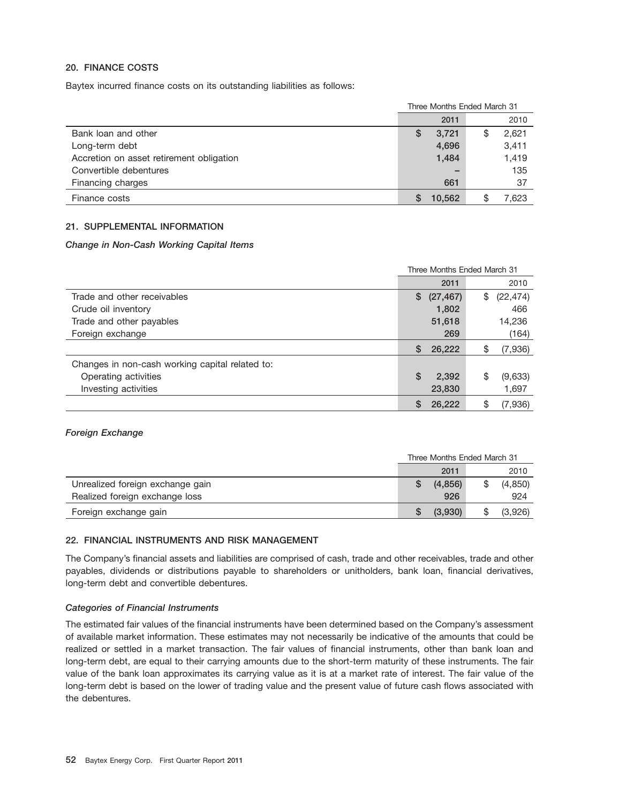# **20. FINANCE COSTS**

Baytex incurred finance costs on its outstanding liabilities as follows:

|                                          | Three Months Ended March 31 |        |   |       |
|------------------------------------------|-----------------------------|--------|---|-------|
|                                          |                             | 2011   |   | 2010  |
| Bank loan and other                      | S                           | 3,721  | S | 2,621 |
| Long-term debt                           |                             | 4,696  |   | 3,411 |
| Accretion on asset retirement obligation |                             | 1,484  |   | 1,419 |
| Convertible debentures                   |                             |        |   | 135   |
| Financing charges                        |                             | 661    |   | 37    |
| Finance costs                            |                             | 10.562 |   | 7.623 |

# **21. SUPPLEMENTAL INFORMATION**

# *Change in Non-Cash Working Capital Items*

|                                                 | Three Months Ended March 31 |           |    |           |
|-------------------------------------------------|-----------------------------|-----------|----|-----------|
|                                                 |                             | 2011      |    | 2010      |
| Trade and other receivables                     | \$                          | (27, 467) | \$ | (22, 474) |
| Crude oil inventory                             |                             | 1,802     |    | 466       |
| Trade and other payables                        |                             | 51,618    |    | 14,236    |
| Foreign exchange                                |                             | 269       |    | (164)     |
|                                                 | S                           | 26,222    | S  | (7,936)   |
| Changes in non-cash working capital related to: |                             |           |    |           |
| Operating activities                            | \$                          | 2,392     | \$ | (9,633)   |
| Investing activities                            |                             | 23,830    |    | 1,697     |
|                                                 |                             | 26.222    | \$ | (7,936)   |

#### *Foreign Exchange*

|                                  | Three Months Ended March 31 |         |  |         |
|----------------------------------|-----------------------------|---------|--|---------|
|                                  |                             | 2011    |  | 2010    |
| Unrealized foreign exchange gain |                             | (4,856) |  | (4,850) |
| Realized foreign exchange loss   |                             | 926     |  | 924     |
| Foreign exchange gain            |                             | (3,930) |  | (3,926) |

# **22. FINANCIAL INSTRUMENTS AND RISK MANAGEMENT**

The Company's financial assets and liabilities are comprised of cash, trade and other receivables, trade and other payables, dividends or distributions payable to shareholders or unitholders, bank loan, financial derivatives, long-term debt and convertible debentures.

# *Categories of Financial Instruments*

The estimated fair values of the financial instruments have been determined based on the Company's assessment of available market information. These estimates may not necessarily be indicative of the amounts that could be realized or settled in a market transaction. The fair values of financial instruments, other than bank loan and long-term debt, are equal to their carrying amounts due to the short-term maturity of these instruments. The fair value of the bank loan approximates its carrying value as it is at a market rate of interest. The fair value of the long-term debt is based on the lower of trading value and the present value of future cash flows associated with the debentures.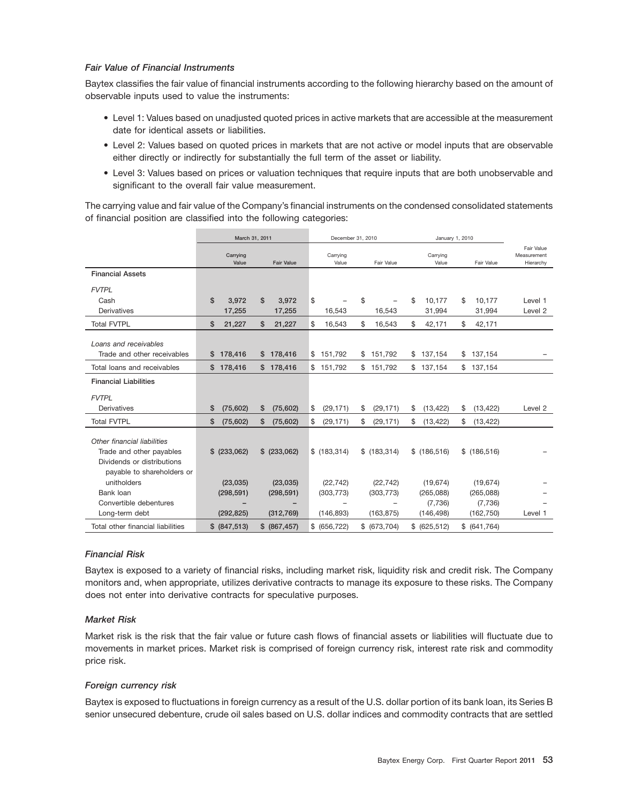# *Fair Value of Financial Instruments*

Baytex classifies the fair value of financial instruments according to the following hierarchy based on the amount of observable inputs used to value the instruments:

- Level 1: Values based on unadjusted quoted prices in active markets that are accessible at the measurement date for identical assets or liabilities.
- Level 2: Values based on quoted prices in markets that are not active or model inputs that are observable either directly or indirectly for substantially the full term of the asset or liability.
- Level 3: Values based on prices or valuation techniques that require inputs that are both unobservable and significant to the overall fair value measurement.

The carrying value and fair value of the Company's financial instruments on the condensed consolidated statements of financial position are classified into the following categories:

|                                                         | March 31, 2011    |                   |                          | December 31, 2010 | January 1, 2010   |                  |                                        |
|---------------------------------------------------------|-------------------|-------------------|--------------------------|-------------------|-------------------|------------------|----------------------------------------|
|                                                         | Carrying<br>Value | <b>Fair Value</b> | Carrying<br>Value        | Fair Value        | Carrying<br>Value | Fair Value       | Fair Value<br>Measurement<br>Hierarchy |
| <b>Financial Assets</b>                                 |                   |                   |                          |                   |                   |                  |                                        |
| <b>FVTPL</b>                                            |                   |                   |                          |                   |                   |                  |                                        |
| Cash                                                    | \$<br>3,972       | \$<br>3,972       | \$                       | \$                | \$<br>10,177      | 10,177<br>\$     | Level 1                                |
| Derivatives                                             | 17,255            | 17,255            | 16,543                   | 16,543            | 31,994            | 31,994           | Level 2                                |
| <b>Total FVTPL</b>                                      | \$<br>21,227      | \$<br>21,227      | \$<br>16,543             | \$<br>16,543      | \$<br>42,171      | \$<br>42,171     |                                        |
|                                                         |                   |                   |                          |                   |                   |                  |                                        |
| Loans and receivables                                   |                   |                   |                          |                   |                   |                  |                                        |
| Trade and other receivables                             | 178,416<br>\$     | 178,416<br>\$     | 151,792<br>\$            | 151,792<br>\$     | 137,154<br>\$     | 137,154<br>\$    |                                        |
| Total loans and receivables                             | \$178,416         | \$178,416         | \$151,792                | \$151,792         | \$137,154         | \$137,154        |                                        |
| <b>Financial Liabilities</b>                            |                   |                   |                          |                   |                   |                  |                                        |
| <b>FVTPL</b>                                            |                   |                   |                          |                   |                   |                  |                                        |
| Derivatives                                             | \$<br>(75,602)    | (75, 602)<br>\$   | \$<br>(29, 171)          | \$<br>(29, 171)   | \$<br>(13, 422)   | (13, 422)<br>\$  | Level 2                                |
| <b>Total FVTPL</b>                                      | \$<br>(75,602)    | \$<br>(75,602)    | (29, 171)<br>\$          | \$<br>(29, 171)   | \$<br>(13, 422)   | \$<br>(13, 422)  |                                        |
|                                                         |                   |                   |                          |                   |                   |                  |                                        |
| Other financial liabilities<br>Trade and other payables | $$$ (233,062)     | $$$ (233,062)     | \$(183, 314)             | \$(183, 314)      | \$(186, 516)      | \$(186,516)      |                                        |
| Dividends or distributions                              |                   |                   |                          |                   |                   |                  |                                        |
|                                                         |                   |                   |                          |                   |                   |                  |                                        |
| payable to shareholders or<br>unitholders               | (23, 035)         | (23,035)          | (22, 742)                | (22, 742)         | (19, 674)         | (19, 674)        |                                        |
| Bank loan                                               | (298, 591)        | (298, 591)        | (303, 773)               | (303, 773)        | (265,088)         | (265,088)        |                                        |
| Convertible debentures                                  |                   |                   | $\overline{\phantom{0}}$ |                   | (7,736)           | (7,736)          |                                        |
| Long-term debt                                          | (292, 825)        | (312, 769)        | (146, 893)               | (163, 875)        | (146, 498)        | (162, 750)       | Level 1                                |
|                                                         |                   |                   |                          |                   |                   |                  |                                        |
| Total other financial liabilities                       | \$<br>(847, 513)  | \$<br>(867, 457)  | (656, 722)<br>\$         | (673, 704)<br>\$  | (625, 512)<br>\$  | \$<br>(641, 764) |                                        |

#### *Financial Risk*

Baytex is exposed to a variety of financial risks, including market risk, liquidity risk and credit risk. The Company monitors and, when appropriate, utilizes derivative contracts to manage its exposure to these risks. The Company does not enter into derivative contracts for speculative purposes.

#### *Market Risk*

Market risk is the risk that the fair value or future cash flows of financial assets or liabilities will fluctuate due to movements in market prices. Market risk is comprised of foreign currency risk, interest rate risk and commodity price risk.

#### *Foreign currency risk*

Baytex is exposed to fluctuations in foreign currency as a result of the U.S. dollar portion of its bank loan, its Series B senior unsecured debenture, crude oil sales based on U.S. dollar indices and commodity contracts that are settled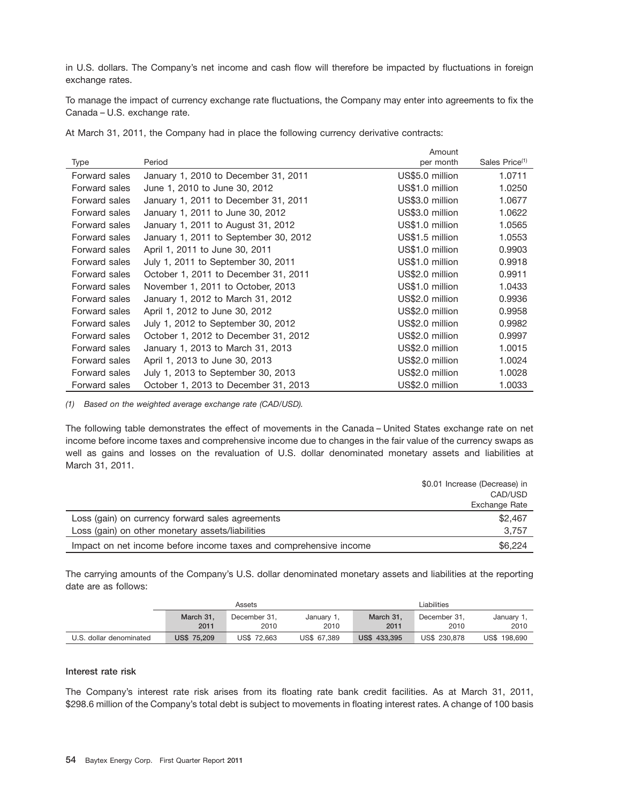in U.S. dollars. The Company's net income and cash flow will therefore be impacted by fluctuations in foreign exchange rates.

To manage the impact of currency exchange rate fluctuations, the Company may enter into agreements to fix the Canada – U.S. exchange rate.

At March 31, 2011, the Company had in place the following currency derivative contracts:

|               |                                       | Amount          |                            |
|---------------|---------------------------------------|-----------------|----------------------------|
| Type          | Period                                | per month       | Sales Price <sup>(1)</sup> |
| Forward sales | January 1, 2010 to December 31, 2011  | US\$5.0 million | 1.0711                     |
| Forward sales | June 1, 2010 to June 30, 2012         | US\$1.0 million | 1.0250                     |
| Forward sales | January 1, 2011 to December 31, 2011  | US\$3.0 million | 1.0677                     |
| Forward sales | January 1, 2011 to June 30, 2012      | US\$3.0 million | 1.0622                     |
| Forward sales | January 1, 2011 to August 31, 2012    | US\$1.0 million | 1.0565                     |
| Forward sales | January 1, 2011 to September 30, 2012 | US\$1.5 million | 1.0553                     |
| Forward sales | April 1, 2011 to June 30, 2011        | US\$1.0 million | 0.9903                     |
| Forward sales | July 1, 2011 to September 30, 2011    | US\$1.0 million | 0.9918                     |
| Forward sales | October 1, 2011 to December 31, 2011  | US\$2.0 million | 0.9911                     |
| Forward sales | November 1, 2011 to October, 2013     | US\$1.0 million | 1.0433                     |
| Forward sales | January 1, 2012 to March 31, 2012     | US\$2.0 million | 0.9936                     |
| Forward sales | April 1, 2012 to June 30, 2012        | US\$2.0 million | 0.9958                     |
| Forward sales | July 1, 2012 to September 30, 2012    | US\$2.0 million | 0.9982                     |
| Forward sales | October 1, 2012 to December 31, 2012  | US\$2.0 million | 0.9997                     |
| Forward sales | January 1, 2013 to March 31, 2013     | US\$2.0 million | 1.0015                     |
| Forward sales | April 1, 2013 to June 30, 2013        | US\$2.0 million | 1.0024                     |
| Forward sales | July 1, 2013 to September 30, 2013    | US\$2.0 million | 1.0028                     |
| Forward sales | October 1, 2013 to December 31, 2013  | US\$2.0 million | 1.0033                     |

*(1) Based on the weighted average exchange rate (CAD/USD).*

The following table demonstrates the effect of movements in the Canada – United States exchange rate on net income before income taxes and comprehensive income due to changes in the fair value of the currency swaps as well as gains and losses on the revaluation of U.S. dollar denominated monetary assets and liabilities at March 31, 2011.

|                                                                   | \$0.01 Increase (Decrease) in |
|-------------------------------------------------------------------|-------------------------------|
|                                                                   | CAD/USD                       |
|                                                                   | Exchange Rate                 |
| Loss (gain) on currency forward sales agreements                  | \$2,467                       |
| Loss (gain) on other monetary assets/liabilities                  | 3.757                         |
| Impact on net income before income taxes and comprehensive income | \$6,224                       |

The carrying amounts of the Company's U.S. dollar denominated monetary assets and liabilities at the reporting date are as follows:

|                         | Assets             |              |             |                     | Liabilities  |              |
|-------------------------|--------------------|--------------|-------------|---------------------|--------------|--------------|
|                         | March 31.          | December 31. | January 1.  | March 31.           | December 31. | January 1,   |
|                         | 2011               | 2010         | 2010        | 2011                | 2010         | 2010         |
| U.S. dollar denominated | <b>US\$ 75,209</b> | US\$ 72.663  | US\$ 67.389 | <b>US\$ 433,395</b> | US\$ 230,878 | US\$ 198,690 |

# **Interest rate risk**

The Company's interest rate risk arises from its floating rate bank credit facilities. As at March 31, 2011, \$298.6 million of the Company's total debt is subject to movements in floating interest rates. A change of 100 basis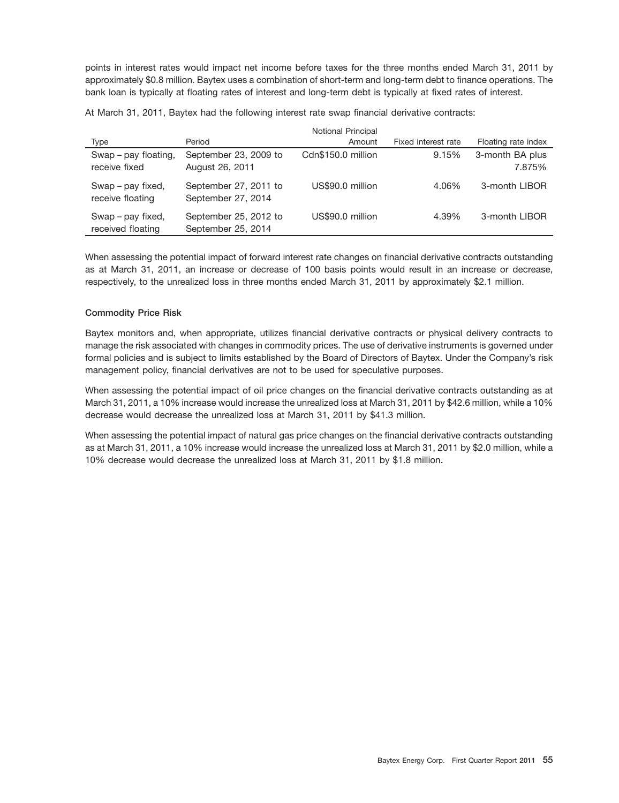points in interest rates would impact net income before taxes for the three months ended March 31, 2011 by approximately \$0.8 million. Baytex uses a combination of short-term and long-term debt to finance operations. The bank loan is typically at floating rates of interest and long-term debt is typically at fixed rates of interest.

At March 31, 2011, Baytex had the following interest rate swap financial derivative contracts:

|                                        |                                             | <b>Notional Principal</b> |                     |                           |
|----------------------------------------|---------------------------------------------|---------------------------|---------------------|---------------------------|
| Type                                   | Period                                      | Amount                    | Fixed interest rate | Floating rate index       |
| Swap - pay floating,<br>receive fixed  | September 23, 2009 to<br>August 26, 2011    | Cdn\$150.0 million        | 9.15%               | 3-month BA plus<br>7.875% |
| Swap – pay fixed,<br>receive floating  | September 27, 2011 to<br>September 27, 2014 | US\$90.0 million          | 4.06%               | 3-month LIBOR             |
| Swap – pay fixed,<br>received floating | September 25, 2012 to<br>September 25, 2014 | US\$90.0 million          | 4.39%               | 3-month LIBOR             |

When assessing the potential impact of forward interest rate changes on financial derivative contracts outstanding as at March 31, 2011, an increase or decrease of 100 basis points would result in an increase or decrease, respectively, to the unrealized loss in three months ended March 31, 2011 by approximately \$2.1 million.

# **Commodity Price Risk**

Baytex monitors and, when appropriate, utilizes financial derivative contracts or physical delivery contracts to manage the risk associated with changes in commodity prices. The use of derivative instruments is governed under formal policies and is subject to limits established by the Board of Directors of Baytex. Under the Company's risk management policy, financial derivatives are not to be used for speculative purposes.

When assessing the potential impact of oil price changes on the financial derivative contracts outstanding as at March 31, 2011, a 10% increase would increase the unrealized loss at March 31, 2011 by \$42.6 million, while a 10% decrease would decrease the unrealized loss at March 31, 2011 by \$41.3 million.

When assessing the potential impact of natural gas price changes on the financial derivative contracts outstanding as at March 31, 2011, a 10% increase would increase the unrealized loss at March 31, 2011 by \$2.0 million, while a 10% decrease would decrease the unrealized loss at March 31, 2011 by \$1.8 million.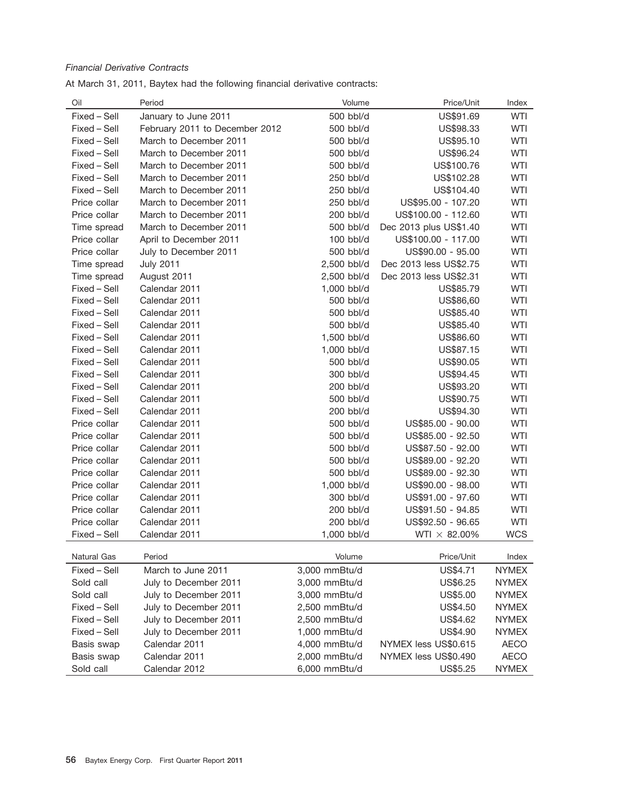# *Financial Derivative Contracts*

At March 31, 2011, Baytex had the following financial derivative contracts:

| Oil          | Period                         | Volume        | Price/Unit             | Index        |
|--------------|--------------------------------|---------------|------------------------|--------------|
| Fixed - Sell | January to June 2011           | 500 bbl/d     | US\$91.69              | <b>WTI</b>   |
| Fixed - Sell | February 2011 to December 2012 | 500 bbl/d     | US\$98.33              | <b>WTI</b>   |
| Fixed - Sell | March to December 2011         | 500 bbl/d     | US\$95.10              | <b>WTI</b>   |
| Fixed - Sell | March to December 2011         | 500 bbl/d     | US\$96.24              | <b>WTI</b>   |
| Fixed - Sell | March to December 2011         | 500 bbl/d     | US\$100.76             | <b>WTI</b>   |
| Fixed - Sell | March to December 2011         | 250 bbl/d     | US\$102.28             | <b>WTI</b>   |
| Fixed - Sell | March to December 2011         | 250 bbl/d     | US\$104.40             | <b>WTI</b>   |
| Price collar | March to December 2011         | 250 bbl/d     | US\$95.00 - 107.20     | <b>WTI</b>   |
| Price collar | March to December 2011         | 200 bbl/d     | US\$100.00 - 112.60    | WTI          |
| Time spread  | March to December 2011         | 500 bbl/d     | Dec 2013 plus US\$1.40 | <b>WTI</b>   |
| Price collar | April to December 2011         | 100 bbl/d     | US\$100.00 - 117.00    | <b>WTI</b>   |
| Price collar | July to December 2011          | 500 bbl/d     | US\$90.00 - 95.00      | <b>WTI</b>   |
| Time spread  | <b>July 2011</b>               | 2,500 bbl/d   | Dec 2013 less US\$2.75 | <b>WTI</b>   |
| Time spread  | August 2011                    | 2,500 bbl/d   | Dec 2013 less US\$2.31 | <b>WTI</b>   |
| Fixed - Sell | Calendar 2011                  | 1,000 bbl/d   | US\$85.79              | <b>WTI</b>   |
| Fixed - Sell | Calendar 2011                  | 500 bbl/d     | US\$86,60              | <b>WTI</b>   |
| Fixed - Sell | Calendar 2011                  | 500 bbl/d     | US\$85.40              | <b>WTI</b>   |
| Fixed - Sell | Calendar 2011                  | 500 bbl/d     | US\$85.40              | <b>WTI</b>   |
| Fixed - Sell | Calendar 2011                  | 1,500 bbl/d   | US\$86.60              | <b>WTI</b>   |
| Fixed - Sell | Calendar 2011                  | 1,000 bbl/d   | US\$87.15              | <b>WTI</b>   |
| Fixed - Sell | Calendar 2011                  | 500 bbl/d     | US\$90.05              | <b>WTI</b>   |
| Fixed - Sell | Calendar 2011                  | 300 bbl/d     | US\$94.45              | <b>WTI</b>   |
| Fixed - Sell | Calendar 2011                  | 200 bbl/d     | US\$93.20              | <b>WTI</b>   |
| Fixed - Sell | Calendar 2011                  | 500 bbl/d     | US\$90.75              | <b>WTI</b>   |
| Fixed - Sell | Calendar 2011                  | 200 bbl/d     | US\$94.30              | <b>WTI</b>   |
| Price collar | Calendar 2011                  | 500 bbl/d     | US\$85.00 - 90.00      | <b>WTI</b>   |
| Price collar | Calendar 2011                  | 500 bbl/d     | US\$85.00 - 92.50      | <b>WTI</b>   |
| Price collar | Calendar 2011                  | 500 bbl/d     | US\$87.50 - 92.00      | <b>WTI</b>   |
| Price collar | Calendar 2011                  | 500 bbl/d     | US\$89.00 - 92.20      | <b>WTI</b>   |
| Price collar | Calendar 2011                  | 500 bbl/d     | US\$89.00 - 92.30      | <b>WTI</b>   |
| Price collar | Calendar 2011                  | 1,000 bbl/d   | US\$90.00 - 98.00      | <b>WTI</b>   |
| Price collar | Calendar 2011                  | 300 bbl/d     | US\$91.00 - 97.60      | <b>WTI</b>   |
| Price collar | Calendar 2011                  | 200 bbl/d     | US\$91.50 - 94.85      | WTI          |
| Price collar | Calendar 2011                  | 200 bbl/d     | US\$92.50 - 96.65      | <b>WTI</b>   |
| Fixed - Sell | Calendar 2011                  | 1,000 bbl/d   | WTI $\times$ 82.00%    | <b>WCS</b>   |
| Natural Gas  | Period                         | Volume        | Price/Unit             | Index        |
| Fixed - Sell | March to June 2011             | 3,000 mmBtu/d | US\$4.71               | <b>NYMEX</b> |
| Sold call    | July to December 2011          | 3,000 mmBtu/d | US\$6.25               | <b>NYMEX</b> |
| Sold call    | July to December 2011          | 3,000 mmBtu/d | US\$5.00               | <b>NYMEX</b> |
| Fixed - Sell | July to December 2011          | 2,500 mmBtu/d | US\$4.50               | <b>NYMEX</b> |
| Fixed - Sell | July to December 2011          | 2,500 mmBtu/d | US\$4.62               | <b>NYMEX</b> |
| Fixed - Sell | July to December 2011          | 1,000 mmBtu/d | US\$4.90               | <b>NYMEX</b> |
| Basis swap   | Calendar 2011                  | 4,000 mmBtu/d | NYMEX less US\$0.615   | <b>AECO</b>  |
| Basis swap   | Calendar 2011                  | 2,000 mmBtu/d | NYMEX less US\$0.490   | <b>AECO</b>  |
| Sold call    | Calendar 2012                  | 6,000 mmBtu/d | US\$5.25               | <b>NYMEX</b> |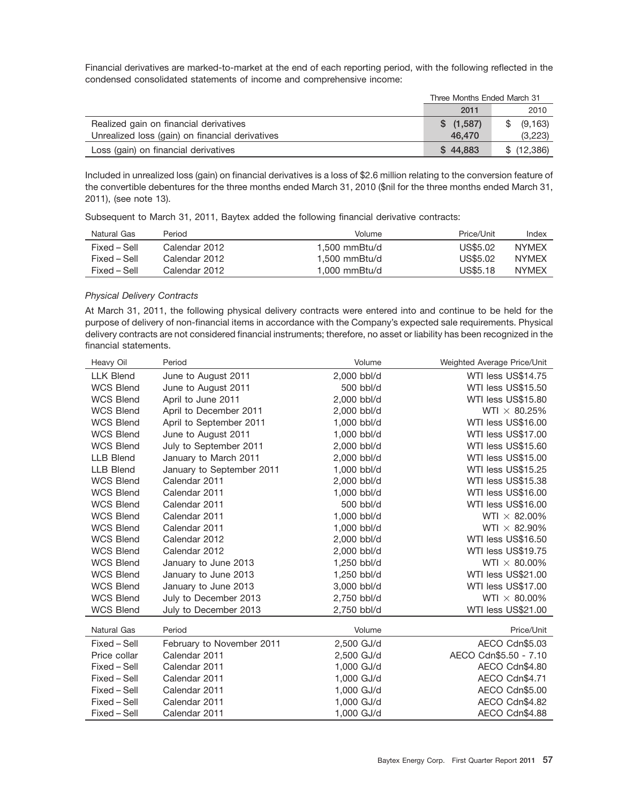Financial derivatives are marked-to-market at the end of each reporting period, with the following reflected in the condensed consolidated statements of income and comprehensive income:

|                                                 | Three Months Ended March 31 |            |  |
|-------------------------------------------------|-----------------------------|------------|--|
|                                                 | 2011                        | 2010       |  |
| Realized gain on financial derivatives          | \$(1,587)                   | (9, 163)   |  |
| Unrealized loss (gain) on financial derivatives | 46,470                      | (3,223)    |  |
| Loss (gain) on financial derivatives            | \$44.883                    | \$(12,386) |  |

Included in unrealized loss (gain) on financial derivatives is a loss of \$2.6 million relating to the conversion feature of the convertible debentures for the three months ended March 31, 2010 (\$nil for the three months ended March 31, 2011), (see note 13).

Subsequent to March 31, 2011, Baytex added the following financial derivative contracts:

| Natural Gas  | Period        | Volume        | Price/Unit | Index        |
|--------------|---------------|---------------|------------|--------------|
| Fixed – Sell | Calendar 2012 | 1.500 mmBtu/d | US\$5.02   | <b>NYMFX</b> |
| Fixed – Sell | Calendar 2012 | 1.500 mmBtu/d | US\$5.02   | <b>NYMEX</b> |
| Fixed – Sell | Calendar 2012 | 1.000 mmBtu/d | US\$5.18   | <b>NYMEX</b> |

# *Physical Delivery Contracts*

At March 31, 2011, the following physical delivery contracts were entered into and continue to be held for the purpose of delivery of non-financial items in accordance with the Company's expected sale requirements. Physical delivery contracts are not considered financial instruments; therefore, no asset or liability has been recognized in the financial statements.

| Heavy Oil          | Period                    | Volume      | Weighted Average Price/Unit |
|--------------------|---------------------------|-------------|-----------------------------|
| <b>LLK Blend</b>   | June to August 2011       | 2,000 bbl/d | WTI less US\$14.75          |
| <b>WCS Blend</b>   | June to August 2011       | 500 bbl/d   | WTI less US\$15.50          |
| <b>WCS Blend</b>   | April to June 2011        | 2,000 bbl/d | WTI less US\$15.80          |
| <b>WCS Blend</b>   | April to December 2011    | 2,000 bbl/d | WTI $\times$ 80.25%         |
| <b>WCS Blend</b>   | April to September 2011   | 1,000 bbl/d | WTI less US\$16.00          |
| <b>WCS Blend</b>   | June to August 2011       | 1,000 bbl/d | WTI less US\$17.00          |
| <b>WCS Blend</b>   | July to September 2011    | 2,000 bbl/d | WTI less US\$15.60          |
| <b>LLB Blend</b>   | January to March 2011     | 2,000 bbl/d | WTI less US\$15.00          |
| <b>LLB Blend</b>   | January to September 2011 | 1,000 bbl/d | WTI less US\$15.25          |
| <b>WCS Blend</b>   | Calendar 2011             | 2,000 bbl/d | WTI less US\$15.38          |
| <b>WCS Blend</b>   | Calendar 2011             | 1,000 bbl/d | WTI less US\$16.00          |
| <b>WCS Blend</b>   | Calendar 2011             | 500 bbl/d   | WTI less US\$16.00          |
| <b>WCS Blend</b>   | Calendar 2011             | 1,000 bbl/d | WTI $\times$ 82.00%         |
| <b>WCS Blend</b>   | Calendar 2011             | 1,000 bbl/d | WTI $\times$ 82.90%         |
| <b>WCS Blend</b>   | Calendar 2012             | 2,000 bbl/d | WTI less US\$16.50          |
| <b>WCS Blend</b>   | Calendar 2012             | 2,000 bbl/d | WTI less US\$19.75          |
| <b>WCS Blend</b>   | January to June 2013      | 1,250 bbl/d | WTI $\times$ 80.00%         |
| <b>WCS Blend</b>   | January to June 2013      | 1,250 bbl/d | WTI less US\$21.00          |
| <b>WCS Blend</b>   | January to June 2013      | 3,000 bbl/d | WTI less US\$17.00          |
| <b>WCS Blend</b>   | July to December 2013     | 2,750 bbl/d | WTI $\times$ 80.00%         |
| <b>WCS Blend</b>   | July to December 2013     | 2,750 bbl/d | WTI less US\$21.00          |
| <b>Natural Gas</b> | Period                    | Volume      | Price/Unit                  |
| Fixed - Sell       | February to November 2011 | 2,500 GJ/d  | AECO Cdn\$5.03              |
| Price collar       | Calendar 2011             | 2,500 GJ/d  | AECO Cdn\$5.50 - 7.10       |
| Fixed - Sell       | Calendar 2011             | 1,000 GJ/d  | AECO Cdn\$4.80              |
| Fixed - Sell       | Calendar 2011             | 1,000 GJ/d  | AECO Cdn\$4.71              |
| Fixed – Sell       | Calendar 2011             | 1,000 GJ/d  | AECO Cdn\$5.00              |
| Fixed - Sell       | Calendar 2011             | 1,000 GJ/d  | AECO Cdn\$4.82              |
| Fixed - Sell       | Calendar 2011             | 1,000 GJ/d  | AECO Cdn\$4.88              |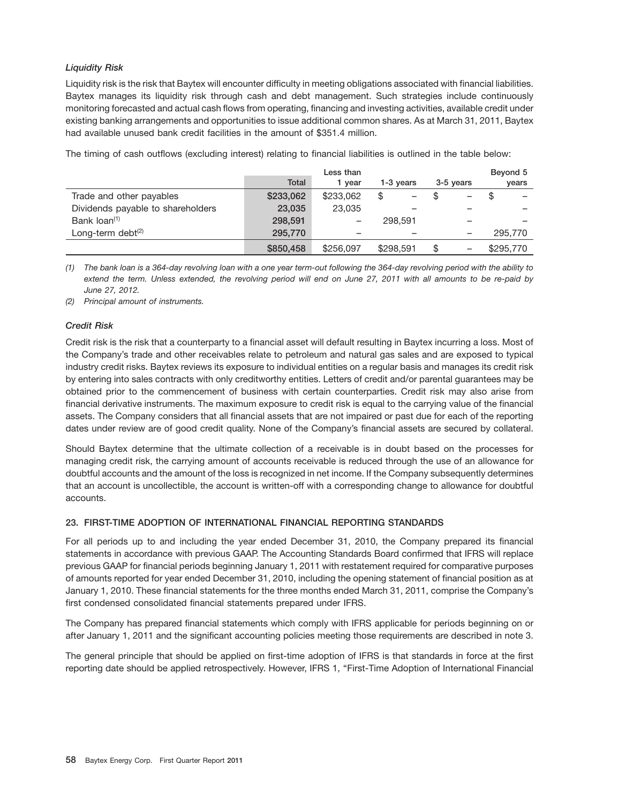# *Liquidity Risk*

Liquidity risk is the risk that Baytex will encounter difficulty in meeting obligations associated with financial liabilities. Baytex manages its liquidity risk through cash and debt management. Such strategies include continuously monitoring forecasted and actual cash flows from operating, financing and investing activities, available credit under existing banking arrangements and opportunities to issue additional common shares. As at March 31, 2011, Baytex had available unused bank credit facilities in the amount of \$351.4 million.

The timing of cash outflows (excluding interest) relating to financial liabilities is outlined in the table below:

|                                   |              | Less than |           |           | Beyond 5  |
|-----------------------------------|--------------|-----------|-----------|-----------|-----------|
|                                   | <b>Total</b> | 1 vear    | 1-3 vears | 3-5 years | years     |
| Trade and other payables          | \$233,062    | \$233,062 | \$        | -         | S         |
| Dividends payable to shareholders | 23,035       | 23,035    |           |           | -         |
| Bank loan <sup>(1)</sup>          | 298,591      |           | 298,591   |           |           |
| Long-term debt <sup>(2)</sup>     | 295,770      |           |           |           | 295,770   |
|                                   | \$850,458    | \$256,097 | \$298,591 | -         | \$295,770 |

*(1) The bank loan is a 364-day revolving loan with a one year term-out following the 364-day revolving period with the ability to extend the term. Unless extended, the revolving period will end on June 27, 2011 with all amounts to be re-paid by June 27, 2012.*

*(2) Principal amount of instruments.*

# *Credit Risk*

Credit risk is the risk that a counterparty to a financial asset will default resulting in Baytex incurring a loss. Most of the Company's trade and other receivables relate to petroleum and natural gas sales and are exposed to typical industry credit risks. Baytex reviews its exposure to individual entities on a regular basis and manages its credit risk by entering into sales contracts with only creditworthy entities. Letters of credit and/or parental guarantees may be obtained prior to the commencement of business with certain counterparties. Credit risk may also arise from financial derivative instruments. The maximum exposure to credit risk is equal to the carrying value of the financial assets. The Company considers that all financial assets that are not impaired or past due for each of the reporting dates under review are of good credit quality. None of the Company's financial assets are secured by collateral.

Should Baytex determine that the ultimate collection of a receivable is in doubt based on the processes for managing credit risk, the carrying amount of accounts receivable is reduced through the use of an allowance for doubtful accounts and the amount of the loss is recognized in net income. If the Company subsequently determines that an account is uncollectible, the account is written-off with a corresponding change to allowance for doubtful accounts.

# **23. FIRST-TIME ADOPTION OF INTERNATIONAL FINANCIAL REPORTING STANDARDS**

For all periods up to and including the year ended December 31, 2010, the Company prepared its financial statements in accordance with previous GAAP. The Accounting Standards Board confirmed that IFRS will replace previous GAAP for financial periods beginning January 1, 2011 with restatement required for comparative purposes of amounts reported for year ended December 31, 2010, including the opening statement of financial position as at January 1, 2010. These financial statements for the three months ended March 31, 2011, comprise the Company's first condensed consolidated financial statements prepared under IFRS.

The Company has prepared financial statements which comply with IFRS applicable for periods beginning on or after January 1, 2011 and the significant accounting policies meeting those requirements are described in note 3.

The general principle that should be applied on first-time adoption of IFRS is that standards in force at the first reporting date should be applied retrospectively. However, IFRS 1, ''First-Time Adoption of International Financial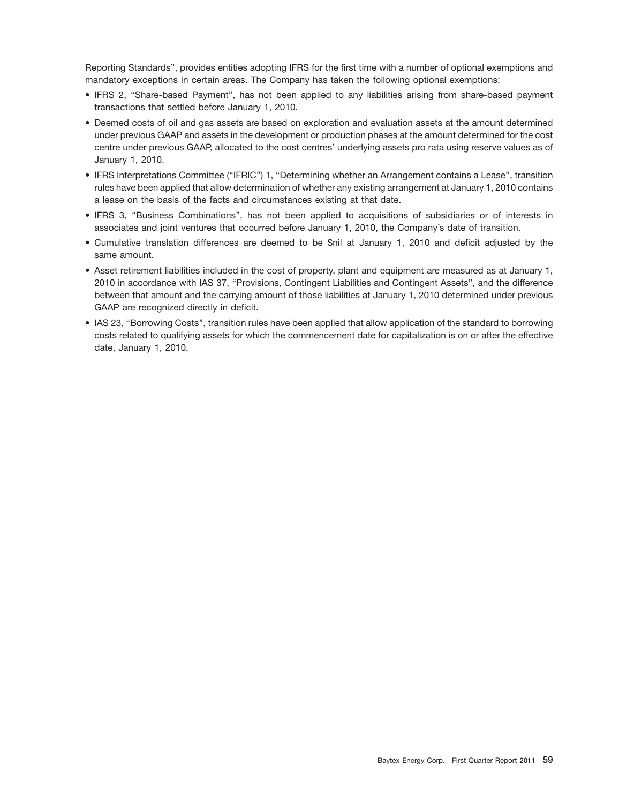Reporting Standards'', provides entities adopting IFRS for the first time with a number of optional exemptions and mandatory exceptions in certain areas. The Company has taken the following optional exemptions:

- IFRS 2, ''Share-based Payment'', has not been applied to any liabilities arising from share-based payment transactions that settled before January 1, 2010.
- Deemed costs of oil and gas assets are based on exploration and evaluation assets at the amount determined under previous GAAP and assets in the development or production phases at the amount determined for the cost centre under previous GAAP, allocated to the cost centres' underlying assets pro rata using reserve values as of January 1, 2010.
- IFRS Interpretations Committee (''IFRIC'') 1, ''Determining whether an Arrangement contains a Lease'', transition rules have been applied that allow determination of whether any existing arrangement at January 1, 2010 contains a lease on the basis of the facts and circumstances existing at that date.
- IFRS 3, ''Business Combinations'', has not been applied to acquisitions of subsidiaries or of interests in associates and joint ventures that occurred before January 1, 2010, the Company's date of transition.
- Cumulative translation differences are deemed to be \$nil at January 1, 2010 and deficit adjusted by the same amount.
- Asset retirement liabilities included in the cost of property, plant and equipment are measured as at January 1, 2010 in accordance with IAS 37, ''Provisions, Contingent Liabilities and Contingent Assets'', and the difference between that amount and the carrying amount of those liabilities at January 1, 2010 determined under previous GAAP are recognized directly in deficit.
- IAS 23, ''Borrowing Costs'', transition rules have been applied that allow application of the standard to borrowing costs related to qualifying assets for which the commencement date for capitalization is on or after the effective date, January 1, 2010.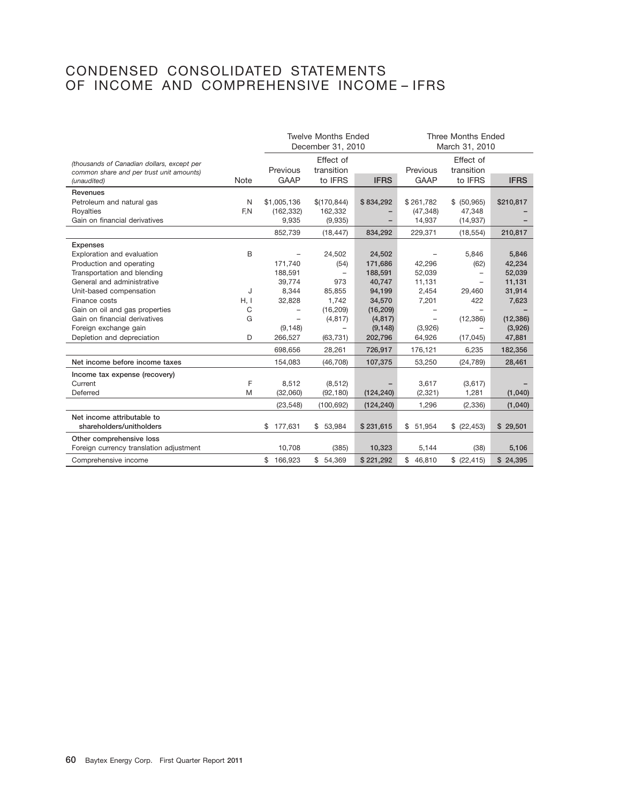# CONDENSED CONSOLIDATED STATEMENTS OF INCOME AND COMPREHENSIVE INCOME – IFRS

|                                            |      | <b>Twelve Months Ended</b><br>December 31, 2010 |              |             | <b>Three Months Ended</b><br>March 31, 2010 |                          |             |
|--------------------------------------------|------|-------------------------------------------------|--------------|-------------|---------------------------------------------|--------------------------|-------------|
| (thousands of Canadian dollars, except per |      |                                                 | Effect of    |             |                                             | Effect of                |             |
| common share and per trust unit amounts)   |      | Previous                                        | transition   |             | Previous                                    | transition               |             |
| (unaudited)                                | Note | GAAP                                            | to IFRS      | <b>IFRS</b> | <b>GAAP</b>                                 | to IFRS                  | <b>IFRS</b> |
| Revenues                                   |      |                                                 |              |             |                                             |                          |             |
| Petroleum and natural gas                  | N    | \$1,005,136                                     | \$(170, 844) | \$834,292   | \$261,782                                   | \$ (50, 965)             | \$210,817   |
| Royalties                                  | F.N  | (162, 332)                                      | 162,332      |             | (47, 348)                                   | 47,348                   |             |
| Gain on financial derivatives              |      | 9,935                                           | (9,935)      |             | 14,937                                      | (14, 937)                |             |
|                                            |      | 852,739                                         | (18, 447)    | 834,292     | 229,371                                     | (18, 554)                | 210,817     |
| <b>Expenses</b>                            |      |                                                 |              |             |                                             |                          |             |
| Exploration and evaluation                 | B    | $\overline{\phantom{0}}$                        | 24,502       | 24,502      |                                             | 5,846                    | 5,846       |
| Production and operating                   |      | 171,740                                         | (54)         | 171,686     | 42,296                                      | (62)                     | 42,234      |
| Transportation and blending                |      | 188,591                                         | -            | 188,591     | 52,039                                      | -                        | 52,039      |
| General and administrative                 |      | 39,774                                          | 973          | 40,747      | 11,131                                      | ÷                        | 11,131      |
| Unit-based compensation                    | J    | 8,344                                           | 85,855       | 94,199      | 2,454                                       | 29,460                   | 31,914      |
| Finance costs                              | H, I | 32,828                                          | 1,742        | 34,570      | 7,201                                       | 422                      | 7,623       |
| Gain on oil and gas properties             | С    | $\overline{\phantom{0}}$                        | (16, 209)    | (16, 209)   |                                             | $\overline{\phantom{0}}$ |             |
| Gain on financial derivatives              | G    | $\overline{\phantom{0}}$                        | (4, 817)     | (4, 817)    |                                             | (12, 386)                | (12, 386)   |
| Foreign exchange gain                      |      | (9, 148)                                        | -            | (9, 148)    | (3,926)                                     | $\overline{\phantom{0}}$ | (3,926)     |
| Depletion and depreciation                 | D    | 266,527                                         | (63, 731)    | 202,796     | 64,926                                      | (17, 045)                | 47,881      |
|                                            |      | 698,656                                         | 28,261       | 726,917     | 176,121                                     | 6,235                    | 182,356     |
| Net income before income taxes             |      | 154,083                                         | (46, 708)    | 107,375     | 53,250                                      | (24, 789)                | 28,461      |
| Income tax expense (recovery)              |      |                                                 |              |             |                                             |                          |             |
| Current                                    | F    | 8,512                                           | (8, 512)     |             | 3,617                                       | (3,617)                  |             |
| Deferred                                   | M    | (32,060)                                        | (92, 180)    | (124, 240)  | (2, 321)                                    | 1,281                    | (1,040)     |
|                                            |      | (23, 548)                                       | (100, 692)   | (124, 240)  | 1,296                                       | (2,336)                  | (1,040)     |
| Net income attributable to                 |      |                                                 |              |             |                                             |                          |             |
| shareholders/unitholders                   |      | 177,631<br>\$                                   | \$53,984     | \$231,615   | \$51,954                                    | \$ (22, 453)             | \$29,501    |
| Other comprehensive loss                   |      |                                                 |              |             |                                             |                          |             |
| Foreign currency translation adjustment    |      | 10,708                                          | (385)        | 10,323      | 5,144                                       | (38)                     | 5,106       |
| Comprehensive income                       |      | \$<br>166,923                                   | \$54,369     | \$221,292   | 46,810<br>\$                                | \$ (22, 415)             | \$24,395    |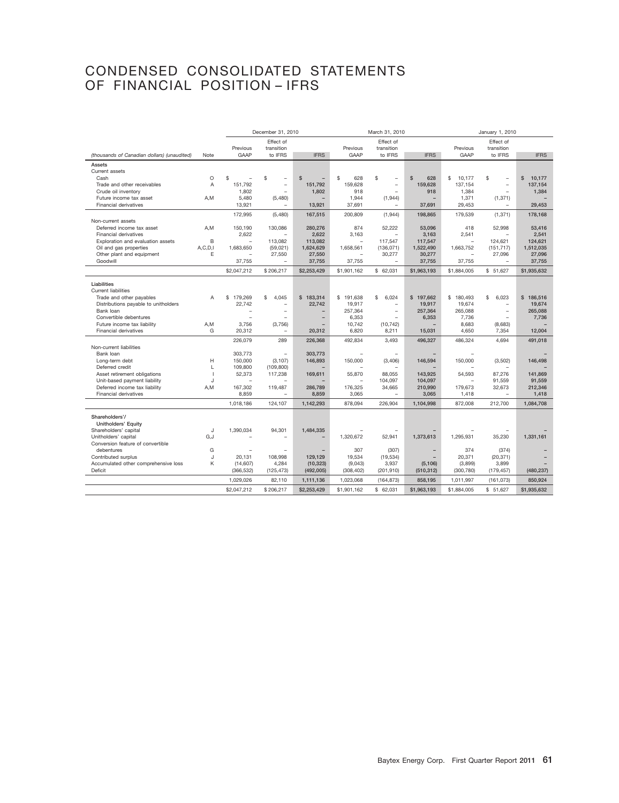# CONDENSED CONSOLIDATED STATEMENTS OF FINANCIAL POSITION – IFRS

|                                                 |                |                   | December 31, 2010              |                          | March 31, 2010 |                          |                          | January 1, 2010 |                      |                        |
|-------------------------------------------------|----------------|-------------------|--------------------------------|--------------------------|----------------|--------------------------|--------------------------|-----------------|----------------------|------------------------|
|                                                 |                |                   | Effect of                      |                          |                | Effect of                |                          |                 | Effect of            |                        |
|                                                 |                | Previous          | transition                     |                          | Previous       | transition               |                          | Previous        | transition           |                        |
| (thousands of Canadian dollars) (unaudited)     | Note           | GAAP              | to IFRS                        | <b>IFRS</b>              | GAAP           | to IFRS                  | <b>IFRS</b>              | GAAP            | to IFRS              | <b>IFRS</b>            |
| Assets                                          |                |                   |                                |                          |                |                          |                          |                 |                      |                        |
| Current assets                                  |                |                   |                                |                          |                |                          |                          |                 |                      |                        |
| Cash                                            | $\circ$        | \$                | \$<br>$\overline{\phantom{0}}$ | $\mathfrak{L}$           | \$<br>628      | \$                       | $\mathsf{s}$<br>628      | \$<br>10,177    | \$<br>$\overline{a}$ | $\mathbf{s}$<br>10,177 |
| Trade and other receivables                     | A              | 151,792           | $\overline{a}$                 | 151,792                  | 159,628        | $\overline{\phantom{0}}$ | 159,628                  | 137,154         | $\overline{a}$       | 137,154                |
| Crude oil inventory                             |                | 1,802             | $\overline{\phantom{a}}$       | 1,802                    | 918            |                          | 918                      | 1,384           | $\overline{a}$       | 1,384                  |
| Future income tax asset                         | A,M            | 5,480             | (5,480)                        | $\overline{\phantom{0}}$ | 1,944          | (1, 944)                 | $\overline{\phantom{0}}$ | 1,371           | (1, 371)             |                        |
| Financial derivatives                           |                | 13,921            |                                | 13,921                   | 37,691         |                          | 37,691                   | 29.453          |                      | 29.453                 |
|                                                 |                | 172,995           | (5,480)                        | 167,515                  | 200,809        | (1,944)                  | 198,865                  | 179,539         | (1, 371)             | 178,168                |
| Non-current assets                              |                |                   |                                |                          |                |                          |                          |                 |                      |                        |
| Deferred income tax asset                       | A,M            | 150,190           | 130,086                        | 280,276                  | 874            | 52,222                   | 53,096                   | 418             | 52,998               | 53,416                 |
| <b>Financial derivatives</b>                    |                | 2.622             |                                | 2.622                    | 3.163          |                          | 3.163                    | 2.541           |                      | 2,541                  |
| Exploration and evaluation assets               | B              |                   | 113,082                        | 113,082                  |                | 117,547                  | 117,547                  |                 | 124,621              | 124,621                |
| Oil and gas properties                          | A, C, D, I     | 1,683,650         | (59,021)                       | 1,624,629                | 1,658,561      | (136, 071)               | 1,522,490                | 1,663,752       | (151, 717)           | 1,512,035              |
| Other plant and equipment<br>Goodwill           | E              |                   | 27,550                         | 27,550                   |                | 30,277                   | 30,277                   |                 | 27,096               | 27,096                 |
|                                                 |                | 37,755            |                                | 37,755                   | 37,755         |                          | 37,755                   | 37,755          |                      | 37,755                 |
|                                                 |                | \$2,047,212       | \$206,217                      | \$2,253,429              | \$1,901,162    | \$62,031                 | \$1,963,193              | \$1,884,005     | \$51,627             | \$1,935,632            |
| Liabilities                                     |                |                   |                                |                          |                |                          |                          |                 |                      |                        |
| <b>Current liabilities</b>                      |                |                   |                                |                          |                |                          |                          |                 |                      |                        |
| Trade and other payables                        | A              | \$179,269         | \$<br>4.045                    | \$183,314                | \$191,638      | \$<br>6.024              | \$197,662                | \$180,493       | 6,023<br>\$          | \$186.516              |
| Distributions payable to unitholders            |                | 22,742            | $\overline{\phantom{a}}$       | 22,742                   | 19,917         |                          | 19,917                   | 19,674          | $\overline{a}$       | 19,674                 |
| Bank loan                                       |                |                   | $\overline{\phantom{0}}$       |                          | 257,364        | $\overline{\phantom{0}}$ | 257,364                  | 265,088         | $\overline{a}$       | 265,088                |
| Convertible debentures                          |                |                   |                                | $\overline{a}$           | 6,353          |                          | 6,353                    | 7,736           |                      | 7,736                  |
| Future income tax liability                     | A,M            | 3,756             | (3,756)                        |                          | 10,742         | (10, 742)                |                          | 8,683           | (8,683)              |                        |
| Financial derivatives                           | G              | 20,312            |                                | 20,312                   | 6,820          | 8,211                    | 15,031                   | 4,650           | 7,354                | 12,004                 |
|                                                 |                | 226,079           | 289                            | 226,368                  | 492,834        | 3,493                    | 496,327                  | 486,324         | 4,694                | 491,018                |
| Non-current liabilities                         |                |                   | $\overline{\phantom{0}}$       |                          |                |                          |                          |                 |                      |                        |
| Bank loan                                       |                | 303,773           |                                | 303,773                  |                |                          |                          |                 |                      |                        |
| Long-term debt                                  | H<br>L         | 150,000           | (3, 107)                       | 146,893                  | 150,000        | (3,406)                  | 146,594                  | 150,000         | (3,502)              | 146,498                |
| Deferred credit<br>Asset retirement obligations | $\overline{1}$ | 109,800<br>52,373 | (109, 800)<br>117,238          | 169,611                  | 55,870         | 88,055                   | 143,925                  | 54,593          | 87,276               | 141,869                |
| Unit-based payment liability                    | J              |                   |                                |                          |                | 104.097                  | 104.097                  |                 | 91.559               | 91.559                 |
| Deferred income tax liability                   | A,M            | 167,302           | 119,487                        | 286,789                  | 176,325        | 34,665                   | 210,990                  | 179,673         | 32,673               | 212,346                |
| Financial derivatives                           |                | 8,859             |                                | 8,859                    | 3,065          |                          | 3,065                    | 1,418           |                      | 1,418                  |
|                                                 |                | 1,018,186         | 124,107                        | 1,142,293                | 878,094        | 226,904                  | 1,104,998                | 872,008         | 212,700              | 1,084,708              |
|                                                 |                |                   |                                |                          |                |                          |                          |                 |                      |                        |
| Shareholders'/                                  |                |                   |                                |                          |                |                          |                          |                 |                      |                        |
| Unitholders' Equity                             |                |                   |                                |                          |                |                          |                          |                 |                      |                        |
| Shareholders' capital                           | J              | 1,390,034         | 94,301                         | 1,484,335                |                |                          |                          |                 |                      |                        |
| Unitholders' capital                            | G,J            |                   |                                |                          | 1,320,672      | 52,941                   | 1,373,613                | 1,295,931       | 35,230               | 1,331,161              |
| Conversion feature of convertible               |                |                   |                                |                          |                |                          |                          |                 |                      |                        |
| debentures                                      | G              |                   |                                |                          | 307            | (307)                    |                          | 374             | (374)                |                        |
| Contributed surplus                             | J              | 20,131            | 108,998                        | 129,129                  | 19,534         | (19, 534)                |                          | 20,371          | (20, 371)            |                        |
| Accumulated other comprehensive loss<br>Deficit | Κ              | (14,607)          | 4,284                          | (10, 323)<br>(492, 005)  | (9,043)        | 3,937                    | (5, 106)                 | (3,899)         | 3,899                |                        |
|                                                 |                | (366, 532)        | (125, 473)                     |                          | (308, 402)     | (201, 910)               | (510, 312)               | (300, 780)      | (179, 457)           | (480, 237)             |
|                                                 |                | 1,029,026         | 82,110                         | 1,111,136                | 1,023,068      | (164, 873)               | 858,195                  | 1,011,997       | (161, 073)           | 850,924                |
|                                                 |                | \$2,047,212       | \$206,217                      | \$2,253,429              | \$1,901,162    | \$62,031                 | \$1,963,193              | \$1,884,005     | \$51,627             | \$1,935,632            |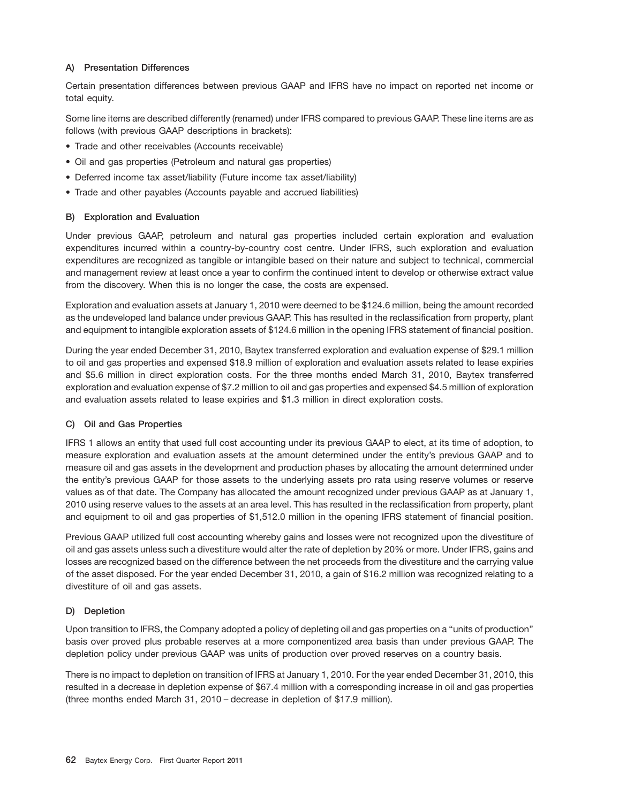# **A) Presentation Differences**

Certain presentation differences between previous GAAP and IFRS have no impact on reported net income or total equity.

Some line items are described differently (renamed) under IFRS compared to previous GAAP. These line items are as follows (with previous GAAP descriptions in brackets):

- Trade and other receivables (Accounts receivable)
- Oil and gas properties (Petroleum and natural gas properties)
- Deferred income tax asset/liability (Future income tax asset/liability)
- Trade and other payables (Accounts payable and accrued liabilities)

# **B) Exploration and Evaluation**

Under previous GAAP, petroleum and natural gas properties included certain exploration and evaluation expenditures incurred within a country-by-country cost centre. Under IFRS, such exploration and evaluation expenditures are recognized as tangible or intangible based on their nature and subject to technical, commercial and management review at least once a year to confirm the continued intent to develop or otherwise extract value from the discovery. When this is no longer the case, the costs are expensed.

Exploration and evaluation assets at January 1, 2010 were deemed to be \$124.6 million, being the amount recorded as the undeveloped land balance under previous GAAP. This has resulted in the reclassification from property, plant and equipment to intangible exploration assets of \$124.6 million in the opening IFRS statement of financial position.

During the year ended December 31, 2010, Baytex transferred exploration and evaluation expense of \$29.1 million to oil and gas properties and expensed \$18.9 million of exploration and evaluation assets related to lease expiries and \$5.6 million in direct exploration costs. For the three months ended March 31, 2010, Baytex transferred exploration and evaluation expense of \$7.2 million to oil and gas properties and expensed \$4.5 million of exploration and evaluation assets related to lease expiries and \$1.3 million in direct exploration costs.

# **C) Oil and Gas Properties**

IFRS 1 allows an entity that used full cost accounting under its previous GAAP to elect, at its time of adoption, to measure exploration and evaluation assets at the amount determined under the entity's previous GAAP and to measure oil and gas assets in the development and production phases by allocating the amount determined under the entity's previous GAAP for those assets to the underlying assets pro rata using reserve volumes or reserve values as of that date. The Company has allocated the amount recognized under previous GAAP as at January 1, 2010 using reserve values to the assets at an area level. This has resulted in the reclassification from property, plant and equipment to oil and gas properties of \$1,512.0 million in the opening IFRS statement of financial position.

Previous GAAP utilized full cost accounting whereby gains and losses were not recognized upon the divestiture of oil and gas assets unless such a divestiture would alter the rate of depletion by 20% or more. Under IFRS, gains and losses are recognized based on the difference between the net proceeds from the divestiture and the carrying value of the asset disposed. For the year ended December 31, 2010, a gain of \$16.2 million was recognized relating to a divestiture of oil and gas assets.

# **D) Depletion**

Upon transition to IFRS, the Company adopted a policy of depleting oil and gas properties on a ''units of production'' basis over proved plus probable reserves at a more componentized area basis than under previous GAAP. The depletion policy under previous GAAP was units of production over proved reserves on a country basis.

There is no impact to depletion on transition of IFRS at January 1, 2010. For the year ended December 31, 2010, this resulted in a decrease in depletion expense of \$67.4 million with a corresponding increase in oil and gas properties (three months ended March 31, 2010 – decrease in depletion of \$17.9 million).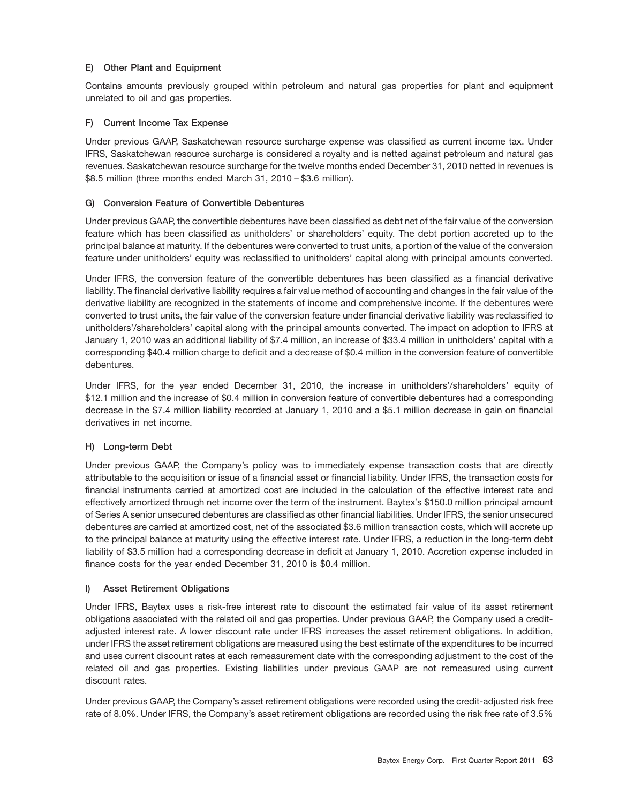# **E) Other Plant and Equipment**

Contains amounts previously grouped within petroleum and natural gas properties for plant and equipment unrelated to oil and gas properties.

# **F) Current Income Tax Expense**

Under previous GAAP, Saskatchewan resource surcharge expense was classified as current income tax. Under IFRS, Saskatchewan resource surcharge is considered a royalty and is netted against petroleum and natural gas revenues. Saskatchewan resource surcharge for the twelve months ended December 31, 2010 netted in revenues is \$8.5 million (three months ended March 31, 2010 – \$3.6 million).

# **G) Conversion Feature of Convertible Debentures**

Under previous GAAP, the convertible debentures have been classified as debt net of the fair value of the conversion feature which has been classified as unitholders' or shareholders' equity. The debt portion accreted up to the principal balance at maturity. If the debentures were converted to trust units, a portion of the value of the conversion feature under unitholders' equity was reclassified to unitholders' capital along with principal amounts converted.

Under IFRS, the conversion feature of the convertible debentures has been classified as a financial derivative liability. The financial derivative liability requires a fair value method of accounting and changes in the fair value of the derivative liability are recognized in the statements of income and comprehensive income. If the debentures were converted to trust units, the fair value of the conversion feature under financial derivative liability was reclassified to unitholders'/shareholders' capital along with the principal amounts converted. The impact on adoption to IFRS at January 1, 2010 was an additional liability of \$7.4 million, an increase of \$33.4 million in unitholders' capital with a corresponding \$40.4 million charge to deficit and a decrease of \$0.4 million in the conversion feature of convertible debentures.

Under IFRS, for the year ended December 31, 2010, the increase in unitholders'/shareholders' equity of \$12.1 million and the increase of \$0.4 million in conversion feature of convertible debentures had a corresponding decrease in the \$7.4 million liability recorded at January 1, 2010 and a \$5.1 million decrease in gain on financial derivatives in net income.

# **H) Long-term Debt**

Under previous GAAP, the Company's policy was to immediately expense transaction costs that are directly attributable to the acquisition or issue of a financial asset or financial liability. Under IFRS, the transaction costs for financial instruments carried at amortized cost are included in the calculation of the effective interest rate and effectively amortized through net income over the term of the instrument. Baytex's \$150.0 million principal amount of Series A senior unsecured debentures are classified as other financial liabilities. Under IFRS, the senior unsecured debentures are carried at amortized cost, net of the associated \$3.6 million transaction costs, which will accrete up to the principal balance at maturity using the effective interest rate. Under IFRS, a reduction in the long-term debt liability of \$3.5 million had a corresponding decrease in deficit at January 1, 2010. Accretion expense included in finance costs for the year ended December 31, 2010 is \$0.4 million.

# **I) Asset Retirement Obligations**

Under IFRS, Baytex uses a risk-free interest rate to discount the estimated fair value of its asset retirement obligations associated with the related oil and gas properties. Under previous GAAP, the Company used a creditadjusted interest rate. A lower discount rate under IFRS increases the asset retirement obligations. In addition, under IFRS the asset retirement obligations are measured using the best estimate of the expenditures to be incurred and uses current discount rates at each remeasurement date with the corresponding adjustment to the cost of the related oil and gas properties. Existing liabilities under previous GAAP are not remeasured using current discount rates.

Under previous GAAP, the Company's asset retirement obligations were recorded using the credit-adjusted risk free rate of 8.0%. Under IFRS, the Company's asset retirement obligations are recorded using the risk free rate of 3.5%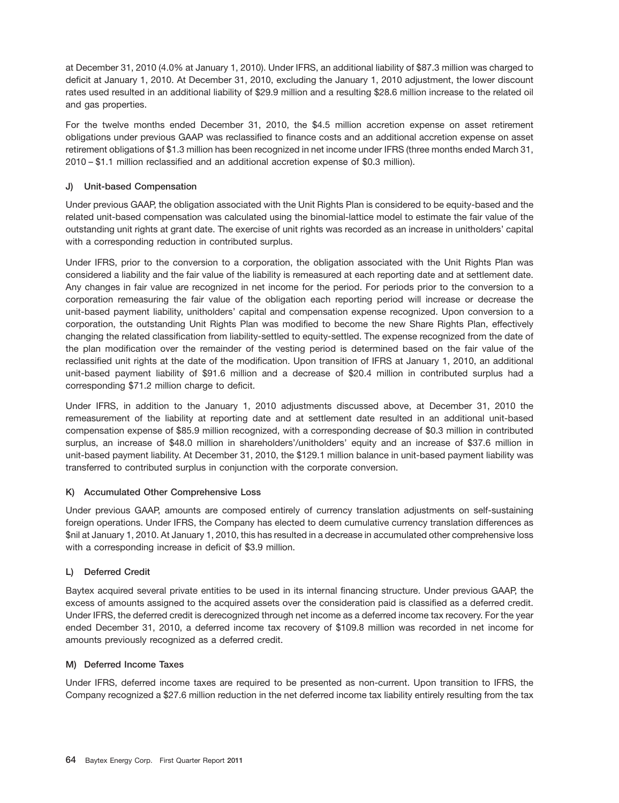at December 31, 2010 (4.0% at January 1, 2010). Under IFRS, an additional liability of \$87.3 million was charged to deficit at January 1, 2010. At December 31, 2010, excluding the January 1, 2010 adjustment, the lower discount rates used resulted in an additional liability of \$29.9 million and a resulting \$28.6 million increase to the related oil and gas properties.

For the twelve months ended December 31, 2010, the \$4.5 million accretion expense on asset retirement obligations under previous GAAP was reclassified to finance costs and an additional accretion expense on asset retirement obligations of \$1.3 million has been recognized in net income under IFRS (three months ended March 31, 2010 – \$1.1 million reclassified and an additional accretion expense of \$0.3 million).

# **J) Unit-based Compensation**

Under previous GAAP, the obligation associated with the Unit Rights Plan is considered to be equity-based and the related unit-based compensation was calculated using the binomial-lattice model to estimate the fair value of the outstanding unit rights at grant date. The exercise of unit rights was recorded as an increase in unitholders' capital with a corresponding reduction in contributed surplus.

Under IFRS, prior to the conversion to a corporation, the obligation associated with the Unit Rights Plan was considered a liability and the fair value of the liability is remeasured at each reporting date and at settlement date. Any changes in fair value are recognized in net income for the period. For periods prior to the conversion to a corporation remeasuring the fair value of the obligation each reporting period will increase or decrease the unit-based payment liability, unitholders' capital and compensation expense recognized. Upon conversion to a corporation, the outstanding Unit Rights Plan was modified to become the new Share Rights Plan, effectively changing the related classification from liability-settled to equity-settled. The expense recognized from the date of the plan modification over the remainder of the vesting period is determined based on the fair value of the reclassified unit rights at the date of the modification. Upon transition of IFRS at January 1, 2010, an additional unit-based payment liability of \$91.6 million and a decrease of \$20.4 million in contributed surplus had a corresponding \$71.2 million charge to deficit.

Under IFRS, in addition to the January 1, 2010 adjustments discussed above, at December 31, 2010 the remeasurement of the liability at reporting date and at settlement date resulted in an additional unit-based compensation expense of \$85.9 million recognized, with a corresponding decrease of \$0.3 million in contributed surplus, an increase of \$48.0 million in shareholders'/unitholders' equity and an increase of \$37.6 million in unit-based payment liability. At December 31, 2010, the \$129.1 million balance in unit-based payment liability was transferred to contributed surplus in conjunction with the corporate conversion.

# **K) Accumulated Other Comprehensive Loss**

Under previous GAAP, amounts are composed entirely of currency translation adjustments on self-sustaining foreign operations. Under IFRS, the Company has elected to deem cumulative currency translation differences as \$nil at January 1, 2010. At January 1, 2010, this has resulted in a decrease in accumulated other comprehensive loss with a corresponding increase in deficit of \$3.9 million.

# **L) Deferred Credit**

Baytex acquired several private entities to be used in its internal financing structure. Under previous GAAP, the excess of amounts assigned to the acquired assets over the consideration paid is classified as a deferred credit. Under IFRS, the deferred credit is derecognized through net income as a deferred income tax recovery. For the year ended December 31, 2010, a deferred income tax recovery of \$109.8 million was recorded in net income for amounts previously recognized as a deferred credit.

# **M) Deferred Income Taxes**

Under IFRS, deferred income taxes are required to be presented as non-current. Upon transition to IFRS, the Company recognized a \$27.6 million reduction in the net deferred income tax liability entirely resulting from the tax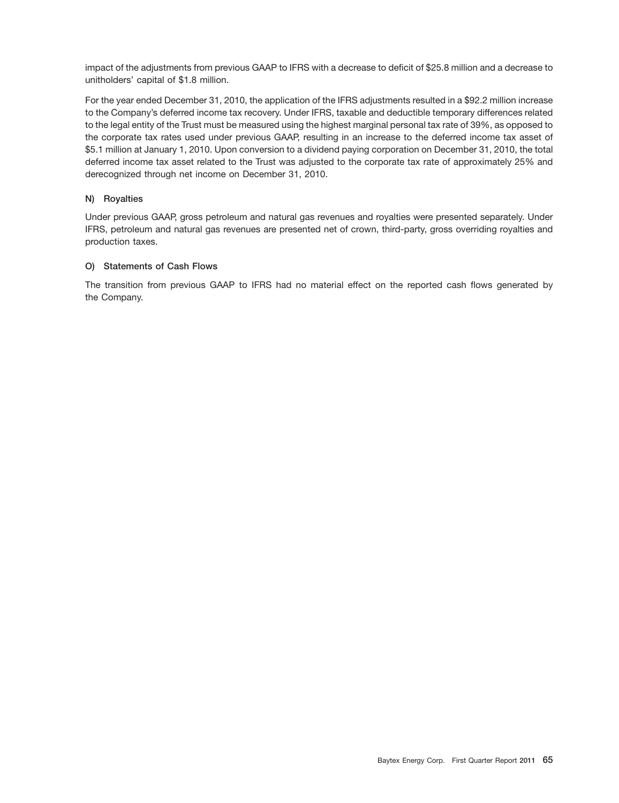impact of the adjustments from previous GAAP to IFRS with a decrease to deficit of \$25.8 million and a decrease to unitholders' capital of \$1.8 million.

For the year ended December 31, 2010, the application of the IFRS adjustments resulted in a \$92.2 million increase to the Company's deferred income tax recovery. Under IFRS, taxable and deductible temporary differences related to the legal entity of the Trust must be measured using the highest marginal personal tax rate of 39%, as opposed to the corporate tax rates used under previous GAAP, resulting in an increase to the deferred income tax asset of \$5.1 million at January 1, 2010. Upon conversion to a dividend paying corporation on December 31, 2010, the total deferred income tax asset related to the Trust was adjusted to the corporate tax rate of approximately 25% and derecognized through net income on December 31, 2010.

# **N) Royalties**

Under previous GAAP, gross petroleum and natural gas revenues and royalties were presented separately. Under IFRS, petroleum and natural gas revenues are presented net of crown, third-party, gross overriding royalties and production taxes.

# **O) Statements of Cash Flows**

The transition from previous GAAP to IFRS had no material effect on the reported cash flows generated by the Company.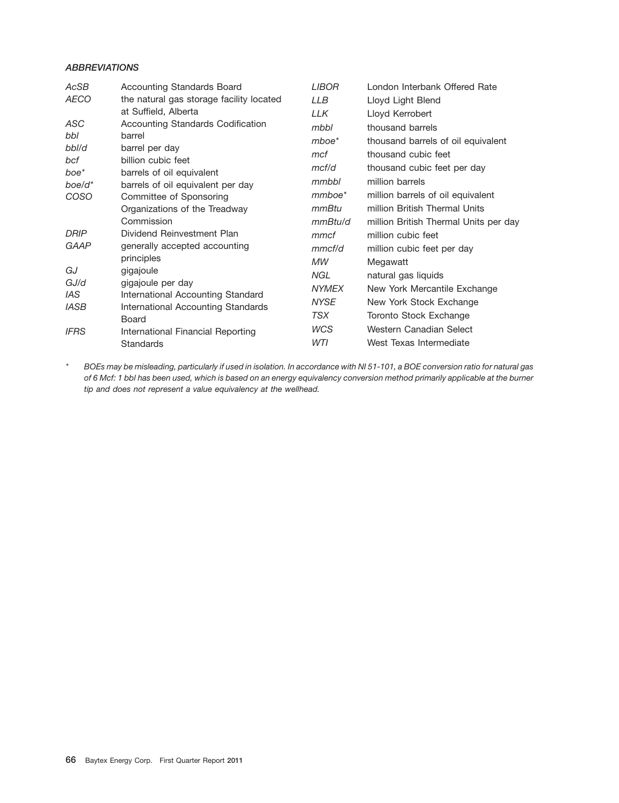# *ABBREVIATIONS*

| AcSB              | <b>Accounting Standards Board</b>                              | <b>LIBOR</b> | London Interbank Offered Rate         |
|-------------------|----------------------------------------------------------------|--------------|---------------------------------------|
| <b>AECO</b>       | the natural gas storage facility located                       | <b>LLB</b>   | Lloyd Light Blend                     |
|                   | at Suffield, Alberta                                           | LLK          | Lloyd Kerrobert                       |
| ASC               | Accounting Standards Codification                              | mbbl         | thousand barrels                      |
| bbl               | barrel                                                         | $m$ boe $*$  | thousand barrels of oil equivalent    |
| bbl/d             | barrel per day                                                 | mcf          | thousand cubic feet                   |
| bcf               | billion cubic feet                                             | mcf/d        | thousand cubic feet per day           |
| boe*<br>$boe/d^*$ | barrels of oil equivalent<br>barrels of oil equivalent per day | mmbbl        | million barrels                       |
| <b>COSO</b>       | Committee of Sponsoring                                        | mmboe*       | million barrels of oil equivalent     |
|                   | Organizations of the Treadway                                  | mmBtu        | million British Thermal Units         |
|                   | Commission                                                     | mmBtu/d      | million British Thermal Units per day |
| DRIP              | Dividend Reinvestment Plan                                     | mmcf         | million cubic feet                    |
| <b>GAAP</b>       | generally accepted accounting                                  | mmc f/d      | million cubic feet per day            |
|                   | principles                                                     | МW           | Megawatt                              |
| GJ                | gigajoule                                                      | NGL.         | natural gas liquids                   |
| GJ/d              | gigajoule per day                                              | <b>NYMEX</b> | New York Mercantile Exchange          |
| IAS.              | International Accounting Standard                              | <b>NYSE</b>  | New York Stock Exchange               |
| <b>IASB</b>       | International Accounting Standards<br>Board                    | TSX          | Toronto Stock Exchange                |
| <b>IFRS</b>       | International Financial Reporting                              | WCS          | Western Canadian Select               |
|                   | <b>Standards</b>                                               | WTI          | West Texas Intermediate               |

*\* BOEs may be misleading, particularly if used in isolation. In accordance with NI 51-101, a BOE conversion ratio for natural gas of 6 Mcf: 1 bbl has been used, which is based on an energy equivalency conversion method primarily applicable at the burner tip and does not represent a value equivalency at the wellhead.*